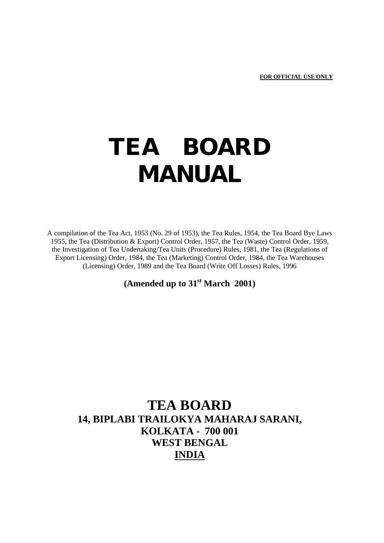# **TEA BOARD MANUAL**

A compilation of the Tea Act, 1953 (No. 29 of 1953), the Tea Rules, 1954, the Tea Board Bye Laws 1955, the Tea (Distribution & Export) Control Order, 1957, the Tea (Waste) Control Order, 1959, the Investigation of Tea Undertaking/Tea Units (Procedure) Rules, 1981, the Tea (Regulations of Export Licensing) Order, 1984, the Tea (Marketing) Control Order, 1984, the Tea Warehouses (Licensing) Order, 1989 and the Tea Board (Write Off Losses) Rules, 1996

**(Amended up to 31st March 2001)**

## **TEA BOARD 14, BIPLABI TRAILOKYA MAHARAJ SARANI, KOLKATA - 700 001 WEST BENGAL INDIA**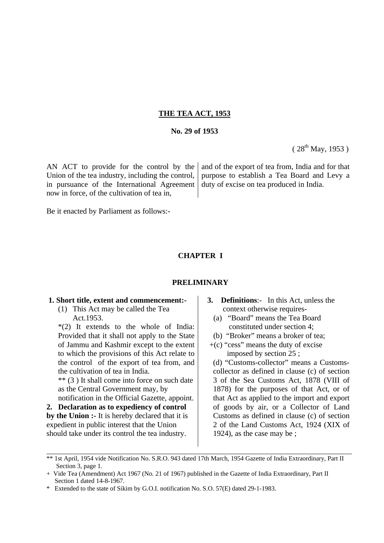#### **THE TEA ACT, 1953**

## **No. 29 of 1953**

 $(28^{th}$  May, 1953)

AN ACT to provide for the control by the Union of the tea industry, including the control, in pursuance of the International Agreement now in force, of the cultivation of tea in,

Be it enacted by Parliament as follows:-

### **CHAPTER I**

#### **PRELIMINARY**

#### **1. Short title, extent and commencement:-**

(1) This Act may be called the Tea Act.1953.

\*(2) It extends to the whole of India: Provided that it shall not apply to the State of Jammu and Kashmir except to the extent to which the provisions of this Act relate to the control of the export of tea from, and the cultivation of tea in India.

\*\* (3 ) It shall come into force on such date as the Central Government may, by

notification in the Official Gazette, appoint. **2. Declaration as to expediency of control by the Union :-** It is hereby declared that it is expedient in public interest that the Union should take under its control the tea industry.

 **3. Definitions**:- In this Act, unless the context otherwise requires-

and of the export of tea from, India and for that purpose to establish a Tea Board and Levy a

duty of excise on tea produced in India.

- (a) "Board" means the Tea Board constituted under section 4;
- (b) "Broker" means a broker of tea;
- $+(c)$  "cess" means the duty of excise imposed by section 25 ;
- (d) "Customs-collector" means a Customscollector as defined in clause (c) of section 3 of the Sea Customs Act, 1878 (VIII of 1878) for the purposes of that Act, or of that Act as applied to the import and export of goods by air, or a Collector of Land Customs as defined in clause (c) of section 2 of the Land Customs Act, 1924 (XIX of 1924), as the case may be ;

\_\_\_\_\_\_\_\_\_\_\_\_\_\_\_\_\_\_\_\_\_\_\_\_\_\_\_\_\_\_\_\_\_\_\_\_\_\_\_\_\_\_\_\_\_\_\_\_\_\_\_\_\_\_\_\_\_\_\_\_\_\_\_\_\_\_\_\_\_\_\_\_\_\_\_\_\_\_\_\_\_\_\_\_\_\_

<sup>\*\* 1</sup>st April, 1954 vide Notification No. S.R.O. 943 dated 17th March, 1954 Gazette of India Extraordinary, Part II Section 3, page 1.

<sup>+</sup> Vide Tea (Amendment) Act 1967 (No. 21 of 1967) published in the Gazette of India Extraordinary, Part II Section 1 dated 14-8-1967.

<sup>\*</sup> Extended to the state of Sikim by G.O.I. notification No. S.O. 57(E) dated 29-1-1983.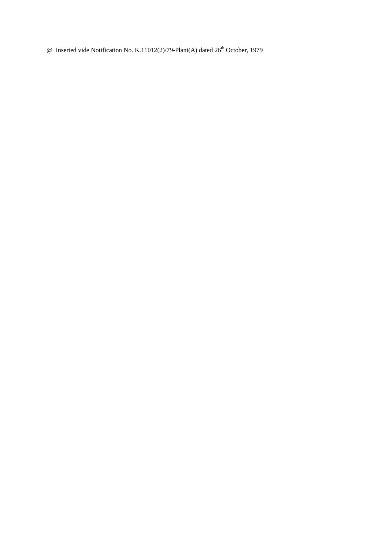$\omega$  Inserted vide Notification No. K.11012(2)/79-Plant(A) dated 26<sup>th</sup> October, 1979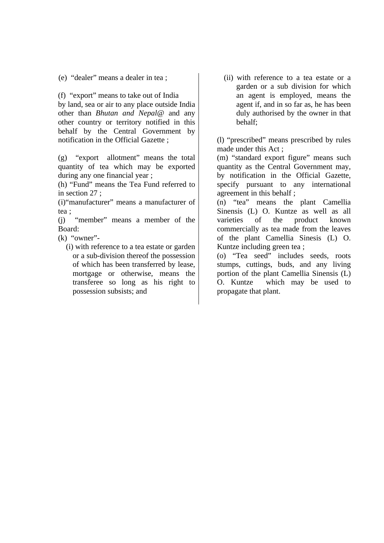(e) "dealer" means a dealer in tea ;

(f) "export" means to take out of India by land, sea or air to any place outside India other than *Bhutan and Nepal@* and any other country or territory notified in this behalf by the Central Government by notification in the Official Gazette ;

(g) "export allotment" means the total quantity of tea which may be exported during any one financial year ;

(h) "Fund" means the Tea Fund referred to in section 27 ;

(i)"manufacturer" means a manufacturer of tea ;

(j) "member" means a member of the Board:

(k) "owner"-

 (i) with reference to a tea estate or garden or a sub-division thereof the possession of which has been transferred by lease, mortgage or otherwise, means the transferee so long as his right to possession subsists; and

 (ii) with reference to a tea estate or a garden or a sub division for which an agent is employed, means the agent if, and in so far as, he has been duly authorised by the owner in that behalf;

(l) "prescribed" means prescribed by rules made under this Act ;

(m) "standard export figure" means such quantity as the Central Government may, by notification in the Official Gazette, specify pursuant to any international agreement in this behalf ;

(n) "tea" means the plant Camellia Sinensis (L) O. Kuntze as well as all varieties of the product known commercially as tea made from the leaves of the plant Camellia Sinesis (L) O. Kuntze including green tea ;

(o) "Tea seed" includes seeds, roots stumps, cuttings, buds, and any living portion of the plant Camellia Sinensis (L) O. Kuntze which may be used to propagate that plant.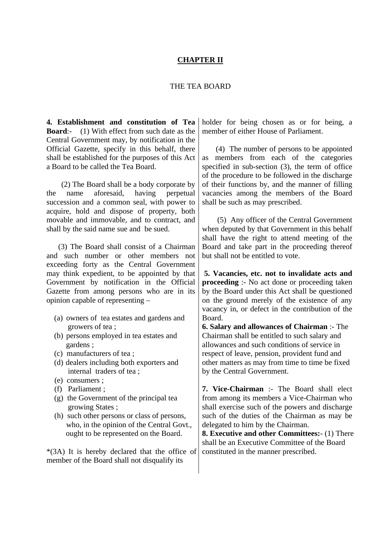## **CHAPTER II**

## THE TEA BOARD

**4. Establishment and constitution of Tea Board**:- (1) With effect from such date as the Central Government may, by notification in the Official Gazette, specify in this behalf, there shall be established for the purposes of this Act a Board to be called the Tea Board.

 (2) The Board shall be a body corporate by the name aforesaid, having perpetual succession and a common seal, with power to acquire, hold and dispose of property, both movable and immovable, and to contract, and shall by the said name sue and be sued.

 (3) The Board shall consist of a Chairman and such number or other members not exceeding forty as the Central Government may think expedient, to be appointed by that Government by notification in the Official Gazette from among persons who are in its opinion capable of representing –

- (a) owners of tea estates and gardens and growers of tea ;
- (b) persons employed in tea estates and gardens ;
- (c) manufacturers of tea ;
- (d) dealers including both exporters and internal traders of tea ;
- (e) consumers ;
- (f) Parliament ;
- (g) the Government of the principal tea growing States ;
- (h) such other persons or class of persons, who, in the opinion of the Central Govt., ought to be represented on the Board.

\*(3A) It is hereby declared that the office of member of the Board shall not disqualify its

holder for being chosen as or for being, a member of either House of Parliament.

 (4) The number of persons to be appointed as members from each of the categories specified in sub-section (3), the term of office of the procedure to be followed in the discharge of their functions by, and the manner of filling vacancies among the members of the Board shall be such as may prescribed.

 (5) Any officer of the Central Government when deputed by that Government in this behalf shall have the right to attend meeting of the Board and take part in the proceeding thereof but shall not be entitled to vote.

**5. Vacancies, etc. not to invalidate acts and proceeding** :- No act done or proceeding taken by the Board under this Act shall be questioned on the ground merely of the existence of any vacancy in, or defect in the contribution of the Board.

**6. Salary and allowances of Chairman** :- The Chairman shall be entitled to such salary and allowances and such conditions of service in respect of leave, pension, provident fund and other matters as may from time to time be fixed by the Central Government.

**7. Vice-Chairman** :- The Board shall elect from among its members a Vice-Chairman who shall exercise such of the powers and discharge such of the duties of the Chairman as may be delegated to him by the Chairman.

**8. Executive and other Committees:**- (1) There shall be an Executive Committee of the Board constituted in the manner prescribed.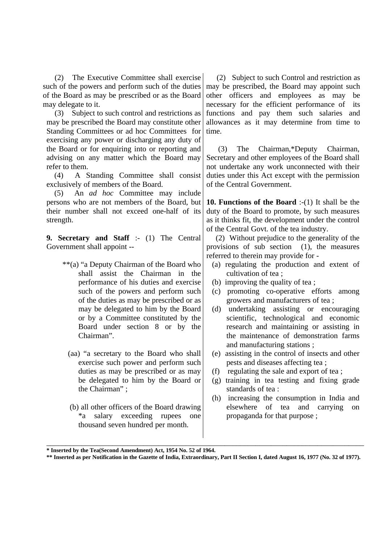(2) The Executive Committee shall exercise such of the powers and perform such of the duties of the Board as may be prescribed or as the Board may delegate to it.

 (3) Subject to such control and restrictions as may be prescribed the Board may constitute other Standing Committees or ad hoc Committees for exercising any power or discharging any duty of the Board or for enquiring into or reporting and advising on any matter which the Board may refer to them.

 (4) A Standing Committee shall consist exclusively of members of the Board.

 (5) An *ad hoc* Committee may include persons who are not members of the Board, but their number shall not exceed one-half of its strength.

**9. Secretary and Staff** :- (1) The Central Government shall appoint --

- \*\*(a) "a Deputy Chairman of the Board who shall assist the Chairman in the performance of his duties and exercise such of the powers and perform such of the duties as may be prescribed or as may be delegated to him by the Board or by a Committee constituted by the Board under section 8 or by the Chairman".
	- (aa) "a secretary to the Board who shall exercise such power and perform such duties as may be prescribed or as may be delegated to him by the Board or the Chairman" ;
	- (b) all other officers of the Board drawing \*a salary exceeding rupees one thousand seven hundred per month.

 (2) Subject to such Control and restriction as may be prescribed, the Board may appoint such other officers and employees as may be necessary for the efficient performance of its functions and pay them such salaries and allowances as it may determine from time to time.

 (3) The Chairman,\*Deputy Chairman, Secretary and other employees of the Board shall not undertake any work unconnected with their duties under this Act except with the permission of the Central Government.

**10. Functions of the Board** :-(1) It shall be the duty of the Board to promote, by such measures as it thinks fit, the development under the control of the Central Govt. of the tea industry.

 (2) Without prejudice to the generality of the provisions of sub section (1), the measures referred to therein may provide for -

- (a) regulating the production and extent of cultivation of tea ;
- (b) improving the quality of tea ;
- (c) promoting co-operative efforts among growers and manufacturers of tea ;
- (d) undertaking assisting or encouraging scientific, technological and economic research and maintaining or assisting in the maintenance of demonstration farms and manufacturing stations ;
- (e) assisting in the control of insects and other pests and diseases affecting tea ;
- (f) regulating the sale and export of tea ;
- (g) training in tea testing and fixing grade standards of tea :
- (h) increasing the consumption in India and elsewhere of tea and carrying on propaganda for that purpose ;

\_\_\_\_\_\_\_\_\_\_\_\_\_\_\_\_\_\_\_\_\_\_\_\_\_\_\_\_\_\_\_\_\_\_\_\_\_\_\_\_\_\_\_\_\_\_\_\_\_\_\_\_\_\_\_\_\_\_\_\_\_\_\_\_\_\_\_\_\_\_\_\_\_\_\_\_\_\_\_\_\_\_

**<sup>\*</sup> Inserted by the Tea(Second Amendment) Act, 1954 No. 52 of 1964.**

**<sup>\*\*</sup> Inserted as per Notification in the Gazette of India, Extraordinary, Part II Section I, dated August 16, 1977 (No. 32 of 1977).**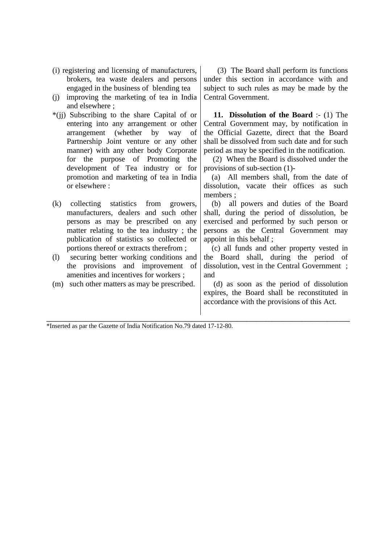- (i) registering and licensing of manufacturers, brokers, tea waste dealers and persons engaged in the business of blending tea
- (j) improving the marketing of tea in India and elsewhere ;
- \*(jj) Subscribing to the share Capital of or entering into any arrangement or other arrangement (whether by way of Partnership Joint venture or any other manner) with any other body Corporate for the purpose of Promoting the development of Tea industry or for promotion and marketing of tea in India or elsewhere :
- (k) collecting statistics from growers, manufacturers, dealers and such other persons as may be prescribed on any matter relating to the tea industry ; the publication of statistics so collected or portions thereof or extracts therefrom ;
- (l) securing better working conditions and the provisions and improvement of amenities and incentives for workers ;
- (m) such other matters as may be prescribed.

 (3) The Board shall perform its functions under this section in accordance with and subject to such rules as may be made by the Central Government.

 **11. Dissolution of the Board** :- (1) The Central Government may, by notification in the Official Gazette, direct that the Board shall be dissolved from such date and for such period as may be specified in the notification.

 (2) When the Board is dissolved under the provisions of sub-section (1)-

 (a) All members shall, from the date of dissolution, vacate their offices as such members ;

 (b) all powers and duties of the Board shall, during the period of dissolution, be exercised and performed by such person or persons as the Central Government may appoint in this behalf ;

 (c) all funds and other property vested in the Board shall, during the period of dissolution, vest in the Central Government ; and

 (d) as soon as the period of dissolution expires, the Board shall be reconstituted in accordance with the provisions of this Act.

**\_\_\_\_\_\_\_\_\_\_\_\_\_\_\_\_\_\_\_\_\_\_\_\_\_\_\_\_\_\_\_\_\_\_\_\_\_\_\_\_\_\_\_\_\_\_\_\_\_\_\_\_\_\_\_\_\_\_\_\_\_\_\_\_\_\_\_\_\_\_\_\_\_\_\_\_\_\_\_\_\_\_\_\_\_\_\_\_\_\_\_\_\_\_** \*Inserted as par the Gazette of India Notification No.79 dated 17-12-80.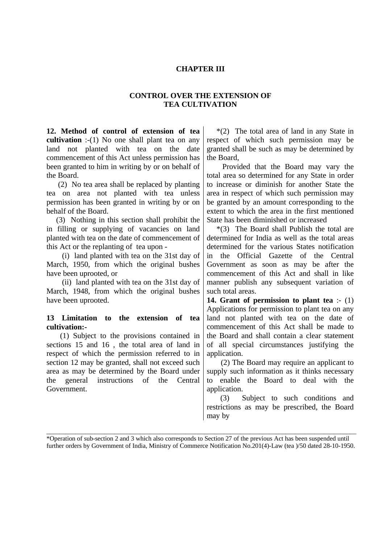## **CHAPTER III**

## **CONTROL OVER THE EXTENSION OF TEA CULTIVATION**

**12. Method of control of extension of tea cultivation** :-(1) No one shall plant tea on any land not planted with tea on the date commencement of this Act unless permission has been granted to him in writing by or on behalf of the Board.

 (2) No tea area shall be replaced by planting tea on area not planted with tea unless permission has been granted in writing by or on behalf of the Board.

 (3) Nothing in this section shall prohibit the in filling or supplying of vacancies on land planted with tea on the date of commencement of this Act or the replanting of tea upon -

 (i) land planted with tea on the 31st day of March, 1950, from which the original bushes have been uprooted, or

 (ii) land planted with tea on the 31st day of March, 1948, from which the original bushes have been uprooted.

## **13 Limitation to the extension of tea cultivation:-**

 (1) Subject to the provisions contained in sections 15 and 16 , the total area of land in respect of which the permission referred to in section 12 may be granted, shall not exceed such area as may be determined by the Board under the general instructions of the Central Government.

 \*(2) The total area of land in any State in respect of which such permission may be granted shall be such as may be determined by the Board,

 Provided that the Board may vary the total area so determined for any State in order to increase or diminish for another State the area in respect of which such permission may be granted by an amount corresponding to the extent to which the area in the first mentioned State has been diminished or increased

 \*(3) The Board shall Publish the total are determined for India as well as the total areas determined for the various States notification in the Official Gazette of the Central Government as soon as may be after the commencement of this Act and shall in like manner publish any subsequent variation of such total areas.

**14. Grant of permission to plant tea** :- (1) Applications for permission to plant tea on any land not planted with tea on the date of commencement of this Act shall be made to the Board and shall contain a clear statement of all special circumstances justifying the application.

 (2) The Board may require an applicant to supply such information as it thinks necessary to enable the Board to deal with the application.

 (3) Subject to such conditions and restrictions as may be prescribed, the Board may by

\_\_\_\_\_\_\_\_\_\_\_\_\_\_\_\_\_\_\_\_\_\_\_\_\_\_\_\_\_\_\_\_\_\_\_\_\_\_\_\_\_\_\_\_\_\_\_\_\_\_\_\_\_\_\_\_\_\_\_\_\_\_\_\_\_\_\_\_\_\_\_\_\_\_\_\_\_\_\_\_\_\_\_\_\_\_\_\_\_\_\_\_\_\_\_\_ \*Operation of sub-section 2 and 3 which also corresponds to Section 27 of the previous Act has been suspended until further orders by Government of India, Ministry of Commerce Notification No.201(4)-Law (tea )/50 dated 28-10-1950.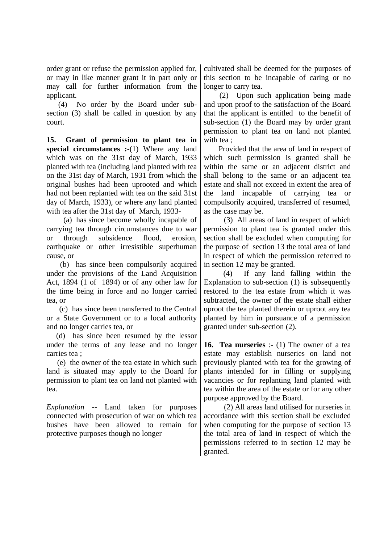order grant or refuse the permission applied for, or may in like manner grant it in part only or may call for further information from the applicant.

 (4) No order by the Board under subsection (3) shall be called in question by any court.

**15. Grant of permission to plant tea in special circumstances :-(1)** Where any land which was on the 31st day of March, 1933 planted with tea (including land planted with tea on the 31st day of March, 1931 from which the original bushes had been uprooted and which had not been replanted with tea on the said 31st day of March, 1933), or where any land planted with tea after the 31st day of March, 1933-

 (a) has since become wholly incapable of carrying tea through circumstances due to war or through subsidence flood, erosion, earthquake or other irresistible superhuman cause, or

 (b) has since been compulsorily acquired under the provisions of the Land Acquisition Act, 1894 (1 of 1894) or of any other law for the time being in force and no longer carried tea, or

 (c) has since been transferred to the Central or a State Government or to a local authority and no longer carries tea, or

 (d) has since been resumed by the lessor under the terms of any lease and no longer carries tea ;

 (e) the owner of the tea estate in which such land is situated may apply to the Board for permission to plant tea on land not planted with tea.

*Explanation -*- Land taken for purposes connected with prosecution of war on which tea bushes have been allowed to remain for protective purposes though no longer

cultivated shall be deemed for the purposes of this section to be incapable of caring or no longer to carry tea.

 (2) Upon such application being made and upon proof to the satisfaction of the Board that the applicant is entitled to the benefit of sub-section (1) the Board may by order grant permission to plant tea on land not planted with tea ;

 Provided that the area of land in respect of which such permission is granted shall be within the same or an adjacent district and shall belong to the same or an adjacent tea estate and shall not exceed in extent the area of the land incapable of carrying tea or compulsorily acquired, transferred of resumed, as the case may be.

 (3) All areas of land in respect of which permission to plant tea is granted under this section shall be excluded when computing for the purpose of section 13 the total area of land in respect of which the permission referred to in section 12 may be granted.

 (4) If any land falling within the Explanation to sub-section (1) is subsequently restored to the tea estate from which it was subtracted, the owner of the estate shall either uproot the tea planted therein or uproot any tea planted by him in pursuance of a permission granted under sub-section (2).

**16. Tea nurseries** :- (1) The owner of a tea estate may establish nurseries on land not previously planted with tea for the growing of plants intended for in filling or supplying vacancies or for replanting land planted with tea within the area of the estate or for any other purpose approved by the Board.

 (2) All areas land utilised for nurseries in accordance with this section shall be excluded when computing for the purpose of section 13 the total area of land in respect of which the permissions referred to in section 12 may be granted.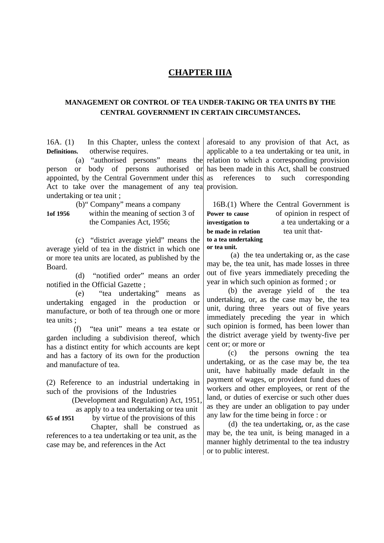## **CHAPTER IIIA**

## **MANAGEMENT OR CONTROL OF TEA UNDER-TAKING OR TEA UNITS BY THE CENTRAL GOVERNMENT IN CERTAIN CIRCUMSTANCES.**

16A. (1) In this Chapter, unless the context **Definitions.** otherwise requires.

 (a) "authorised persons" means the person or body of persons authorised or appointed, by the Central Government under this Act to take over the management of any tea provision. undertaking or tea unit ;

(b)" Company" means a company

**1of 1956** within the meaning of section 3 of the Companies Act, 1956;

 (c) "district average yield" means the average yield of tea in the district in which one or more tea units are located, as published by the Board.

 (d) "notified order" means an order notified in the Official Gazette ;

 (e) "tea undertaking" means as undertaking engaged in the production or manufacture, or both of tea through one or more tea units ;

 (f) "tea unit" means a tea estate or garden including a subdivision thereof, which has a distinct entity for which accounts are kept and has a factory of its own for the production and manufacture of tea.

(2) Reference to an industrial undertaking in such of the provisions of the Industries

> (Development and Regulation) Act, 1951, as apply to a tea undertaking or tea unit

**65 of 1951** by virtue of the provisions of this Chapter, shall be construed as references to a tea undertaking or tea unit, as the

case may be, and references in the Act

aforesaid to any provision of that Act, as applicable to a tea undertaking or tea unit, in relation to which a corresponding provision has been made in this Act, shall be construed as references to such corresponding

 16B.(1) Where the Central Government is **Power to cause** of opinion in respect of **investigation to** a tea undertaking or a<br>be made in relation tea unit that**be made in relation to a tea undertaking or tea unit.**

 (a) the tea undertaking or, as the case may be, the tea unit, has made losses in three out of five years immediately preceding the year in which such opinion as formed ; or

 (b) the average yield of the tea undertaking, or, as the case may be, the tea unit, during three years out of five years immediately preceding the year in which such opinion is formed, has been lower than the district average yield by twenty-five per cent or; or more or

 (c) the persons owning the tea undertaking, or as the case may be, the tea unit, have habitually made default in the payment of wages, or provident fund dues of workers and other employees, or rent of the land, or duties of exercise or such other dues as they are under an obligation to pay under any law for the time being in force : or

 (d) the tea undertaking, or, as the case may be, the tea unit, is being managed in a manner highly detrimental to the tea industry or to public interest.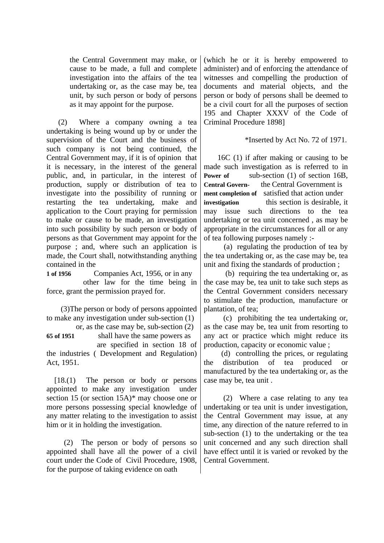the Central Government may make, or cause to be made, a full and complete investigation into the affairs of the tea undertaking or, as the case may be, tea unit, by such person or body of persons as it may appoint for the purpose.

 (2) Where a company owning a tea undertaking is being wound up by or under the supervision of the Court and the business of such company is not being continued, the Central Government may, if it is of opinion that it is necessary, in the interest of the general public, and, in particular, in the interest of production, supply or distribution of tea to investigate into the possibility of running or restarting the tea undertaking, make and application to the Court praying for permission to make or cause to be made, an investigation into such possibility by such person or body of persons as that Government may appoint for the purpose ; and, where such an application is made, the Court shall, notwithstanding anything contained in the

**1 of 1956** Companies Act, 1956, or in any other law for the time being in force, grant the permission prayed for.

 (3)The person or body of persons appointed to make any investigation under sub-section (1)

 or, as the case may be, sub-section (2) **65 of 1951** shall have the same powers as are specified in section 18 of the industries ( Development and Regulation) Act, 1951.

 [18.(1) The person or body or persons appointed to make any investigation under section 15 (or section 15A)\* may choose one or more persons possessing special knowledge of any matter relating to the investigation to assist him or it in holding the investigation.

 (2) The person or body of persons so appointed shall have all the power of a civil court under the Code of Civil Procedure, 1908, for the purpose of taking evidence on oath

(which he or it is hereby empowered to administer) and of enforcing the attendance of witnesses and compelling the production of documents and material objects, and the person or body of persons shall be deemed to be a civil court for all the purposes of section 195 and Chapter XXXV of the Code of Criminal Procedure 1898]

## \*Inserted by Act No. 72 of 1971.

 16C (1) if after making or causing to be made such investigation as is referred to in **Power of** sub-section (1) of section 16B. **Central Govern-** the Central Government is **ment completion of** satisfied that action under **investigation** this section is desirable, it may issue such directions to the tea undertaking or tea unit concerned , as may be appropriate in the circumstances for all or any of tea following purposes namely :-

 (a) regulating the production of tea by the tea undertaking or, as the case may be, tea unit and fixing the standards of production ;

 (b) requiring the tea undertaking or, as the case may be, tea unit to take such steps as the Central Government considers necessary to stimulate the production, manufacture or plantation, of tea;

 (c) prohibiting the tea undertaking or, as the case may be, tea unit from resorting to any act or practice which might reduce its production, capacity or economic value ;

 (d) controlling the prices, or regulating the distribution of tea produced or manufactured by the tea undertaking or, as the case may be, tea unit .

 (2) Where a case relating to any tea undertaking or tea unit is under investigation, the Central Government may issue, at any time, any direction of the nature referred to in sub-section (1) to the undertaking or the tea unit concerned and any such direction shall have effect until it is varied or revoked by the Central Government.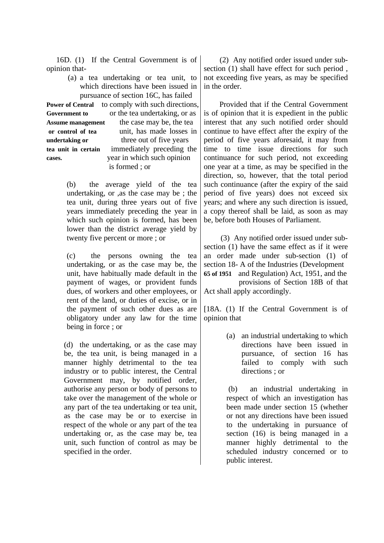16D. (1) If the Central Government is of opinion that-

(a) a tea undertaking or tea unit, to which directions have been issued in pursuance of section 16C, has failed **Power of Central** to comply with such directions, Government to or the tea undertaking, or as Assume management the case may be, the tea **or control of tea** unit, has made losses in **undertaking or three out of five years tea unit in certain** immediately preceding the **cases.** year in which such opinion is formed ; or

> (b) the average yield of the tea undertaking, or ,as the case may be ; the tea unit, during three years out of five years immediately preceding the year in which such opinion is formed, has been lower than the district average yield by twenty five percent or more ; or

> (c) the persons owning the tea undertaking, or as the case may be, the unit, have habitually made default in the payment of wages, or provident funds dues, of workers and other employees, or rent of the land, or duties of excise, or in the payment of such other dues as are obligatory under any law for the time being in force ; or

(d) the undertaking, or as the case may be, the tea unit, is being managed in a manner highly detrimental to the tea industry or to public interest, the Central Government may, by notified order, authorise any person or body of persons to take over the management of the whole or any part of the tea undertaking or tea unit, as the case may be or to exercise in respect of the whole or any part of the tea undertaking or, as the case may be, tea unit, such function of control as may be specified in the order.

 (2) Any notified order issued under subsection (1) shall have effect for such period , not exceeding five years, as may be specified in the order.

 Provided that if the Central Government is of opinion that it is expedient in the public interest that any such notified order should continue to have effect after the expiry of the period of five years aforesaid, it may from time to time issue directions for such continuance for such period, not exceeding one year at a time, as may be specified in the direction, so, however, that the total period such continuance (after the expiry of the said period of five years) does not exceed six years; and where any such direction is issued, a copy thereof shall be laid, as soon as may be, before both Houses of Parliament.

 (3) Any notified order issued under subsection (1) have the same effect as if it were an order made under sub-section (1) of section 18- A of the Industries (Development **65 of 1951** and Regulation) Act, 1951, and the provisions of Section 18B of that Act shall apply accordingly.

[18A. (1) If the Central Government is of opinion that

> (a) an industrial undertaking to which directions have been issued in pursuance, of section 16 has failed to comply with such directions ; or

> (b) an industrial undertaking in respect of which an investigation has been made under section 15 (whether or not any directions have been issued to the undertaking in pursuance of section (16) is being managed in a manner highly detrimental to the scheduled industry concerned or to public interest.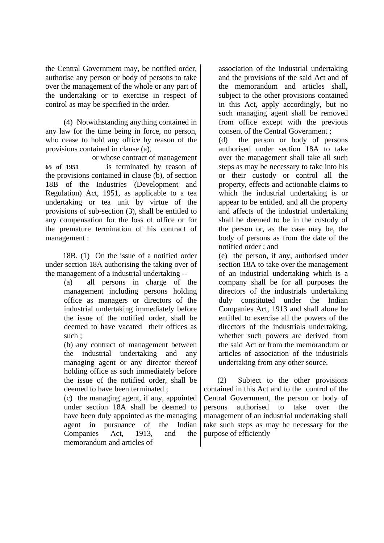the Central Government may, be notified order, authorise any person or body of persons to take over the management of the whole or any part of the undertaking or to exercise in respect of control as may be specified in the order.

 (4) Notwithstanding anything contained in any law for the time being in force, no person, who cease to hold any office by reason of the provisions contained in clause (a),

 or whose contract of management **65 of 1951** is terminated by reason of the provisions contained in clause (b), of section 18B of the Industries (Development and Regulation) Act, 1951, as applicable to a tea undertaking or tea unit by virtue of the provisions of sub-section (3), shall be entitled to any compensation for the loss of office or for the premature termination of his contract of management :

 18B. (1) On the issue of a notified order under section 18A authorising the taking over of the management of a industrial undertaking --

> (a) all persons in charge of the management including persons holding office as managers or directors of the industrial undertaking immediately before the issue of the notified order, shall be deemed to have vacated their offices as such ;

> (b) any contract of management between the industrial undertaking and any managing agent or any director thereof holding office as such immediately before the issue of the notified order, shall be deemed to have been terminated ;

> (c) the managing agent, if any, appointed under section 18A shall be deemed to have been duly appointed as the managing agent in pursuance of the Indian Companies Act, 1913, and the memorandum and articles of

association of the industrial undertaking and the provisions of the said Act and of the memorandum and articles shall, subject to the other provisions contained in this Act, apply accordingly, but no such managing agent shall be removed from office except with the previous consent of the Central Government ;

(d) the person or body of persons authorised under section 18A to take over the management shall take all such steps as may be necessary to take into his or their custody or control all the property, effects and actionable claims to which the industrial undertaking is or appear to be entitled, and all the property and affects of the industrial undertaking shall be deemed to be in the custody of the person or, as the case may be, the body of persons as from the date of the notified order ; and

(e) the person, if any, authorised under section 18A to take over the management of an industrial undertaking which is a company shall be for all purposes the directors of the industrials undertaking duly constituted under the Indian Companies Act, 1913 and shall alone be entitled to exercise all the powers of the directors of the industrials undertaking, whether such powers are derived from the said Act or from the memorandum or articles of association of the industrials undertaking from any other source.

 (2) Subject to the other provisions contained in this Act and to the control of the Central Government, the person or body of persons authorised to take over the management of an industrial undertaking shall take such steps as may be necessary for the purpose of efficiently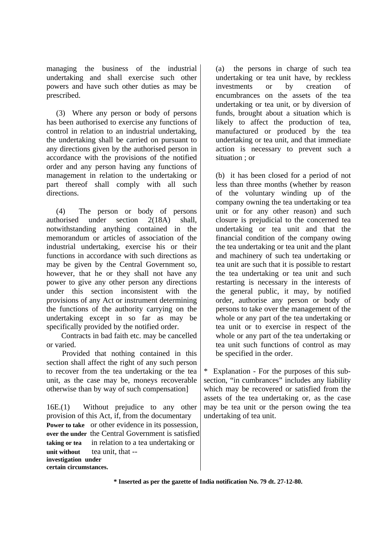managing the business of the industrial undertaking and shall exercise such other powers and have such other duties as may be prescribed.

 (3) Where any person or body of persons has been authorised to exercise any functions of control in relation to an industrial undertaking, the undertaking shall be carried on pursuant to any directions given by the authorised person in accordance with the provisions of the notified order and any person having any functions of management in relation to the undertaking or part thereof shall comply with all such directions.

 (4) The person or body of persons authorised under section 2(18A) shall, notwithstanding anything contained in the memorandum or articles of association of the industrial undertaking, exercise his or their functions in accordance with such directions as may be given by the Central Government so, however, that he or they shall not have any power to give any other person any directions under this section inconsistent with the provisions of any Act or instrument determining the functions of the authority carrying on the undertaking except in so far as may be specifically provided by the notified order.

 Contracts in bad faith etc. may be cancelled or varied.

 Provided that nothing contained in this section shall affect the right of any such person to recover from the tea undertaking or the tea unit, as the case may be, moneys recoverable otherwise than by way of such compensation]

16E.(1) Without prejudice to any other provision of this Act, if, from the documentary **Power to take** or other evidence in its possession, **over the under** the Central Government is satisfied **taking or tea** in relation to a tea undertaking or unit without tea unit, that -**investigation under certain circumstances.**

(a) the persons in charge of such tea undertaking or tea unit have, by reckless investments or by creation of encumbrances on the assets of the tea undertaking or tea unit, or by diversion of funds, brought about a situation which is likely to affect the production of tea, manufactured or produced by the tea undertaking or tea unit, and that immediate action is necessary to prevent such a situation ; or

(b) it has been closed for a period of not less than three months (whether by reason of the voluntary winding up of the company owning the tea undertaking or tea unit or for any other reason) and such closure is prejudicial to the concerned tea undertaking or tea unit and that the financial condition of the company owing the tea undertaking or tea unit and the plant and machinery of such tea undertaking or tea unit are such that it is possible to restart the tea undertaking or tea unit and such restarting is necessary in the interests of the general public, it may, by notified order, authorise any person or body of persons to take over the management of the whole or any part of the tea undertaking or tea unit or to exercise in respect of the whole or any part of the tea undertaking or tea unit such functions of control as may be specified in the order.

Explanation - For the purposes of this subsection, "in cumbrances" includes any liability which may be recovered or satisfied from the assets of the tea undertaking or, as the case may be tea unit or the person owing the tea undertaking of tea unit.

**\* Inserted as per the gazette of India notification No. 79 dt. 27-12-80.**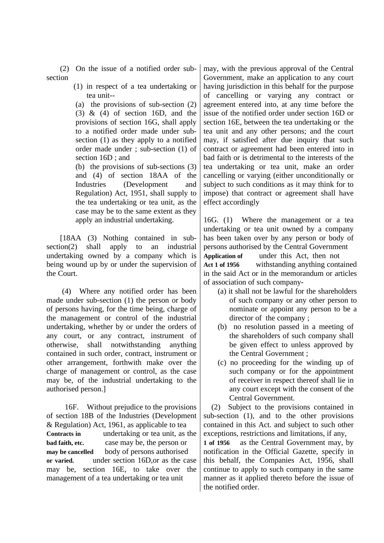(2) On the issue of a notified order subsection

> (1) in respect of a tea undertaking or tea unit--

(a) the provisions of sub-section (2) (3)  $\&$  (4) of section 16D, and the provisions of section 16G, shall apply to a notified order made under subsection (1) as they apply to a notified order made under ; sub-section (1) of section 16D ; and

(b) the provisions of sub-sections (3) and (4) of section 18AA of the Industries (Development and Regulation) Act, 1951, shall supply to the tea undertaking or tea unit, as the case may be to the same extent as they apply an industrial undertaking.

 [18AA (3) Nothing contained in subsection(2) shall apply to an industrial undertaking owned by a company which is being wound up by or under the supervision of the Court.

 (4) Where any notified order has been made under sub-section (1) the person or body of persons having, for the time being, charge of the management or control of the industrial undertaking, whether by or under the orders of any court, or any contract, instrument of otherwise, shall notwithstanding anything contained in such order, contract, instrument or other arrangement, forthwith make over the charge of management or control, as the case may be, of the industrial undertaking to the authorised person.]

 16F. Without prejudice to the provisions of section 18B of the Industries (Development & Regulation) Act, 1961, as applicable to tea **Contracts in** undertaking or tea unit, as the **bad faith, etc. case may be, the person or may be cancelled** body of persons authorised **or varied.** under section 16D,or as the case may be, section 16E, to take over the management of a tea undertaking or tea unit

may, with the previous approval of the Central Government, make an application to any court having jurisdiction in this behalf for the purpose of cancelling or varying any contract or agreement entered into, at any time before the issue of the notified order under section 16D or section 16E, between the tea undertaking or the tea unit and any other persons; and the court may, if satisfied after due inquiry that such contract or agreement had been entered into in bad faith or is detrimental to the interests of the tea undertaking or tea unit, make an order cancelling or varying (either unconditionally or subject to such conditions as it may think for to impose) that contract or agreement shall have effect accordingly

16G. (1) Where the management or a tea undertaking or tea unit owned by a company has been taken over by any person or body of persons authorised by the Central Government **Application of** under this Act, then not **Act 1 of 1956** withstanding anything contained in the said Act or in the memorandum or articles of association of such company-

- (a) it shall not be lawful for the shareholders of such company or any other person to nominate or appoint any person to be a director of the company ;
- (b) no resolution passed in a meeting of the shareholders of such company shall be given effect to unless approved by the Central Government ;
- (c) no proceeding for the winding up of such company or for the appointment of receiver in respect thereof shall lie in any court except with the consent of the Central Government.

 (2) Subject to the provisions contained in sub-section (1), and to the other provisions contained in this Act. and subject to such other exceptions, restrictions and limitations, if any,

**1 of 1956** as the Central Government may, by notification in the Official Gazette, specify in this behalf, the Companies Act, 1956, shall continue to apply to such company in the same manner as it applied thereto before the issue of the notified order.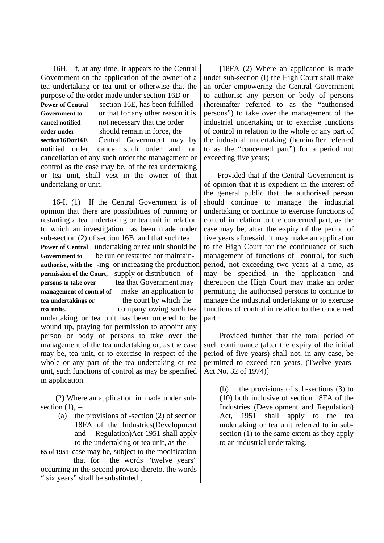16H. If, at any time, it appears to the Central Government on the application of the owner of a tea undertaking or tea unit or otherwise that the purpose of the order made under section 16D or **Power of Central** section 16E, has been fulfilled **Government to** or that for any other reason it is **cancel notified** not necessary that the order **order under** should remain in force, the **section16Dor16E** Central Government may by notified order, cancel such order and, on cancellation of any such order the management or control as the case may be, of the tea undertaking or tea unit, shall vest in the owner of that undertaking or unit,

 16-I. (1) If the Central Government is of opinion that there are possibilities of running or restarting a tea undertaking or tea unit in relation to which an investigation has been made under sub-section (2) of section 16B, and that such tea **Power of Central** undertaking or tea unit should be **Government to** be run or restarted for maintain**authorise, with the -**ing or increasing the production **permission of the Court,** supply or distribution of **persons to take over tea that Government may management of control of** make an application to **tea undertakings or** the court by which the **tea units.** company owing such tea undertaking or tea unit has been ordered to be wound up, praying for permission to appoint any person or body of persons to take over the management of the tea undertaking or, as the case may be, tea unit, or to exercise in respect of the whole or any part of the tea undertaking or tea unit, such functions of control as may be specified in application.

 (2) Where an application in made under subsection  $(1)$ , --

- (a) the provisions of -section (2) of section 18FA of the Industries(Development and Regulation)Act 1951 shall apply to the undertaking or tea unit, as the
- **65 of 1951** case may be, subject to the modification that for the words "twelve years"

occurring in the second proviso thereto, the words " six years" shall be substituted ;

[18FA (2) Where an application is made under sub-section (I) the High Court shall make an order empowering the Central Government to authorise any person or body of persons (hereinafter referred to as the "authorised persons") to take over the management of the industrial undertaking or to exercise functions of control in relation to the whole or any part of the industrial undertaking (hereinafter referred to as the "concerned part") for a period not exceeding five years;

 Provided that if the Central Government is of opinion that it is expedient in the interest of the general public that the authorised person should continue to manage the industrial undertaking or continue to exercise functions of control in relation to the concerned part, as the case may be, after the expiry of the period of five years aforesaid, it may make an application to the High Court for the continuance of such management of functions of control, for such period, not exceeding two years at a time, as may be specified in the application and thereupon the High Court may make an order permitting the authorised persons to continue to manage the industrial undertaking or to exercise functions of control in relation to the concerned part :

 Provided further that the total period of such continuance (after the expiry of the initial period of five years) shall not, in any case, be permitted to exceed ten years. (Twelve years-Act No. 32 of 1974)]

(b) the provisions of sub-sections (3) to (10) both inclusive of section 18FA of the Industries (Development and Regulation) Act, 1951 shall apply to the tea undertaking or tea unit referred to in subsection (1) to the same extent as they apply to an industrial undertaking.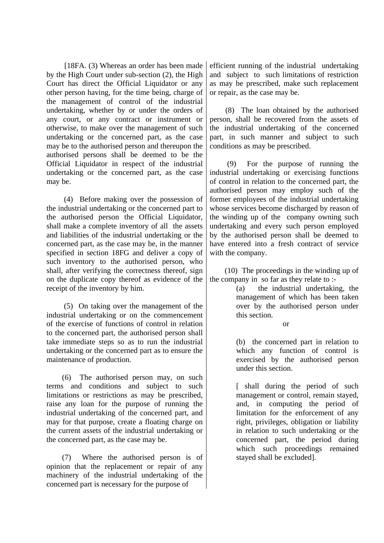[18FA. (3) Whereas an order has been made by the High Court under sub-section (2), the High Court has direct the Official Liquidator or any other person having, for the time being, charge of the management of control of the industrial undertaking, whether by or under the orders of any court, or any contract or instrument or otherwise, to make over the management of such undertaking or the concerned part, as the case may be to the authorised person and thereupon the authorised persons shall be deemed to be the Official Liquidator in respect of the industrial undertaking or the concerned part, as the case may be.

 (4) Before making over the possession of the industrial undertaking or the concerned part to the authorised person the Official Liquidator, shall make a complete inventory of all the assets and liabilities of the industrial undertaking or the concerned part, as the case may be, in the manner specified in section 18FG and deliver a copy of such inventory to the authorised person, who shall, after verifying the correctness thereof, sign on the duplicate copy thereof as evidence of the receipt of the inventory by him.

 (5) On taking over the management of the industrial undertaking or on the commencement of the exercise of functions of control in relation to the concerned part, the authorised person shall take immediate steps so as to run the industrial undertaking or the concerned part as to ensure the maintenance of production.

 (6) The authorised person may, on such terms and conditions and subject to such limitations or restrictions as may be prescribed, raise any loan for the purpose of running the industrial undertaking of the concerned part, and may for that purpose, create a floating charge on the current assets of the industrial undertaking or the concerned part, as the case may be.

 (7) Where the authorised person is of opinion that the replacement or repair of any machinery of the industrial undertaking of the concerned part is necessary for the purpose of

efficient running of the industrial undertaking and subject to such limitations of restriction as may be prescribed, make such replacement or repair, as the case may be.

 (8) The loan obtained by the authorised person, shall be recovered from the assets of the industrial undertaking of the concerned part, in such manner and subject to such conditions as may be prescribed.

 (9) For the purpose of running the industrial undertaking or exercising functions of control in relation to the concerned part, the authorised person may employ such of the former employees of the industrial undertaking whose services become discharged by reason of the winding up of the company owning such undertaking and every such person employed by the authorised person shall be deemed to have entered into a fresh contract of service with the company.

 (10) The proceedings in the winding up of the company in so far as they relate to :-

> (a) the industrial undertaking, the management of which has been taken over by the authorised person under this section.

> > or

(b) the concerned part in relation to which any function of control is exercised by the authorised person under this section.

[ shall during the period of such management or control, remain stayed, and, in computing the period of limitation for the enforcement of any right, privileges, obligation or liability in relation to such undertaking or the concerned part, the period during which such proceedings remained stayed shall be excluded].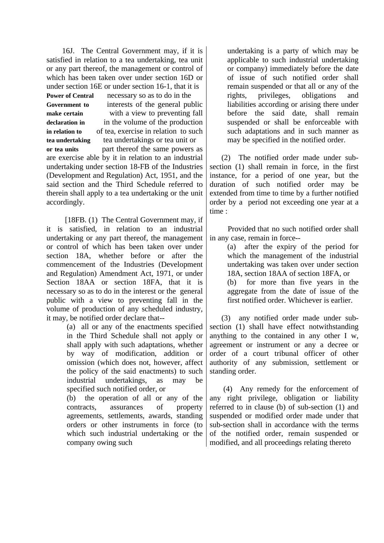16J. The Central Government may, if it is satisfied in relation to a tea undertaking, tea unit or any part thereof, the management or control of which has been taken over under section 16D or under section 16E or under section 16-1, that it is

**Power of Central** necessary so as to do in the **Government to** interests of the general public **make certain** with a view to preventing fall **declaration in** in the volume of the production **in relation to** of tea, exercise in relation to such **tea undertaking** tea undertakings or tea unit or **or tea units** part thereof the same powers as are exercise able by it in relation to an industrial undertaking under section 18-FB of the Industries (Development and Regulation) Act, 1951, and the said section and the Third Schedule referred to therein shall apply to a tea undertaking or the unit accordingly.

 [18FB. (1) The Central Government may, if it is satisfied, in relation to an industrial undertaking or any part thereof, the management or control of which has been taken over under section 18A, whether before or after the commencement of the Industries (Development and Regulation) Amendment Act, 1971, or under Section 18AA or section 18FA, that it is necessary so as to do in the interest or the general public with a view to preventing fall in the volume of production of any scheduled industry, it may, be notified order declare that--

> (a) all or any of the enactments specified in the Third Schedule shall not apply or shall apply with such adaptations, whether by way of modification, addition or omission (which does not, however, affect the policy of the said enactments) to such industrial undertakings, as may be specified such notified order, or

> (b) the operation of all or any of the contracts, assurances of property agreements, settlements, awards, standing orders or other instruments in force (to which such industrial undertaking or the company owing such

undertaking is a party of which may be applicable to such industrial undertaking or company) immediately before the date of issue of such notified order shall remain suspended or that all or any of the rights, privileges, obligations and liabilities according or arising there under before the said date, shall remain suspended or shall be enforceable with such adaptations and in such manner as may be specified in the notified order.

 (2) The notified order made under subsection (1) shall remain in force, in the first instance, for a period of one year, but the duration of such notified order may be extended from time to time by a further notified order by a period not exceeding one year at a time :

 Provided that no such notified order shall in any case, remain in force--

> (a) after the expiry of the period for which the management of the industrial undertaking was taken over under section 18A, section 18AA of section 18FA, or (b) for more than five years in the aggregate from the date of issue of the first notified order. Whichever is earlier.

 (3) any notified order made under subsection (1) shall have effect notwithstanding anything to the contained in any other I w, agreement or instrument or any a decree or order of a court tribunal officer of other authority of any submission, settlement or standing order.

 (4) Any remedy for the enforcement of any right privilege, obligation or liability referred to in clause (b) of sub-section (1) and suspended or modified order made under that sub-section shall in accordance with the terms of the notified order, remain suspended or modified, and all proceedings relating thereto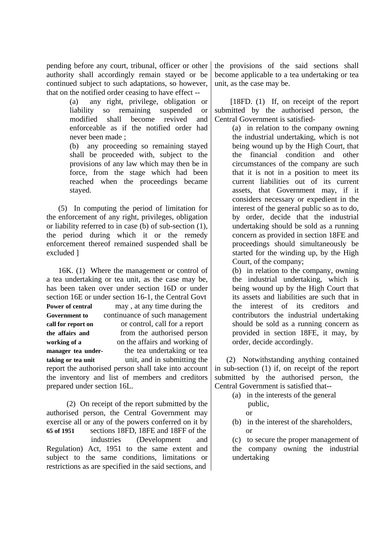pending before any court, tribunal, officer or other authority shall accordingly remain stayed or be continued subject to such adaptations, so however, that on the notified order ceasing to have effect --

(a) any right, privilege, obligation or liability so remaining suspended or modified shall become revived and enforceable as if the notified order had never been made ;

(b) any proceeding so remaining stayed shall be proceeded with, subject to the provisions of any law which may then be in force, from the stage which had been reached when the proceedings became stayed.

 (5) In computing the period of limitation for the enforcement of any right, privileges, obligation or liability referred to in case (b) of sub-section (1), the period during which it or the remedy enforcement thereof remained suspended shall be excluded ]

 16K. (1) Where the management or control of a tea undertaking or tea unit, as the case may be, has been taken over under section 16D or under section 16E or under section 16-1, the Central Govt **Power of central may** , at any time during the **Government to continuance of such management call for report on** or control, call for a report **the affairs and** from the authorised person **working of a** on the affairs and working of **manager tea under-** the tea undertaking or tea **taking or tea unit** unit, and in submitting the report the authorised person shall take into account the inventory and list of members and creditors prepared under section 16L.

 (2) On receipt of the report submitted by the authorised person, the Central Government may exercise all or any of the powers conferred on it by **65 of 1951** sections 18FD, 18FE and 18FF of the industries (Development and Regulation) Act, 1951 to the same extent and subject to the same conditions, limitations or restrictions as are specified in the said sections, and

the provisions of the said sections shall become applicable to a tea undertaking or tea unit, as the case may be.

[18FD. (1) If, on receipt of the report submitted by the authorised person, the Central Government is satisfied-

> (a) in relation to the company owning the industrial undertaking, which is not being wound up by the High Court, that the financial condition and other circumstances of the company are such that it is not in a position to meet its current liabilities out of its current assets, that Government may, if it considers necessary or expedient in the interest of the general public so as to do, by order, decide that the industrial undertaking should be sold as a running concern as provided in section 18FE and proceedings should simultaneously be started for the winding up, by the High Court, of the company;

> (b) in relation to the company, owning the industrial undertaking, which is being wound up by the High Court that its assets and liabilities are such that in the interest of its creditors and contributors the industrial undertaking should be sold as a running concern as provided in section 18FE, it may, by order, decide accordingly.

 (2) Notwithstanding anything contained in sub-section (1) if, on receipt of the report submitted by the authorised person, the Central Government is satisfied that--

- (a) in the interests of the general public,
	- or
- (b) in the interest of the shareholders, or

(c) to secure the proper management of the company owning the industrial undertaking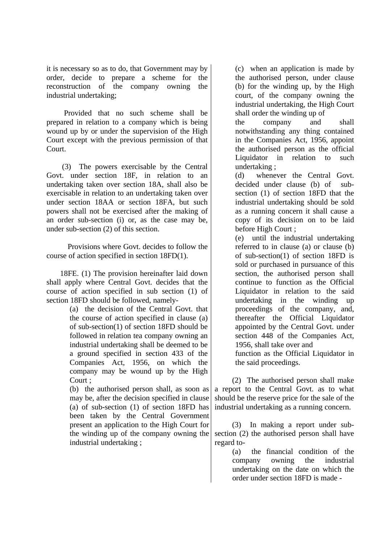it is necessary so as to do, that Government may by order, decide to prepare a scheme for the reconstruction of the company owning the industrial undertaking;

 Provided that no such scheme shall be prepared in relation to a company which is being wound up by or under the supervision of the High Court except with the previous permission of that Court.

 (3) The powers exercisable by the Central Govt. under section 18F, in relation to an undertaking taken over section 18A, shall also be exercisable in relation to an undertaking taken over under section 18AA or section 18FA, but such powers shall not be exercised after the making of an order sub-section (i) or, as the case may be, under sub-section (2) of this section.

 Provisions where Govt. decides to follow the course of action specified in section 18FD(1).

 18FE. (1) The provision hereinafter laid down shall apply where Central Govt. decides that the course of action specified in sub section (1) of section 18FD should be followed, namely-

> (a) the decision of the Central Govt. that the course of action specified in clause (a) of sub-section(1) of section 18FD should be followed in relation tea company owning an industrial undertaking shall be deemed to be a ground specified in section 433 of the Companies Act, 1956, on which the company may be wound up by the High Court ;

(b) the authorised person shall, as soon as may be, after the decision specified in clause (a) of sub-section (1) of section 18FD has been taken by the Central Government present an application to the High Court for the winding up of the company owning the industrial undertaking ;

(c) when an application is made by the authorised person, under clause (b) for the winding up, by the High court, of the company owning the industrial undertaking, the High Court shall order the winding up of

the company and shall notwithstanding any thing contained in the Companies Act, 1956, appoint the authorised person as the official Liquidator in relation to such undertaking ;

(d) whenever the Central Govt. decided under clause (b) of subsection (1) of section 18FD that the industrial undertaking should be sold as a running concern it shall cause a copy of its decision on to be laid before High Court ;

(e) until the industrial undertaking referred to in clause (a) or clause (b) of sub-section(1) of section 18FD is sold or purchased in pursuance of this section, the authorised person shall continue to function as the Official Liquidator in relation to the said undertaking in the winding up proceedings of the company, and, thereafter the Official Liquidator appointed by the Central Govt. under section 448 of the Companies Act, 1956, shall take over and

function as the Official Liquidator in the said proceedings.

 (2) The authorised person shall make a report to the Central Govt. as to what should be the reserve price for the sale of the industrial undertaking as a running concern.

 (3) In making a report under subsection (2) the authorised person shall have regard to-

> (a) the financial condition of the company owning the industrial undertaking on the date on which the order under section 18FD is made -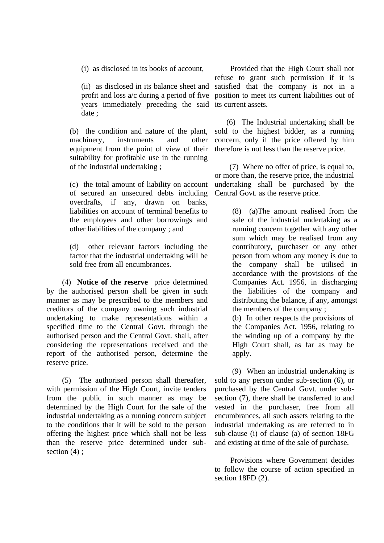(i) as disclosed in its books of account,

(ii) as disclosed in its balance sheet and profit and loss a/c during a period of five years immediately preceding the said date ;

(b) the condition and nature of the plant, machinery, instruments and other equipment from the point of view of their suitability for profitable use in the running of the industrial undertaking ;

(c) the total amount of liability on account of secured an unsecured debts including overdrafts, if any, drawn on banks, liabilities on account of terminal benefits to the employees and other borrowings and other liabilities of the company ; and

(d) other relevant factors including the factor that the industrial undertaking will be sold free from all encumbrances.

 (4) **Notice of the reserve** price determined by the authorised person shall be given in such manner as may be prescribed to the members and creditors of the company owning such industrial undertaking to make representations within a specified time to the Central Govt. through the authorised person and the Central Govt. shall, after considering the representations received and the report of the authorised person, determine the reserve price.

 (5) The authorised person shall thereafter, with permission of the High Court, invite tenders from the public in such manner as may be determined by the High Court for the sale of the industrial undertaking as a running concern subject to the conditions that it will be sold to the person offering the highest price which shall not be less than the reserve price determined under subsection (4) :

 Provided that the High Court shall not refuse to grant such permission if it is satisfied that the company is not in a position to meet its current liabilities out of its current assets.

 (6) The Industrial undertaking shall be sold to the highest bidder, as a running concern, only if the price offered by him therefore is not less than the reserve price.

 (7) Where no offer of price, is equal to, or more than, the reserve price, the industrial undertaking shall be purchased by the Central Govt. as the reserve price.

> (8) (a)The amount realised from the sale of the industrial undertaking as a running concern together with any other sum which may be realised from any contributory, purchaser or any other person from whom any money is due to the company shall be utilised in accordance with the provisions of the Companies Act. 1956, in discharging the liabilities of the company and distributing the balance, if any, amongst the members of the company ;

(b) In other respects the provisions of the Companies Act. 1956, relating to the winding up of a company by the High Court shall, as far as may be apply.

 (9) When an industrial undertaking is sold to any person under sub-section (6), or purchased by the Central Govt. under subsection (7), there shall be transferred to and vested in the purchaser, free from all encumbrances, all such assets relating to the industrial undertaking as are referred to in sub-clause (i) of clause (a) of section 18FG and existing at time of the sale of purchase.

 Provisions where Government decides to follow the course of action specified in section 18FD  $(2)$ .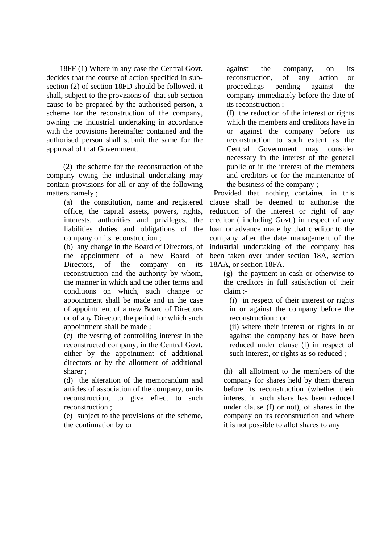18FF (1) Where in any case the Central Govt. decides that the course of action specified in subsection (2) of section 18FD should be followed, it shall, subject to the provisions of that sub-section cause to be prepared by the authorised person, a scheme for the reconstruction of the company, owning the industrial undertaking in accordance with the provisions hereinafter contained and the authorised person shall submit the same for the approval of that Government.

 (2) the scheme for the reconstruction of the company owing the industrial undertaking may contain provisions for all or any of the following matters namely ;

> (a) the constitution, name and registered office, the capital assets, powers, rights, interests, authorities and privileges, the liabilities duties and obligations of the company on its reconstruction ;

> (b) any change in the Board of Directors, of the appointment of a new Board of Directors, of the company on its reconstruction and the authority by whom, the manner in which and the other terms and conditions on which, such change or appointment shall be made and in the case of appointment of a new Board of Directors or of any Director, the period for which such appointment shall be made ;

> (c) the vesting of controlling interest in the reconstructed company, in the Central Govt. either by the appointment of additional directors or by the allotment of additional sharer ;

> (d) the alteration of the memorandum and articles of association of the company, on its reconstruction, to give effect to such reconstruction ;

(e) subject to the provisions of the scheme, the continuation by or

against the company, on its reconstruction, of any action or proceedings pending against the company immediately before the date of its reconstruction ;

(f) the reduction of the interest or rights which the members and creditors have in or against the company before its reconstruction to such extent as the Central Government may consider necessary in the interest of the general public or in the interest of the members and creditors or for the maintenance of the business of the company ;

 Provided that nothing contained in this clause shall be deemed to authorise the reduction of the interest or right of any creditor ( including Govt.) in respect of any loan or advance made by that creditor to the company after the date management of the industrial undertaking of the company has been taken over under section 18A, section 18AA, or section 18FA.

(g) the payment in cash or otherwise to the creditors in full satisfaction of their claim :-

(i) in respect of their interest or rights in or against the company before the reconstruction ; or

(ii) where their interest or rights in or against the company has or have been reduced under clause (f) in respect of such interest, or rights as so reduced ;

(h) all allotment to the members of the company for shares held by them therein before its reconstruction (whether their interest in such share has been reduced under clause (f) or not), of shares in the company on its reconstruction and where it is not possible to allot shares to any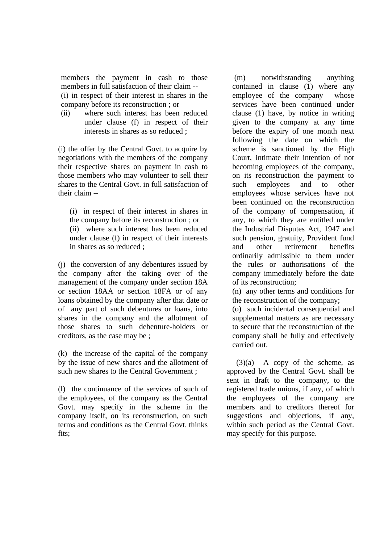members the payment in cash to those members in full satisfaction of their claim -- (i) in respect of their interest in shares in the company before its reconstruction ; or

(ii) where such interest has been reduced under clause (f) in respect of their interests in shares as so reduced ;

(i) the offer by the Central Govt. to acquire by negotiations with the members of the company their respective shares on payment in cash to those members who may volunteer to sell their shares to the Central Govt. in full satisfaction of their claim --

(i) in respect of their interest in shares in the company before its reconstruction ; or (ii) where such interest has been reduced under clause (f) in respect of their interests in shares as so reduced ;

(j) the conversion of any debentures issued by the company after the taking over of the management of the company under section 18A or section 18AA or section 18FA or of any loans obtained by the company after that date or of any part of such debentures or loans, into shares in the company and the allotment of those shares to such debenture-holders or creditors, as the case may be ;

(k) the increase of the capital of the company by the issue of new shares and the allotment of such new shares to the Central Government ;

(l) the continuance of the services of such of the employees, of the company as the Central Govt. may specify in the scheme in the company itself, on its reconstruction, on such terms and conditions as the Central Govt. thinks fits;

 (m) notwithstanding anything contained in clause (1) where any employee of the company whose services have been continued under clause (1) have, by notice in writing given to the company at any time before the expiry of one month next following the date on which the scheme is sanctioned by the High Court, intimate their intention of not becoming employees of the company, on its reconstruction the payment to such employees and to other employees whose services have not been continued on the reconstruction of the company of compensation, if any, to which they are entitled under the Industrial Disputes Act, 1947 and such pension, gratuity, Provident fund and other retirement benefits ordinarily admissible to them under the rules or authorisations of the company immediately before the date of its reconstruction;

(n) any other terms and conditions for the reconstruction of the company;

(o) such incidental consequential and supplemental matters as are necessary to secure that the reconstruction of the company shall be fully and effectively carried out.

 $(3)(a)$  A copy of the scheme, as approved by the Central Govt. shall be sent in draft to the company, to the registered trade unions, if any, of which the employees of the company are members and to creditors thereof for suggestions and objections, if any, within such period as the Central Govt. may specify for this purpose.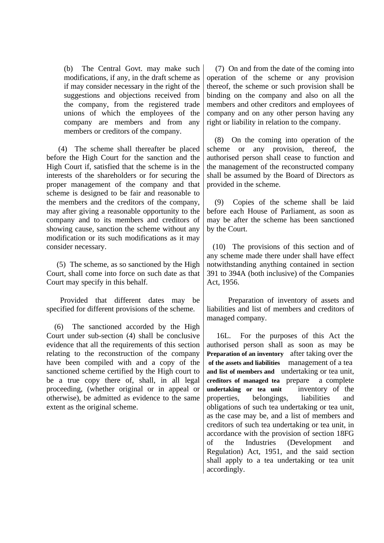(b) The Central Govt. may make such modifications, if any, in the draft scheme as if may consider necessary in the right of the suggestions and objections received from the company, from the registered trade unions of which the employees of the company are members and from any members or creditors of the company.

 (4) The scheme shall thereafter be placed before the High Court for the sanction and the High Court if, satisfied that the scheme is in the interests of the shareholders or for securing the proper management of the company and that scheme is designed to be fair and reasonable to the members and the creditors of the company, may after giving a reasonable opportunity to the company and to its members and creditors of showing cause, sanction the scheme without any modification or its such modifications as it may consider necessary.

 (5) The scheme, as so sanctioned by the High Court, shall come into force on such date as that Court may specify in this behalf.

 Provided that different dates may be specified for different provisions of the scheme.

 (6) The sanctioned accorded by the High Court under sub-section (4) shall be conclusive evidence that all the requirements of this section relating to the reconstruction of the company have been compiled with and a copy of the sanctioned scheme certified by the High court to be a true copy there of, shall, in all legal proceeding, (whether original or in appeal or otherwise), be admitted as evidence to the same extent as the original scheme.

 (7) On and from the date of the coming into operation of the scheme or any provision thereof, the scheme or such provision shall be binding on the company and also on all the members and other creditors and employees of company and on any other person having any right or liability in relation to the company.

 (8) On the coming into operation of the scheme or any provision, thereof, the authorised person shall cease to function and the management of the reconstructed company shall be assumed by the Board of Directors as provided in the scheme.

 (9) Copies of the scheme shall be laid before each House of Parliament, as soon as may be after the scheme has been sanctioned by the Court.

 (10) The provisions of this section and of any scheme made there under shall have effect notwithstanding anything contained in section 391 to 394A (both inclusive) of the Companies Act, 1956.

 Preparation of inventory of assets and liabilities and list of members and creditors of managed company.

 16L. For the purposes of this Act the authorised person shall as soon as may be **Preparation of an inventory** after taking over the  **of the assets and liabilities** management of a tea **and list of members and** undertaking or tea unit, **creditors of managed tea** preparea complete **undertaking or tea unit** inventory of the properties, belongings, liabilities and obligations of such tea undertaking or tea unit, as the case may be, and a list of members and creditors of such tea undertaking or tea unit, in accordance with the provision of section 18FG of the Industries (Development and Regulation) Act, 1951, and the said section shall apply to a tea undertaking or tea unit accordingly.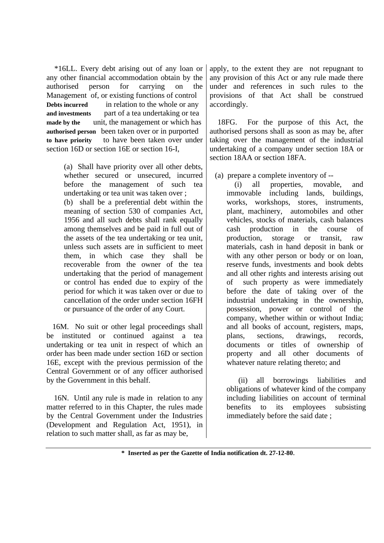\*16LL. Every debt arising out of any loan or any other financial accommodation obtain by the authorised person for carrying on the Management of, or existing functions of control **Debts incurred** in relation to the whole or any **and investments** part of a tea undertaking or tea **made by the** unit, the management or which has **authorised person** been taken over or in purported **to have priority** to have been taken over under section 16D or section 16E or section 16-I,

> (a) Shall have priority over all other debts, whether secured or unsecured, incurred before the management of such tea undertaking or tea unit was taken over ; (b) shall be a preferential debt within the meaning of section 530 of companies Act, 1956 and all such debts shall rank equally among themselves and be paid in full out of the assets of the tea undertaking or tea unit, unless such assets are in sufficient to meet them, in which case they shall be recoverable from the owner of the tea undertaking that the period of management or control has ended due to expiry of the period for which it was taken over or due to cancellation of the order under section 16FH or pursuance of the order of any Court.

 16M. No suit or other legal proceedings shall be instituted or continued against a tea undertaking or tea unit in respect of which an order has been made under section 16D or section 16E, except with the previous permission of the Central Government or of any officer authorised by the Government in this behalf.

 16N. Until any rule is made in relation to any matter referred to in this Chapter, the rules made by the Central Government under the Industries (Development and Regulation Act, 1951), in relation to such matter shall, as far as may be,

apply, to the extent they are not repugnant to any provision of this Act or any rule made there under and references in such rules to the provisions of that Act shall be construed accordingly.

 18FG. For the purpose of this Act, the authorised persons shall as soon as may be, after taking over the management of the industrial undertaking of a company under section 18A or section 18AA or section 18FA.

(a) prepare a complete inventory of --

 (i) all properties, movable, and immovable including lands, buildings, works, workshops, stores, instruments, plant, machinery, automobiles and other vehicles, stocks of materials, cash balances cash production in the course of production, storage or transit, raw materials, cash in hand deposit in bank or with any other person or body or on loan, reserve funds, investments and book debts and all other rights and interests arising out of such property as were immediately before the date of taking over of the industrial undertaking in the ownership, possession, power or control of the company, whether within or without India; and all books of account, registers, maps, plans, sections, drawings, records, documents or titles of ownership of property and all other documents of whatever nature relating thereto; and

 (ii) all borrowings liabilities and obligations of whatever kind of the company including liabilities on account of terminal benefits to its employees subsisting immediately before the said date ;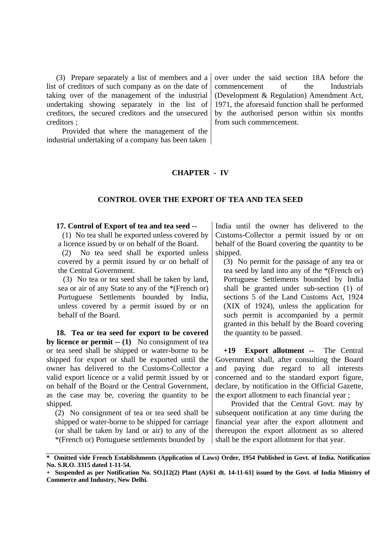(3) Prepare separately a list of members and a list of creditors of such company as on the date of taking over of the management of the industrial undertaking showing separately in the list of creditors, the secured creditors and the unsecured creditors ;

 Provided that where the management of the industrial undertaking of a company has been taken over under the said section 18A before the commencement of the Industrials (Development & Regulation) Amendment Act, 1971, the aforesaid function shall be performed by the authorised person within six months from such commencement.

## **CHAPTER - IV**

### **CONTROL OVER THE EXPORT OF TEA AND TEA SEED**

**17. Control of Export of tea and tea seed --**

 (1) No tea shall be exported unless covered by a licence issued by or on behalf of the Board.

 (2) No tea seed shall be exported unless covered by a permit issued by or on behalf of the Central Government.

 (3) No tea or tea seed shall be taken by land, sea or air of any State to any of the \*(French or) Portuguese Settlements bounded by India, unless covered by a permit issued by or on behalf of the Board.

 **18. Tea or tea seed for export to be covered by licence or permit -- (1)** No consignment of tea or tea seed shall be shipped or water-borne to be shipped for export or shall be exported until the owner has delivered to the Customs-Collector a valid export licence or a valid permit issued by or on behalf of the Board or the Central Government, as the case may be, covering the quantity to be shipped.

(2) No consignment of tea or tea seed shall be shipped or water-borne to be shipped for carriage (or shall be taken by land or air) to any of the \*(French or) Portuguese settlements bounded by

India until the owner has delivered to the Customs-Collector a permit issued by or on behalf of the Board covering the quantity to be shipped.

(3) No permit for the passage of any tea or tea seed by land into any of the \*(French or) Portuguese Settlements bounded by India shall be granted under sub-section (1) of sections 5 of the Land Customs Act, 1924 (XIX of 1924), unless the application for such permit is accompanied by a permit granted in this behalf by the Board covering the quantity to be passed.

 **+19 Export allotment --** The Central Government shall, after consulting the Board and paying due regard to all interests concerned and to the standard export figure, declare, by notification in the Official Gazette, the export allotment to each financial year ;

 Provided that the Central Govt. may by subsequent notification at any time during the financial year after the export allotment and thereupon the export allotment as so altered shall be the export allotment for that year.

**<sup>\*</sup> Omitted vide French Establishments (Application of Laws) Order, 1954 Published in Govt. of India. Notification No. S.R.O. 3315 dated 1-11-54.**

**<sup>+</sup> Suspended as per Notification No. SO.[12(2) Plant (A)/61 dt. 14-11-61] issued by the Govt. of India Ministry of Commerce and Industry, New Delhi.**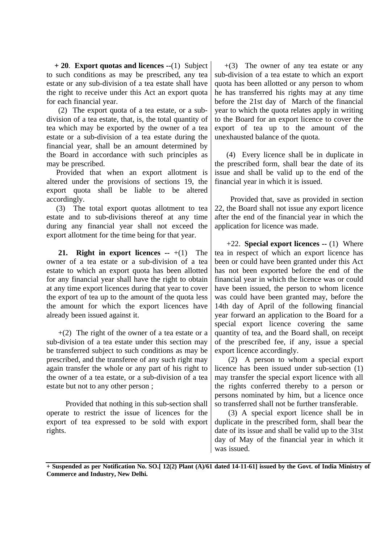**+ 20**. **Export quotas and licences --**(1)Subject to such conditions as may be prescribed, any tea estate or any sub-division of a tea estate shall have the right to receive under this Act an export quota for each financial year.

 (2) The export quota of a tea estate, or a subdivision of a tea estate, that, is, the total quantity of tea which may be exported by the owner of a tea estate or a sub-division of a tea estate during the financial year, shall be an amount determined by the Board in accordance with such principles as may be prescribed.

 Provided that when an export allotment is altered under the provisions of sections 19, the export quota shall be liable to be altered accordingly.

 (3) The total export quotas allotment to tea estate and to sub-divisions thereof at any time during any financial year shall not exceed the export allotment for the time being for that year.

**21.** Right in export licences  $-+(1)$  The owner of a tea estate or a sub-division of a tea estate to which an export quota has been allotted for any financial year shall have the right to obtain at any time export licences during that year to cover the export of tea up to the amount of the quota less the amount for which the export licences have already been issued against it.

 $+(2)$  The right of the owner of a tea estate or a sub-division of a tea estate under this section may be transferred subject to such conditions as may be prescribed, and the transferee of any such right may again transfer the whole or any part of his right to the owner of a tea estate, or a sub-division of a tea estate but not to any other person ;

 Provided that nothing in this sub-section shall operate to restrict the issue of licences for the export of tea expressed to be sold with export rights.

 $+(3)$  The owner of any tea estate or any sub-division of a tea estate to which an export quota has been allotted or any person to whom he has transferred his rights may at any time before the 21st day of March of the financial year to which the quota relates apply in writing to the Board for an export licence to cover the export of tea up to the amount of the unexhausted balance of the quota.

 (4) Every licence shall be in duplicate in the prescribed form, shall bear the date of its issue and shall be valid up to the end of the financial year in which it is issued.

 Provided that, save as provided in section 22, the Board shall not issue any export licence after the end of the financial year in which the application for licence was made.

 +22. **Special export licences --** (1)Where tea in respect of which an export licence has been or could have been granted under this Act has not been exported before the end of the financial year in which the licence was or could have been issued, the person to whom licence was could have been granted may, before the 14th day of April of the following financial year forward an application to the Board for a special export licence covering the same quantity of tea, and the Board shall, on receipt of the prescribed fee, if any, issue a special export licence accordingly.

 (2) A person to whom a special export licence has been issued under sub-section (1) may transfer the special export licence with all the rights conferred thereby to a person or persons nominated by him, but a licence once so transferred shall not be further transferable.

 (3) A special export licence shall be in duplicate in the prescribed form, shall bear the date of its issue and shall be valid up to the 31st day of May of the financial year in which it was issued.

**+ Suspended as per Notification No. SO.[ 12(2) Plant (A)/61 dated 14-11-61] issued by the Govt. of India Ministry of Commerce and Industry, New Delhi.**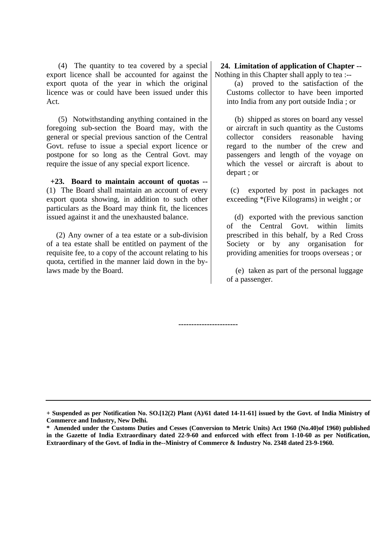(4) The quantity to tea covered by a special export licence shall be accounted for against the export quota of the year in which the original licence was or could have been issued under this Act.

 (5) Notwithstanding anything contained in the foregoing sub-section the Board may, with the general or special previous sanction of the Central Govt. refuse to issue a special export licence or postpone for so long as the Central Govt. may require the issue of any special export licence.

 **+23. Board to maintain account of quotas --** (1)The Board shall maintain an account of every export quota showing, in addition to such other particulars as the Board may think fit, the licences issued against it and the unexhausted balance.

 (2) Any owner of a tea estate or a sub-division of a tea estate shall be entitled on payment of the requisite fee, to a copy of the account relating to his quota, certified in the manner laid down in the bylaws made by the Board.

 **24. Limitation of application of Chapter --** Nothing in this Chapter shall apply to tea :--

 (a) proved to the satisfaction of the Customs collector to have been imported into India from any port outside India ; or

 (b) shipped as stores on board any vessel or aircraft in such quantity as the Customs collector considers reasonable having regard to the number of the crew and passengers and length of the voyage on which the vessel or aircraft is about to depart ; or

 (c) exported by post in packages not exceeding \*(Five Kilograms) in weight ; or

 (d) exported with the previous sanction of the Central Govt. within limits prescribed in this behalf, by a Red Cross Society or by any organisation for providing amenities for troops overseas ; or

 (e) taken as part of the personal luggage of a passenger.

**-----------------------**

**<sup>+</sup> Suspended as per Notification No. SO.[12(2) Plant (A)/61 dated 14-11-61] issued by the Govt. of India Ministry of Commerce and Industry, New Delhi.**

**<sup>\*</sup> Amended under the Customs Duties and Cesses (Conversion to Metric Units) Act 1960 (No.40)of 1960) published in the Gazette of India Extraordinary dated 22-9-60 and enforced with effect from 1-10-60 as per Notification, Extraordinary of the Govt. of India in the--Ministry of Commerce & Industry No. 2348 dated 23-9-1960.**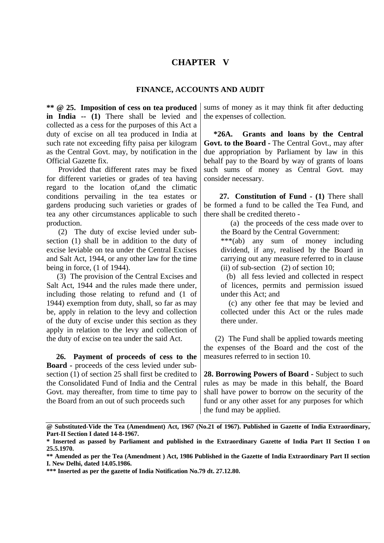## **CHAPTER V**

## **FINANCE, ACCOUNTS AND AUDIT**

**\*\* @ 25. Imposition of cess on tea produced in India -- (1)** There shall be levied and collected as a cess for the purposes of this Act a duty of excise on all tea produced in India at such rate not exceeding fifty paisa per kilogram as the Central Govt. may, by notification in the Official Gazette fix.

 Provided that different rates may be fixed for different varieties or grades of tea having regard to the location of,and the climatic conditions pervailing in the tea estates or gardens producing such varieties or grades of tea any other circumstances applicable to such production.

 (2) The duty of excise levied under subsection (1) shall be in addition to the duty of excise leviable on tea under the Central Excises and Salt Act, 1944, or any other law for the time being in force, (1 of 1944).

 (3) The provision of the Central Excises and Salt Act, 1944 and the rules made there under, including those relating to refund and (1 of 1944) exemption from duty, shall, so far as may be, apply in relation to the levy and collection of the duty of excise under this section as they apply in relation to the levy and collection of the duty of excise on tea under the said Act.

 **26. Payment of proceeds of cess to the Board -** proceeds of the cess levied under subsection (1) of section 25 shall first be credited to the Consolidated Fund of India and the Central Govt. may thereafter, from time to time pay to the Board from an out of such proceeds such

sums of money as it may think fit after deducting the expenses of collection.

 **\*26A. Grants and loans by the Central Govt. to the Board -** The Central Govt., may after due appropriation by Parliament by law in this behalf pay to the Board by way of grants of loans such sums of money as Central Govt. may consider necessary.

 **27. Constitution of Fund - (1)** There shall be formed a fund to be called the Tea Fund, and there shall be credited thereto -

 (a) the proceeds of the cess made over to the Board by the Central Government:

\*\*\*(ab) any sum of money including dividend, if any, realised by the Board in carrying out any measure referred to in clause (ii) of sub-section  $(2)$  of section 10;

 (b) all fess levied and collected in respect of licences, permits and permission issued under this Act; and

 (c) any other fee that may be levied and collected under this Act or the rules made there under.

 (2) The Fund shall be applied towards meeting the expenses of the Board and the cost of the measures referred to in section 10.

**28. Borrowing Powers of Board -** Subject to such rules as may be made in this behalf, the Board shall have power to borrow on the security of the fund or any other asset for any purposes for which the fund may be applied.

**<sup>@</sup> Substituted-Vide the Tea (Amendment) Act, 1967 (No.21 of 1967). Published in Gazette of India Extraordinary, Part-II Section I dated 14-8-1967.**

**<sup>\*</sup> Inserted as passed by Parliament and published in the Extraordinary Gazette of India Part II Section I on 25.5.1970.**

**<sup>\*\*</sup> Amended as per the Tea (Amendment ) Act, 1986 Published in the Gazette of India Extraordinary Part II section I. New Delhi, dated 14.05.1986.**

**<sup>\*\*\*</sup> Inserted as per the gazette of India Notification No.79 dt. 27.12.80.**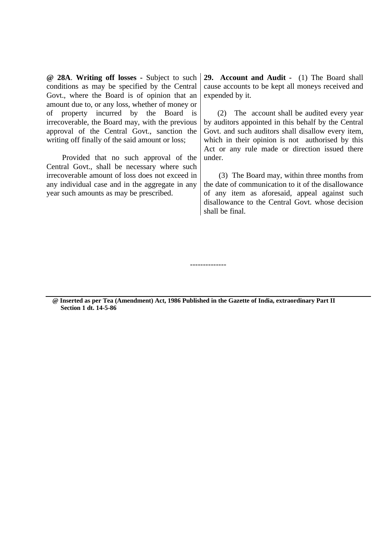**@ 28A**. **Writing off losses -** Subject to such conditions as may be specified by the Central Govt., where the Board is of opinion that an amount due to, or any loss, whether of money or of property incurred by the Board is irrecoverable, the Board may, with the previous approval of the Central Govt., sanction the writing off finally of the said amount or loss;

 Provided that no such approval of the Central Govt., shall be necessary where such irrecoverable amount of loss does not exceed in any individual case and in the aggregate in any year such amounts as may be prescribed.

**29. Account and Audit -** (1) The Board shall cause accounts to be kept all moneys received and expended by it.

 (2) The account shall be audited every year by auditors appointed in this behalf by the Central Govt. and such auditors shall disallow every item, which in their opinion is not authorised by this Act or any rule made or direction issued there under.

 (3) The Board may, within three months from the date of communication to it of the disallowance of any item as aforesaid, appeal against such disallowance to the Central Govt. whose decision shall be final.

--------------

**@ Inserted as per Tea (Amendment) Act, 1986 Published in the Gazette of India, extraordinary Part II Section 1 dt. 14-5-86**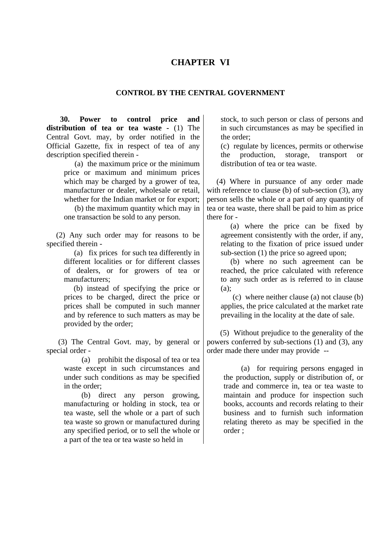## **CHAPTER VI**

### **CONTROL BY THE CENTRAL GOVERNMENT**

 **30. Power to control price and distribution of tea or tea waste -** (1) The Central Govt. may, by order notified in the Official Gazette, fix in respect of tea of any description specified therein -

> (a) the maximum price or the minimum price or maximum and minimum prices which may be charged by a grower of tea, manufacturer or dealer, wholesale or retail. whether for the Indian market or for export;

> (b) the maximum quantity which may in one transaction be sold to any person.

 (2) Any such order may for reasons to be specified therein -

> (a) fix prices for such tea differently in different localities or for different classes of dealers, or for growers of tea or manufacturers;

> (b) instead of specifying the price or prices to be charged, direct the price or prices shall be computed in such manner and by reference to such matters as may be provided by the order;

 (3) The Central Govt. may, by general or special order -

> (a) prohibit the disposal of tea or tea waste except in such circumstances and under such conditions as may be specified in the order;

> (b) direct any person growing, manufacturing or holding in stock, tea or tea waste, sell the whole or a part of such tea waste so grown or manufactured during any specified period, or to sell the whole or a part of the tea or tea waste so held in

stock, to such person or class of persons and in such circumstances as may be specified in the order;

(c) regulate by licences, permits or otherwise the production, storage, transport or distribution of tea or tea waste.

 (4) Where in pursuance of any order made with reference to clause (b) of sub-section (3), any person sells the whole or a part of any quantity of tea or tea waste, there shall be paid to him as price there for -

 (a) where the price can be fixed by agreement consistently with the order, if any, relating to the fixation of price issued under sub-section (1) the price so agreed upon;

 (b) where no such agreement can be reached, the price calculated with reference to any such order as is referred to in clause (a);

 (c) where neither clause (a) not clause (b) applies, the price calculated at the market rate prevailing in the locality at the date of sale.

 (5) Without prejudice to the generality of the powers conferred by sub-sections (1) and (3), any order made there under may provide --

> (a) for requiring persons engaged in the production, supply or distribution of, or trade and commerce in, tea or tea waste to maintain and produce for inspection such books, accounts and records relating to their business and to furnish such information relating thereto as may be specified in the order ;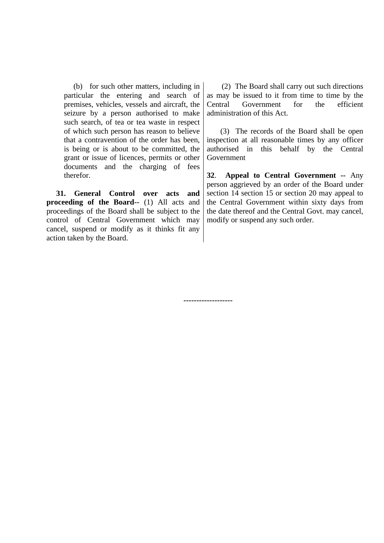(b) for such other matters, including in particular the entering and search of premises, vehicles, vessels and aircraft, the seizure by a person authorised to make such search, of tea or tea waste in respect of which such person has reason to believe that a contravention of the order has been, is being or is about to be committed, the grant or issue of licences, permits or other documents and the charging of fees therefor.

 **31. General Control over acts and proceeding of the Board--** (1) All acts and proceedings of the Board shall be subject to the control of Central Government which may cancel, suspend or modify as it thinks fit any action taken by the Board.

 (2) The Board shall carry out such directions as may be issued to it from time to time by the Central Government for the efficient administration of this Act.

 (3) The records of the Board shall be open inspection at all reasonable times by any officer authorised in this behalf by the Central Government

**32**. **Appeal to Central Government --** Any person aggrieved by an order of the Board under section 14 section 15 or section 20 may appeal to the Central Government within sixty days from the date thereof and the Central Govt. may cancel, modify or suspend any such order.

**-------------------**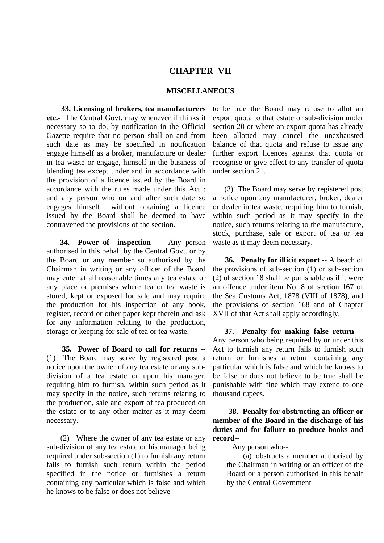## **CHAPTER VII**

## **MISCELLANEOUS**

 **33. Licensing of brokers, tea manufacturers etc.-** The Central Govt. may whenever if thinks it necessary so to do, by notification in the Official Gazette require that no person shall on and from such date as may be specified in notification engage himself as a broker, manufacture or dealer in tea waste or engage, himself in the business of blending tea except under and in accordance with the provision of a licence issued by the Board in accordance with the rules made under this Act : and any person who on and after such date so engages himself without obtaining a licence issued by the Board shall be deemed to have contravened the provisions of the section.

 **34. Power of inspection --** Any person authorised in this behalf by the Central Govt. or by the Board or any member so authorised by the Chairman in writing or any officer of the Board may enter at all reasonable times any tea estate or any place or premises where tea or tea waste is stored, kept or exposed for sale and may require the production for his inspection of any book, register, record or other paper kept therein and ask for any information relating to the production, storage or keeping for sale of tea or tea waste.

 **35. Power of Board to call for returns --** (1)The Board may serve by registered post a notice upon the owner of any tea estate or any subdivision of a tea estate or upon his manager, requiring him to furnish, within such period as it may specify in the notice, such returns relating to the production, sale and export of tea produced on the estate or to any other matter as it may deem necessary.

 (2) Where the owner of any tea estate or any sub-division of any tea estate or his manager being required under sub-section (1) to furnish any return fails to furnish such return within the period specified in the notice or furnishes a return containing any particular which is false and which he knows to be false or does not believe

to be true the Board may refuse to allot an export quota to that estate or sub-division under section 20 or where an export quota has already been allotted may cancel the unexhausted balance of that quota and refuse to issue any further export licences against that quota or recognise or give effect to any transfer of quota under section 21.

 (3) The Board may serve by registered post a notice upon any manufacturer, broker, dealer or dealer in tea waste, requiring him to furnish, within such period as it may specify in the notice, such returns relating to the manufacture, stock, purchase, sale or export of tea or tea waste as it may deem necessary.

 **36. Penalty for illicit export --** A beach of the provisions of sub-section (1) or sub-section (2) of section 18 shall be punishable as if it were an offence under item No. 8 of section 167 of the Sea Customs Act, 1878 (VIII of 1878), and the provisions of section 168 and of Chapter XVII of that Act shall apply accordingly.

 **37. Penalty for making false return --** Any person who being required by or under this Act to furnish any return fails to furnish such return or furnishes a return containing any particular which is false and which he knows to be false or does not believe to be true shall be punishable with fine which may extend to one thousand rupees.

 **38. Penalty for obstructing an officer or member of the Board in the discharge of his duties and for failure to produce books and record--**

Any person who--

 (a) obstructs a member authorised by the Chairman in writing or an officer of the Board or a person authorised in this behalf by the Central Government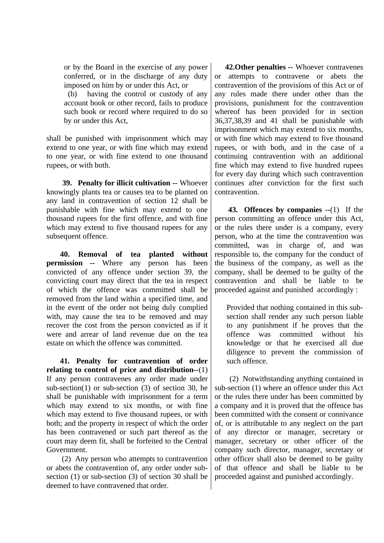or by the Board in the exercise of any power conferred, or in the discharge of any duty imposed on him by or under this Act, or

 (b) having the control or custody of any account book or other record, fails to produce such book or record where required to do so by or under this Act,

shall be punished with imprisonment which may extend to one year, or with fine which may extend to one year, or with fine extend to one thousand rupees, or with both.

 **39. Penalty for illicit cultivation --** Whoever knowingly plants tea or causes tea to be planted on any land in contravention of section 12 shall be punishable with fine which may extend to one thousand rupees for the first offence, and with fine which may extend to five thousand rupees for any subsequent offence.

 **40. Removal of tea planted without permission --** Where any person has been convicted of any offence under section 39, the convicting court may direct that the tea in respect of which the offence was committed shall be removed from the land within a specified time, and in the event of the order not being duly complied with, may cause the tea to be removed and may recover the cost from the person convicted as if it were and arrear of land revenue due on the tea estate on which the offence was committed.

 **41. Penalty for contravention of order relating to control of price and distribution--**(1) If any person contravenes any order made under sub-section(1) or sub-section (3) of section 30, he shall be punishable with imprisonment for a term which may extend to six months, or with fine which may extend to five thousand rupees, or with both; and the property in respect of which the order has been contravened or such part thereof as the court may deem fit, shall be forfeited to the Central Government.

 (2) Any person who attempts to contravention or abets the contravention of, any order under subsection (1) or sub-section (3) of section 30 shall be deemed to have contravened that order

 **42.Other penalties --** Whoever contravenes or attempts to contravene or abets the contravention of the provisions of this Act or of any rules made there under other than the provisions, punishment for the contravention whereof has been provided for in section 36,37,38,39 and 41 shall be punishable with imprisonment which may extend to six months, or with fine which may extend to five thousand rupees, or with both, and in the case of a continuing contravention with an additional fine which may extend to five hundred rupees for every day during which such contravention continues after conviction for the first such contravention.

 **43. Offences by companies --**(1) If the person committing an offence under this Act, or the rules there under is a company, every person, who at the time the contravention was committed, was in charge of, and was responsible to, the company for the conduct of the business of the company, as well as the company, shall be deemed to be guilty of the contravention and shall be liable to be proceeded against and punished accordingly :

Provided that nothing contained in this subsection shall render any such person liable to any punishment if he proves that the offence was committed without his knowledge or that he exercised all due diligence to prevent the commission of such offence.

 (2) Notwithstanding anything contained in sub-section (1) where an offence under this Act or the rules there under has been committed by a company and it is proved that the offence has been committed with the consent or connivance of, or is attributable to any neglect on the part of any director or manager, secretary or manager, secretary or other officer of the company such director, manager, secretary or other officer shall also be deemed to be guilty of that offence and shall be liable to be proceeded against and punished accordingly.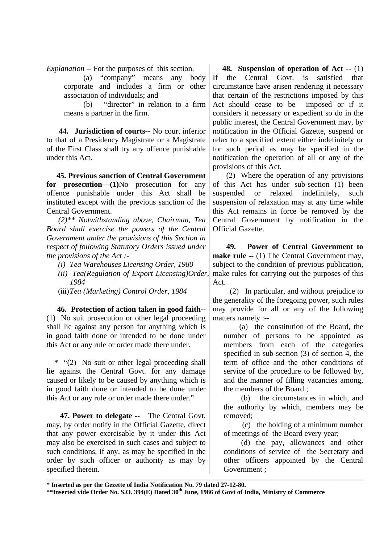*Explanation* -- For the purposes of this section.

 (a) "company" means any body corporate and includes a firm or other association of individuals; and

 (b) "director" in relation to a firm means a partner in the firm.

 **44. Jurisdiction of courts--** No court inferior to that of a Presidency Magistrate or a Magistrate of the First Class shall try any offence punishable under this Act.

 **45. Previous sanction of Central Government for prosecution—(1)**No prosecution for any offence punishable under this Act shall be instituted except with the previous sanction of the Central Government.

 *(2)\*\* Notwithstanding above, Chairman, Tea Board shall exercise the powers of the Central Government under the provisions of this Section in respect of following Statutory Orders issued under the provisions of the Act :-*

- *(i) Tea Warehouses Licensing Order, 1980*
- *(ii) Tea(Regulation of Export Licensing)Order, 1984*
- (iii)*Tea (Marketing) Control Order, 1984*

 **46. Protection of action taken in good faith--** (1) No suit prosecution or other legal proceeding shall lie against any person for anything which is in good faith done or intended to be done under this Act or any rule or order made there under.

 \* "(2) No suit or other legal proceeding shall lie against the Central Govt. for any damage caused or likely to be caused by anything which is in good faith done or intended to be done under this Act or any rule or order made there under."

 **47. Power to delegate --** The Central Govt. may, by order notify in the Official Gazette, direct that any power exercisable by it under this Act may also be exercised in such cases and subject to such conditions, if any, as may be specified in the order by such officer or authority as may by specified therein.

 **48. Suspension of operation of Act --** (1) If the Central Govt. is satisfied that circumstance have arisen rendering it necessary that certain of the restrictions imposed by this Act should cease to be imposed or if it considers it necessary or expedient so do in the public interest, the Central Government may, by notification in the Official Gazette, suspend or relax to a specified extent either indefinitely or for such period as may be specified in the notification the operation of all or any of the provisions of this Act.

 (2) Where the operation of any provisions of this Act has under sub-section (1) been suspended or relaxed indefinitely, such suspension of relaxation may at any time while this Act remains in force be removed by the Central Government by notification in the Official Gazette.

 **49. Power of Central Government to make rule --** (1) The Central Government may, subject to the condition of previous publication, make rules for carrying out the purposes of this Act.

 (2) In particular, and without prejudice to the generality of the foregoing power, such rules may provide for all or any of the following matters namely :--

 (a) the constitution of the Board, the number of persons to be appointed as members from each of the categories specified in sub-section (3) of section 4, the term of office and the other conditions of service of the procedure to be followed by, and the manner of filling vacancies among, the members of the Board ;

 (b) the circumstances in which, and the authority by which, members may be removed;

 (c) the holding of a minimum number of meetings of the Board every year;

 (d) the pay, allowances and other conditions of service of the Secretary and other officers appointed by the Central Government ;

**\* Inserted as per the Gezette of India Notification No. 79 dated 27-12-80.**

**\_\_\_\_\_\_\_\_\_\_\_\_\_\_\_\_\_\_\_\_\_\_\_\_\_\_\_\_\_\_\_\_\_\_\_\_\_\_\_\_\_\_\_\_\_\_\_\_\_\_\_\_\_\_\_\_\_\_\_\_\_\_\_\_\_\_\_\_\_\_\_\_\_\_\_\_\_\_\_\_\_\_\_\_\_\_\_\_\_\_\_\_\_\_\_\_\_\_**

**<sup>\*\*</sup>Inserted vide Order No. S.O. 394(E) Dated 30th June, 1986 of Govt of India, Ministry of Commerce**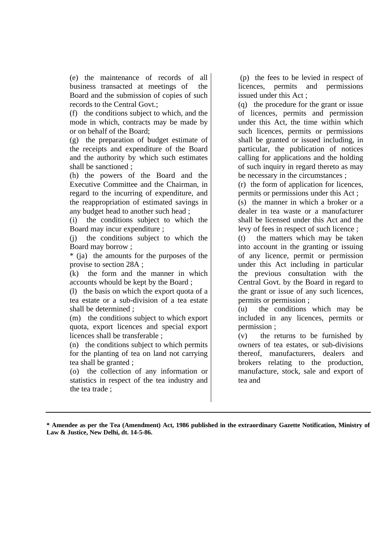(e) the maintenance of records of all business transacted at meetings of the Board and the submission of copies of such records to the Central Govt.;

(f) the conditions subject to which, and the mode in which, contracts may be made by or on behalf of the Board;

(g) the preparation of budget estimate of the receipts and expenditure of the Board and the authority by which such estimates shall be sanctioned ;

(h) the powers of the Board and the Executive Committee and the Chairman, in regard to the incurring of expenditure, and the reappropriation of estimated savings in any budget head to another such head ;

(i) the conditions subject to which the Board may incur expenditure ;

(j) the conditions subject to which the Board may borrow ;

\* (ja) the amounts for the purposes of the provise to section 28A ;

(k) the form and the manner in which accounts whould be kept by the Board ;

(l) the basis on which the export quota of a tea estate or a sub-division of a tea estate shall be determined ;

(m) the conditions subject to which export quota, export licences and special export licences shall be transferable ;

(n) the conditions subject to which permits for the planting of tea on land not carrying tea shall be granted ;

(o) the collection of any information or statistics in respect of the tea industry and the tea trade ;

 (p) the fees to be levied in respect of licences, permits and permissions issued under this Act ;

(q) the procedure for the grant or issue of licences, permits and permission under this Act, the time within which such licences, permits or permissions shall be granted or issued including, in particular, the publication of notices calling for applications and the holding of such inquiry in regard thereto as may be necessary in the circumstances ;

(r) the form of application for licences, permits or permissions under this Act ;

(s) the manner in which a broker or a dealer in tea waste or a manufacturer shall be licensed under this Act and the levy of fees in respect of such licence ;

(t) the matters which may be taken into account in the granting or issuing of any licence, permit or permission under this Act including in particular the previous consultation with the Central Govt. by the Board in regard to the grant or issue of any such licences, permits or permission ;

(u) the conditions which may be included in any licences, permits or permission ;

(v) the returns to be furnished by owners of tea estates, or sub-divisions thereof, manufacturers, dealers and brokers relating to the production, manufacture, stock, sale and export of tea and

**\* Amendee as per the Tea (Amendment) Act, 1986 published in the extraordinary Gazette Notification, Ministry of Law & Justice, New Delhi, dt. 14-5-86.**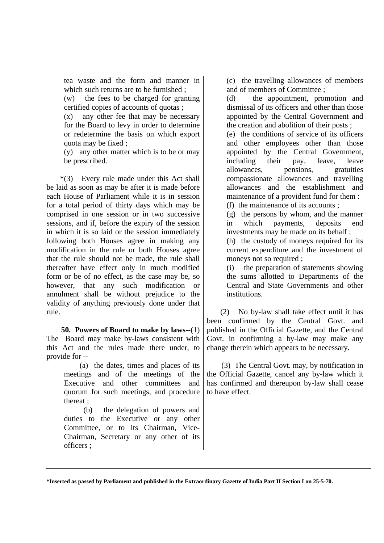tea waste and the form and manner in which such returns are to be furnished :

(w) the fees to be charged for granting certified copies of accounts of quotas ;

(x) any other fee that may be necessary for the Board to levy in order to determine or redetermine the basis on which export quota may be fixed ;

(y) any other matter which is to be or may be prescribed.

 \*(3) Every rule made under this Act shall be laid as soon as may be after it is made before each House of Parliament while it is in session for a total period of thirty days which may be comprised in one session or in two successive sessions, and if, before the expiry of the session in which it is so laid or the session immediately following both Houses agree in making any modification in the rule or both Houses agree that the rule should not be made, the rule shall thereafter have effect only in much modified form or be of no effect, as the case may be, so however, that any such modification or annulment shall be without prejudice to the validity of anything previously done under that rule.

 **50. Powers of Board to make by laws--**(1) The Board may make by-laws consistent with this Act and the rules made there under, to provide for --

> (a) the dates, times and places of its meetings and of the meetings of the Executive and other committees and quorum for such meetings, and procedure thereat ;

> (b) the delegation of powers and duties to the Executive or any other Committee, or to its Chairman, Vice-Chairman, Secretary or any other of its officers ;

(c) the travelling allowances of members and of members of Committee ;

(d) the appointment, promotion and dismissal of its officers and other than those appointed by the Central Government and the creation and abolition of their posts ;

(e) the conditions of service of its officers and other employees other than those appointed by the Central Government, including their pay, leave, leave allowances, pensions, gratuities compassionate allowances and travelling allowances and the establishment and maintenance of a provident fund for them :

(f) the maintenance of its accounts ;

(g) the persons by whom, and the manner in which payments, deposits end investments may be made on its behalf ;

(h) the custody of moneys required for its current expenditure and the investment of moneys not so required ;

(i) the preparation of statements showing the sums allotted to Departments of the Central and State Governments and other institutions.

 (2) No by-law shall take effect until it has been confirmed by the Central Govt. and published in the Official Gazette, and the Central Govt. in confirming a by-law may make any change therein which appears to be necessary.

 (3) The Central Govt. may, by notification in the Official Gazette, cancel any by-law which it has confirmed and thereupon by-law shall cease to have effect.

**\*Inserted as passed by Parliament and published in the Extraordinary Gazette of India Part II Section I on 25-5-70.**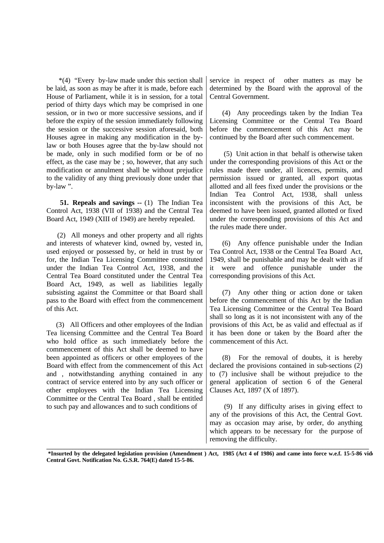\*(4) "Every by-law made under this section shall be laid, as soon as may be after it is made, before each House of Parliament, while it is in session, for a total period of thirty days which may be comprised in one session, or in two or more successive sessions, and if before the expiry of the session immediately following the session or the successive session aforesaid, both Houses agree in making any modification in the bylaw or both Houses agree that the by-law should not be made, only in such modified form or be of no effect, as the case may be ; so, however, that any such modification or annulment shall be without prejudice to the validity of any thing previously done under that by-law ".

 **51. Repeals and savings --** (1) The Indian Tea Control Act, 1938 (VII of 1938) and the Central Tea Board Act, 1949 (XIII of 1949) are hereby repealed.

 (2) All moneys and other property and all rights and interests of whatever kind, owned by, vested in, used enjoyed or possessed by, or held in trust by or for, the Indian Tea Licensing Committee constituted under the Indian Tea Control Act, 1938, and the Central Tea Board constituted under the Central Tea Board Act, 1949, as well as liabilities legally subsisting against the Committee or that Board shall pass to the Board with effect from the commencement of this Act.

 (3) All Officers and other employees of the Indian Tea licensing Committee and the Central Tea Board who hold office as such immediately before the commencement of this Act shall be deemed to have been appointed as officers or other employees of the Board with effect from the commencement of this Act and , notwithstanding anything contained in any contract of service entered into by any such officer or other employees with the Indian Tea Licensing Committee or the Central Tea Board , shall be entitled to such pay and allowances and to such conditions of

service in respect of other matters as may be determined by the Board with the approval of the Central Government.

 (4) Any proceedings taken by the Indian Tea Licensing Committee or the Central Tea Board before the commencement of this Act may be continued by the Board after such commencement.

 (5) Unit action in that behalf is otherwise taken under the corresponding provisions of this Act or the rules made there under, all licences, permits, and permission issued or granted, all export quotas allotted and all fees fixed under the provisions or the Indian Tea Control Act, 1938, shall unless inconsistent with the provisions of this Act, be deemed to have been issued, granted allotted or fixed under the corresponding provisions of this Act and the rules made there under.

 (6) Any offence punishable under the Indian Tea Control Act, 1938 or the Central Tea Board Act, 1949, shall be punishable and may be dealt with as if it were and offence punishable under the corresponding provisions of this Act.

 (7) Any other thing or action done or taken before the commencement of this Act by the Indian Tea Licensing Committee or the Central Tea Board shall so long as it is not inconsistent with any of the provisions of this Act, be as valid and effectual as if it has been done or taken by the Board after the commencement of this Act.

 (8) For the removal of doubts, it is hereby declared the provisions contained in sub-sections (2) to (7) inclusive shall be without prejudice to the general application of section 6 of the General Clauses Act, 1897 (X of 1897).

 (9) If any difficulty arises in giving effect to any of the provisions of this Act, the Central Govt. may as occasion may arise, by order, do anything which appears to be necessary for the purpose of removing the difficulty.

**\_\_\_\_\_\_\_\_\_\_\_\_\_\_\_\_\_\_\_\_\_\_\_\_\_\_\_\_\_\_\_\_\_\_\_\_\_\_\_\_\_\_\_\_\_\_\_\_\_\_\_\_\_\_\_\_\_\_\_\_\_\_\_\_\_\_\_\_\_\_\_\_\_\_\_\_\_\_\_\_\_\_\_\_\_\_\_\_\_\_\_\_\_\_\_\_\_\_\_\_\_\_\_\_\_\_\_\_\_\_\_ \*Insurted by the delegated legislation provision (Amendment ) Act, 1985 (Act 4 of 1986) and came into force w.e.f. 15-5-86 vide Central Govt. Notification No. G.S.R. 764(E) dated 15-5-86.**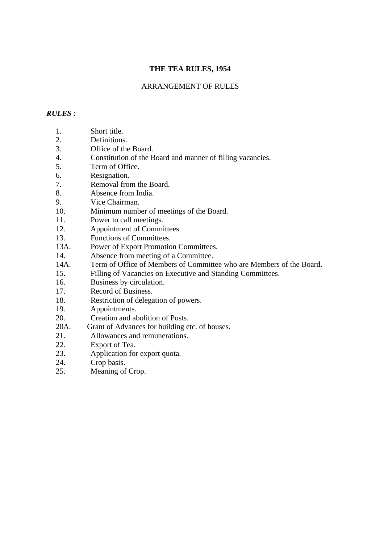# **THE TEA RULES, 1954**

## ARRANGEMENT OF RULES

## *RULES :*

- 1. Short title.
- 2. Definitions.
- 3. Office of the Board.
- 4. Constitution of the Board and manner of filling vacancies.
- 5. Term of Office.
- 6. Resignation.
- 7. Removal from the Board.
- 8. Absence from India.
- 9. Vice Chairman.
- 10. Minimum number of meetings of the Board.
- 11. Power to call meetings.
- 12. Appointment of Committees.
- 13. Functions of Committees.
- 13A. Power of Export Promotion Committees.
- 14. Absence from meeting of a Committee.
- 14A. Term of Office of Members of Committee who are Members of the Board.
- 15. Filling of Vacancies on Executive and Standing Committees.
- 16. Business by circulation.
- 17. Record of Business.
- 18. Restriction of delegation of powers.
- 19. Appointments.
- 20. Creation and abolition of Posts.
- 20A. Grant of Advances for building etc. of houses.
- 21. Allowances and remunerations.<br>22. Export of Tea.
- Export of Tea.
- 23. Application for export quota.
- 24. Crop basis.
- 25. Meaning of Crop.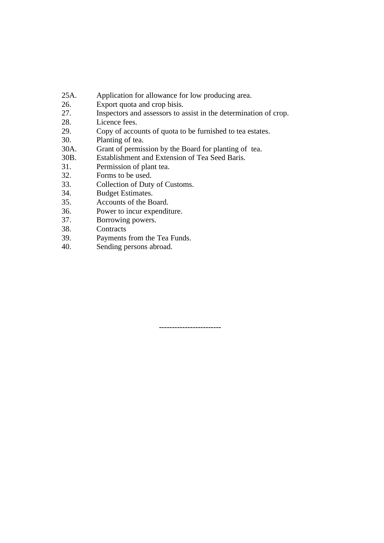- 25A. Application for allowance for low producing area.
- 26. Export quota and crop bisis.
- 27. Inspectors and assessors to assist in the determination of crop.
- 28. Licence fees.
- 29. Copy of accounts of quota to be furnished to tea estates.
- 30. Planting of tea.
- 30A. Grant of permission by the Board for planting of tea.
- 30B. Establishment and Extension of Tea Seed Baris.
- 31. Permission of plant tea.
- 32. Forms to be used.
- 33. Collection of Duty of Customs.
- 34. Budget Estimates.
- 35. Accounts of the Board.
- 36. Power to incur expenditure.
- 37. Borrowing powers.
- 38. Contracts
- 39. Payments from the Tea Funds.
- 40. Sending persons abroad.

**------------------------**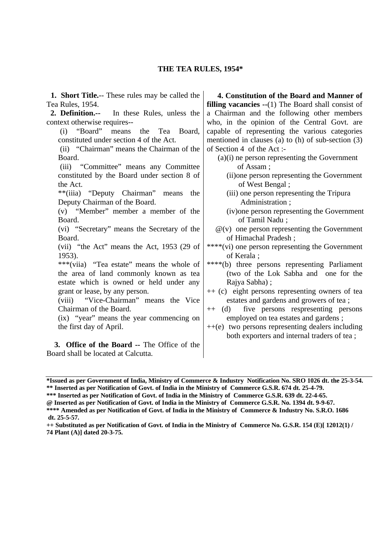| <b>1. Short Title.--</b> These rules may be called the | 4. Constitution of the Board and Manner of                   |
|--------------------------------------------------------|--------------------------------------------------------------|
| Tea Rules, 1954.                                       | <b>filling vacancies --</b> $(1)$ The Board shall consist of |
| 2. Definition.--<br>In these Rules, unless the         | a Chairman and the following other members                   |
| context otherwise requires--                           | who, in the opinion of the Central Govt. are                 |
| "Board" means<br>the<br>Tea Board,<br>(i)              | capable of representing the various categories               |
| constituted under section 4 of the Act.                | mentioned in clauses (a) to (h) of sub-section $(3)$         |
| (ii) "Chairman" means the Chairman of the              | of Section 4 of the Act:-                                    |
| Board.                                                 | $(a)(i)$ ne person representing the Government               |
| (iii) "Committee" means any Committee                  | of Assam;                                                    |
| constituted by the Board under section 8 of            | (ii) one person representing the Government                  |
| the Act.                                               | of West Bengal;                                              |
| **(iiia) "Deputy Chairman" means<br>the                | (iii) one person representing the Tripura                    |
| Deputy Chairman of the Board.                          | Administration;                                              |
| (v) "Member" member a member of the                    | (iv) one person representing the Government                  |
| Board.                                                 | of Tamil Nadu;                                               |
| (vi) "Secretary" means the Secretary of the            | $\mathcal{Q}(v)$ one person representing the Government      |
| Board.                                                 | of Himachal Pradesh;                                         |
| (vii) "the Act" means the Act, 1953 (29 of             | ****(vi) one person representing the Government              |
| 1953).                                                 | of Kerala ;                                                  |
| ***(viia) "Tea estate" means the whole of              | ****(b) three persons representing Parliament                |
| the area of land commonly known as tea                 | (two of the Lok Sabha and one for the                        |
| estate which is owned or held under any                | Rajya Sabha);                                                |
| grant or lease, by any person.                         | ++ (c) eight persons representing owners of tea              |
| (viii) "Vice-Chairman" means the Vice                  | estates and gardens and growers of tea;                      |
| Chairman of the Board.                                 | five persons respresenting persons<br>$++$ (d)               |
| (ix) "year" means the year commencing on               | employed on tea estates and gardens;                         |
| the first day of April.                                | $++(e)$ two persons representing dealers including           |
|                                                        | both exporters and internal traders of tea;                  |
| 3. Office of the Board -- The Office of the            |                                                              |
| Board shall be located at Calcutta.                    |                                                              |

**<sup>\*</sup>Issued as per Government of India, Ministry of Commerce & Industry Notification No. SRO 1026 dt. the 25-3-54. \*\* Inserted as per Notification of Govt. of India in the Ministry of Commerce G.S.R. 674 dt. 25-4-79.**

**\*\*\* Inserted as per Notification of Govt. of India in the Ministry of Commerce G.S.R. 639 dt. 22-4-65.**

**<sup>@</sup> Inserted as per Notification of Govt. of India in the Ministry of Commerce G.S.R. No. 1394 dt. 9-9-67. \*\*\*\* Amended as per Notification of Govt. of India in the Ministry of Commerce & Industry No. S.R.O. 1686**

**dt. 25-5-57.**

**<sup>++</sup> Substituted as per Notification of Govt. of India in the Ministry of Commerce No. G.S.R. 154 (E)[ 12012(1) / 74 Plant (A)] dated 20-3-75.**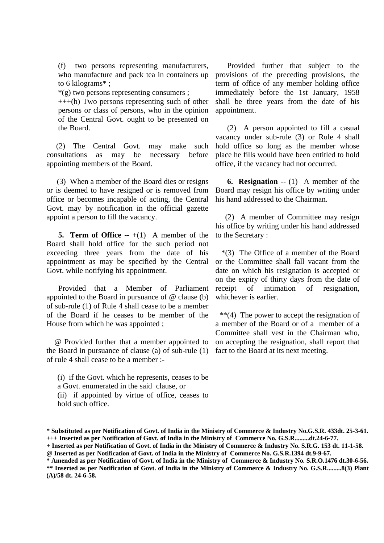(f) two persons representing manufacturers, who manufacture and pack tea in containers up to 6 kilograms\* ;

\*(g) two persons representing consumers ;

+++(h) Two persons representing such of other persons or class of persons, who in the opinion of the Central Govt. ought to be presented on the Board.

 (2) The Central Govt. may make such consultations as may be necessary before appointing members of the Board.

 (3) When a member of the Board dies or resigns or is deemed to have resigned or is removed from office or becomes incapable of acting, the Central Govt. may by notification in the official gazette appoint a person to fill the vacancy.

**5. Term of Office --**  $+(1)$  **A** member of the Board shall hold office for the such period not exceeding three years from the date of his appointment as may be specified by the Central Govt. while notifying his appointment.

 Provided that a Member of Parliament appointed to the Board in pursuance of @ clause (b) of sub-rule (1) of Rule 4 shall cease to be a member of the Board if he ceases to be member of the House from which he was appointed ;

 @ Provided further that a member appointed to the Board in pursuance of clause (a) of sub-rule (1) of rule 4 shall cease to be a member :-

(i) if the Govt. which he represents, ceases to be a Govt. enumerated in the said clause, or (ii) if appointed by virtue of office, ceases to hold such office.

 Provided further that subject to the provisions of the preceding provisions, the term of office of any member holding office immediately before the 1st January, 1958 shall be three years from the date of his appointment.

 (2) A person appointed to fill a casual vacancy under sub-rule (3) or Rule 4 shall hold office so long as the member whose place he fills would have been entitled to hold office, if the vacancy had not occurred.

 **6. Resignation --** (1) A member of the Board may resign his office by writing under his hand addressed to the Chairman.

 (2) A member of Committee may resign his office by writing under his hand addressed to the Secretary :

 \*(3) The Office of a member of the Board or the Committee shall fall vacant from the date on which his resignation is accepted or on the expiry of thirty days from the date of receipt of intimation of resignation, whichever is earlier.

 \*\*(4) The power to accept the resignation of a member of the Board or of a member of a Committee shall vest in the Chairman who, on accepting the resignation, shall report that fact to the Board at its next meeting.

**\* Amended as per Notification of Govt. of India in the Ministry of Commerce & Industry No. S.R.O.1476 dt.30-6-56. \*\* Inserted as per Notification of Govt. of India in the Ministry of Commerce & Industry No. G.S.R.........8(3) Plant (A)/58 dt. 24-6-58.**

**<sup>\*</sup> Substituted as per Notification of Govt. of India in the Ministry of Commerce & Industry No.G.S.R. 433dt. 25-3-61. +++ Inserted as per Notification of Govt. of India in the Ministry of Commerce No. G.S.R.........dt.24-6-77.**

**<sup>+</sup> Inserted as per Notification of Govt. of India in the Ministry of Commerce & Industry No. S.R.G. 153 dt. 11-1-58. @ Inserted as per Notification of Govt. of India in the Ministry of Commerce No. G.S.R.1394 dt.9-9-67.**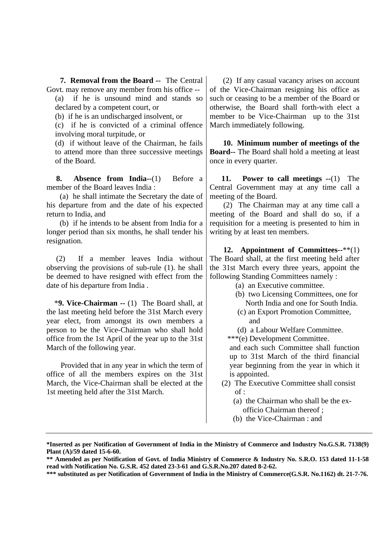**7. Removal from the Board --** The Central Govt. may remove any member from his office --

(a) if he is unsound mind and stands so declared by a competent court, or

(b) if he is an undischarged insolvent, or

(c) if he is convicted of a criminal offence involving moral turpitude, or

(d) if without leave of the Chairman, he fails to attend more than three successive meetings of the Board.

 **8. Absence from India--**(1) Before a member of the Board leaves India :

 (a) he shall intimate the Secretary the date of his departure from and the date of his expected return to India, and

 (b) if he intends to be absent from India for a longer period than six months, he shall tender his resignation.

 (2) If a member leaves India without observing the provisions of sub-rule (1). he shall be deemed to have resigned with effect from the date of his departure from India .

 \***9. Vice-Chairman --** (1) The Board shall, at the last meeting held before the 31st March every year elect, from amongst its own members a person to be the Vice-Chairman who shall hold office from the 1st April of the year up to the 31st March of the following year.

 Provided that in any year in which the term of office of all the members expires on the 31st March, the Vice-Chairman shall be elected at the 1st meeting held after the 31st March.

 (2) If any casual vacancy arises on account of the Vice-Chairman resigning his office as such or ceasing to be a member of the Board or otherwise, the Board shall forth-with elect a member to be Vice-Chairman up to the 31st March immediately following.

 **10. Minimum number of meetings of the Board--** The Board shall hold a meeting at least once in every quarter.

 **11. Power to call meetings --**(1) The Central Government may at any time call a meeting of the Board.

 (2) The Chairman may at any time call a meeting of the Board and shall do so, if a requisition for a meeting is presented to him in writing by at least ten members.

 **12. Appointment of Committees--**\*\*(1) The Board shall, at the first meeting held after the 31st March every three years, appoint the following Standing Committees namely :

- (a) an Executive committee.
- (b) two Licensing Committees, one for North India and one for South India.
- (c) an Export Promotion Committee,
	- and
- (d) a Labour Welfare Committee.

\*\*\*(e) Development Committee.

and each such Committee shall function up to 31st March of the third financial year beginning from the year in which it is appointed.

- (2) The Executive Committee shall consist  $of$ :
	- (a) the Chairman who shall be the ex officio Chairman thereof ;
	- (b) the Vice-Chairman : and

**<sup>\*</sup>Inserted as per Notification of Government of India in the Ministry of Commerce and Industry No.G.S.R. 7138(9) Plant (A)/59 dated 15-6-60.**

**<sup>\*\*</sup> Amended as per Notification of Govt. of India Ministry of Commerce & Industry No. S.R.O. 153 dated 11-1-58 read with Notification No. G.S.R. 452 dated 23-3-61 and G.S.R.No.207 dated 8-2-62.**

**<sup>\*\*\*</sup> substituted as per Notification of Government of India in the Ministry of Commerce(G.S.R. No.1162) dt. 21-7-76.**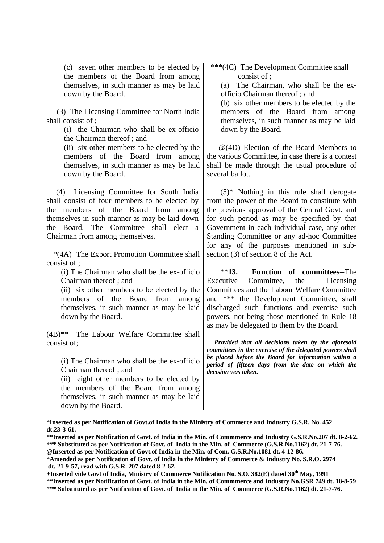(c) seven other members to be elected by the members of the Board from among themselves, in such manner as may be laid down by the Board.

 (3) The Licensing Committee for North India shall consist of ;

> (i) the Chairman who shall be ex-officio the Chairman thereof ; and

(ii) six other members to be elected by the members of the Board from among themselves, in such manner as may be laid down by the Board.

 (4) Licensing Committee for South India shall consist of four members to be elected by the members of the Board from among themselves in such manner as may be laid down the Board. The Committee shall elect a Chairman from among themselves.

 \*(4A) The Export Promotion Committee shall consist of ;

(i) The Chairman who shall be the ex-officio Chairman thereof ; and

(ii) six other members to be elected by the members of the Board from among themselves, in such manner as may be laid down by the Board.

(4B)\*\* The Labour Welfare Committee shall consist of;

(i) The Chairman who shall be the ex-officio Chairman thereof ; and

(ii) eight other members to be elected by the members of the Board from among themselves, in such manner as may be laid down by the Board.

 \*\*\*(4C) The Development Committee shall consist of ;

(a) The Chairman, who shall be the exofficio Chairman thereof ; and

(b) six other members to be elected by the members of the Board from among themselves, in such manner as may be laid down by the Board.

 @(4D) Election of the Board Members to the various Committee, in case there is a contest shall be made through the usual procedure of several ballot.

 $(5)^*$  Nothing in this rule shall derogate from the power of the Board to constitute with the previous approval of the Central Govt. and for such period as may be specified by that Government in each individual case, any other Standing Committee or any ad-hoc Committee for any of the purposes mentioned in subsection (3) of section 8 of the Act.

 \*\***13. Function of committees--**The Executive Committee, the Licensing Committees and the Labour Welfare Committee and \*\*\* the Development Committee, shall discharged such functions and exercise such powers, not being those mentioned in Rule 18 as may be delegated to them by the Board.

*+ Provided that all decisions taken by the aforesaid committees in the exercise of the delegated powers shall be placed before the Board for information within a period of fifteen days from the date on which the decision was taken.*

**\*Inserted as per Notification of Govt.of India in the Ministry of Commerce and Industry G.S.R. No. 452 dt.23-3-61.**

**<sup>\*\*</sup>Inserted as per Notification of Govt. of India in the Min. of Commmerce and Industry G.S.R.No.207 dt. 8-2-62. \*\*\* Substituted as per Notification of Govt. of India in the Min. of Commerce (G.S.R.No.1162) dt. 21-7-76. @Inserted as per Notification of Govt.of India in the Min. of Com. G.S.R.No.1081 dt. 4-12-86.**

**<sup>\*</sup>Amended as per Notification of Govt. of India in the Ministry of Commerce & Industry No. S.R.O. 2974 dt. 21-9-57, read with G.S.R. 207 dated 8-2-62.**

**<sup>+</sup>Inserted vide Govt of India, Ministry of Commerce Notification No. S.O. 382(E) dated 30th May, 1991 \*\*Inserted as per Notification of Govt. of India in the Min. of Commmerce and Industry No.GSR 749 dt. 18-8-59 \*\*\* Substituted as per Notification of Govt. of India in the Min. of Commerce (G.S.R.No.1162) dt. 21-7-76.**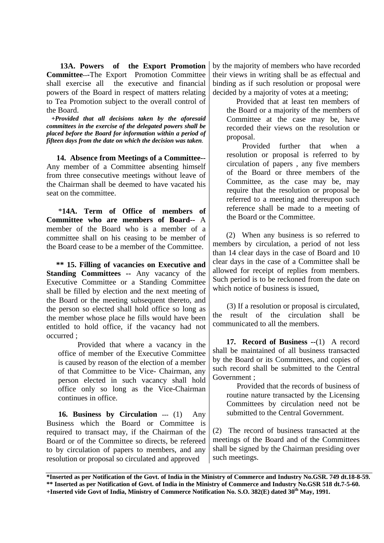**13A. Powers of the Export Promotion Committee---**The Export Promotion Committee shall exercise all the executive and financial powers of the Board in respect of matters relating to Tea Promotion subject to the overall control of the Board.

 *+Provided that all decisions taken by the aforesaid committees in the exercise of the delegated powers shall be placed before the Board for information within a period of fifteen days from the date on which the decision was taken.*

 **14. Absence from Meetings of a Committee--** Any member of a Committee absenting himself from three consecutive meetings without leave of the Chairman shall be deemed to have vacated his seat on the committee.

 \***14A. Term of Office of members of Committee who are members of Board--** A member of the Board who is a member of a committee shall on his ceasing to be member of the Board cease to be a member of the Committee.

 **\*\* 15. Filling of vacancies on Executive and Standing Committees --** Any vacancy of the Executive Committee or a Standing Committee shall be filled by election and the next meeting of the Board or the meeting subsequent thereto, and the person so elected shall hold office so long as the member whose place he fills would have been entitled to hold office, if the vacancy had not occurred ;

 Provided that where a vacancy in the office of member of the Executive Committee is caused by reason of the election of a member of that Committee to be Vice- Chairman, any person elected in such vacancy shall hold office only so long as the Vice-Chairman continues in office.

 **16. Business by Circulation ---** (1) Any Business which the Board or Committee is required to transact may, if the Chairman of the Board or of the Committee so directs, be refereed to by circulation of papers to members, and any resolution or proposal so circulated and approved

by the majority of members who have recorded their views in writing shall be as effectual and binding as if such resolution or proposal were decided by a majority of votes at a meeting;

 Provided that at least ten members of the Board or a majority of the members of Committee at the case may be, have recorded their views on the resolution or proposal.

 Provided further that when a resolution or proposal is referred to by circulation of papers , any five members of the Board or three members of the Committee, as the case may be, may require that the resolution or proposal be referred to a meeting and thereupon such reference shall be made to a meeting of the Board or the Committee.

 (2) When any business is so referred to members by circulation, a period of not less than 14 clear days in the case of Board and 10 clear days in the case of a Committee shall be allowed for receipt of replies from members. Such period is to be reckoned from the date on which notice of business is issued,

 (3) If a resolution or proposal is circulated, the result of the circulation shall be communicated to all the members.

 **17. Record of Business --**(1) A record shall be maintained of all business transacted by the Board or its Committees, and copies of such record shall be submitted to the Central Government ;

 Provided that the records of business of routine nature transacted by the Licensing Committees by circulation need not be submitted to the Central Government.

(2) The record of business transacted at the meetings of the Board and of the Committees shall be signed by the Chairman presiding over such meetings.

**<sup>\*</sup>Inserted as per Notification of the Govt. of India in the Ministry of Commerce and Industry No.GSR. 749 dt.18-8-59. \*\* Inserted as per Notification of Govt. of India in the Ministry of Commerce and Industry No.GSR 518 dt.7-5-60. +Inserted vide Govt of India, Ministry of Commerce Notification No. S.O. 382(E) dated 30th May, 1991.**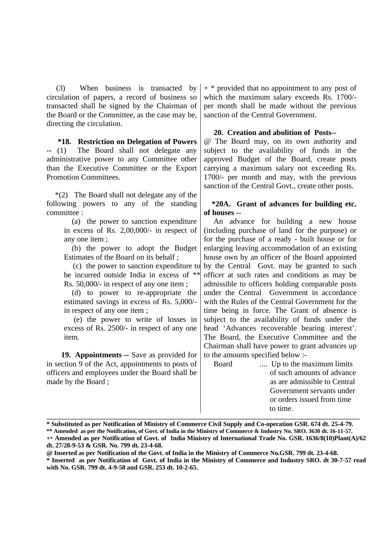(3) When business is transacted by circulation of papers, a record of business so transacted shall be signed by the Chairman of the Board or the Committee, as the case may be, directing the circulation.

 **\*18. Restriction on Delegation of Powers --** (1) The Board shall not delegate any administrative power to any Committee other than the Executive Committee or the Export Promotion Committees.

 \*(2) The Board shall not delegate any of the following powers to any of the standing committee :

> (a) the power to sanction expenditure in excess of Rs. 2,00,000/- in respect of any one item ;

> (b) the power to adopt the Budget Estimates of the Board on its behalf ;

> (c) the power to sanction expenditure to be incurred outside India in excess of \*\* Rs. 50,000/- in respect of any one item ;

 (d) to power to re-appropriate the estimated savings in excess of Rs. 5,000/ in respect of any one item ;

 (e) the power to write of losses in excess of Rs. 2500/- in respect of any one item.

 **19. Appointments --** Save as provided for in section 9 of the Act, appointments to posts of officers and employees under the Board shall be made by the Board ;

 $+$  \* provided that no appointment to any post of which the maximum salary exceeds Rs. 1700/ per month shall be made without the previous sanction of the Central Government.

### **20. Creation and abolition of Posts--**

@ The Board may, on its own authority and subject to the availability of funds in the approved Budget of the Board, create posts carrying a maximum salary not exceeding Rs. 1700/- per month and may, with the previous sanction of the Central Govt., create other posts.

## **\*20A. Grant of advances for building etc. of houses** --

 An advance for building a new house (including purchase of land for the purpose) or for the purchase of a ready - built house or for enlarging leaving accommodation of an existing house own by an officer of the Board appointed by the Central Govt. may be granted to such officer at such rates and conditions as may be admissible to officers holding comparable posts under the Central Government in accordance with the Rules of the Central Government for the time being in force. The Grant of absence is subject to the availability of funds under the head 'Advances recoverable bearing interest'. The Board, the Executive Committee and the Chairman shall have power to grant advances up to the amounts specified below :-

 Board .... Up to the maximum limits of such amounts of advance as are admissible to Central Government servants under or orders issued from time to time.

**\_\_\_\_\_\_\_\_\_\_\_\_\_\_\_\_\_\_\_\_\_\_\_\_\_\_\_\_\_\_\_\_\_\_\_\_\_\_\_\_\_\_\_\_\_\_\_\_\_\_\_\_\_\_\_\_\_\_\_\_\_\_\_\_\_\_\_\_\_\_\_\_\_\_\_\_\_\_\_\_\_\_\_\_\_\_\_\_\_\_\_\_\_\_\_\_\_ \* Substituted as per Notification of Ministry of Commerce Civil Supply and Co-operation GSR. 674 dt. 25-4-79.**

**<sup>\*\*</sup> Amended as per the Notification, of Govt. of India in the Ministry of Commerce & Industry No. SRO. 3630 dt. 16-11-57.**

**<sup>+</sup>\* Amended as per Notification of Govt. of India Ministry of International Trade No. GSR. 1636/8(10)Plant(A)/62 dt. 27/28-9-53 & GSR. No. 799 dt. 23-4-68.**

**<sup>@</sup> Inserted as per Notification of the Govt. of India in the Ministry of Commerce No.GSR. 799 dt. 23-4-68.**

**<sup>\*</sup> Inserted as per Notification of Govt. of India in the Ministry of Commerce and Industry SRO. dt 30-7-57 read with No. GSR. 799 dt. 4-9-58 and GSR. 253 dt. 10-2-65.**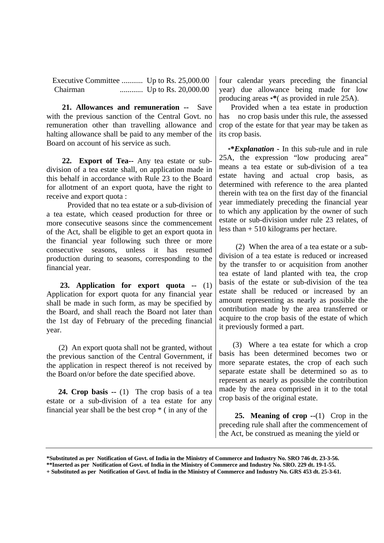Executive Committee ........... Up to Rs. 25,000.00 Chairman ............ Up to Rs. 20,000.00

 **21. Allowances and remuneration --** Save with the previous sanction of the Central Govt. no remuneration other than travelling allowance and halting allowance shall be paid to any member of the Board on account of his service as such.

 **22. Export of Tea--** Any tea estate or subdivision of a tea estate shall, on application made in this behalf in accordance with Rule 23 to the Board for allotment of an export quota, have the right to receive and export quota :

 Provided that no tea estate or a sub-division of a tea estate, which ceased production for three or more consecutive seasons since the commencement of the Act, shall be eligible to get an export quota in the financial year following such three or more consecutive seasons, unless it has resumed production during to seasons, corresponding to the financial year.

 **23. Application for export quota --** (1) Application for export quota for any financial year shall be made in such form, as may be specified by the Board, and shall reach the Board not later than the 1st day of February of the preceding financial year.

 (2) An export quota shall not be granted, without the previous sanction of the Central Government, if the application in respect thereof is not received by the Board on/or before the date specified above.

 **24. Crop basis --** (1) The crop basis of a tea estate or a sub-division of a tea estate for any financial year shall be the best crop  $*$  (in any of the

four calendar years preceding the financial year) due allowance being made for low producing areas **\*\***( as provided in rule 25A).

 Provided when a tea estate in production has no crop basis under this rule, the assessed crop of the estate for that year may be taken as its crop basis.

 **\*\****Explanation* **-** In this sub-rule and in rule 25A, the expression "low producing area" means a tea estate or sub-division of a tea estate having and actual crop basis, as determined with reference to the area planted therein with tea on the first day of the financial year immediately preceding the financial year to which any application by the owner of such estate or sub-division under rule 23 relates, of less than + 510 kilograms per hectare.

 (2) When the area of a tea estate or a subdivision of a tea estate is reduced or increased by the transfer to or acquisition from another tea estate of land planted with tea, the crop basis of the estate or sub-division of the tea estate shall be reduced or increased by an amount representing as nearly as possible the contribution made by the area transferred or acquire to the crop basis of the estate of which it previously formed a part.

 (3) Where a tea estate for which a crop basis has been determined becomes two or more separate estates, the crop of each such separate estate shall be determined so as to represent as nearly as possible the contribution made by the area comprised in it to the total crop basis of the original estate.

 **25. Meaning of crop --**(1) Crop in the preceding rule shall after the commencement of the Act, be construed as meaning the yield or

**<sup>\*</sup>Substituted as per Notification of Govt. of India in the Ministry of Commerce and Industry No. SRO 746 dt. 23-3-56.**

**<sup>\*\*</sup>Inserted as per Notification of Govt. of India in the Ministry of Commerce and Industry No. SRO. 229 dt. 19-1-55.**

**<sup>+</sup> Substituted as per Notification of Govt. of India in the Ministry of Commerce and Industry No. GRS 453 dt. 25-3-61.**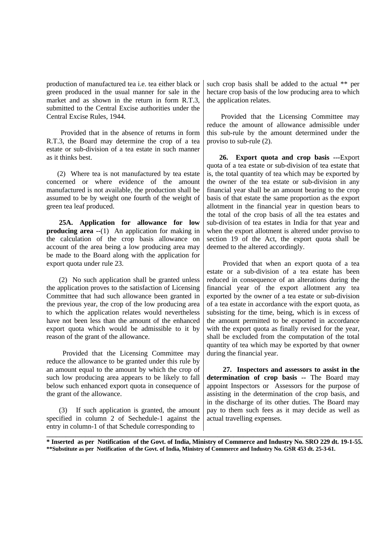production of manufactured tea i.e. tea either black or green produced in the usual manner for sale in the market and as shown in the return in form R.T.3. submitted to the Central Excise authorities under the Central Excise Rules, 1944.

 Provided that in the absence of returns in form R.T.3, the Board may determine the crop of a tea estate or sub-division of a tea estate in such manner as it thinks best.

 (2) Where tea is not manufactured by tea estate concerned or where evidence of the amount manufactured is not available, the production shall be assumed to be by weight one fourth of the weight of green tea leaf produced.

 **25A. Application for allowance for low producing area --**(1) An application for making in the calculation of the crop basis allowance on account of the area being a low producing area may be made to the Board along with the application for export quota under rule 23.

 (2) No such application shall be granted unless the application proves to the satisfaction of Licensing Committee that had such allowance been granted in the previous year, the crop of the low producing area to which the application relates would nevertheless have not been less than the amount of the enhanced export quota which would be admissible to it by reason of the grant of the allowance.

 Provided that the Licensing Committee may reduce the allowance to be granted under this rule by an amount equal to the amount by which the crop of such low producing area appears to be likely to fall below such enhanced export quota in consequence of the grant of the allowance.

 (3) If such application is granted, the amount specified in column 2 of Sechedule-1 against the entry in column-1 of that Schedule corresponding to

such crop basis shall be added to the actual \*\* per hectare crop basis of the low producing area to which the application relates.

 Provided that the Licensing Committee may reduce the amount of allowance admissible under this sub-rule by the amount determined under the proviso to sub-rule (2).

 **26. Export quota and crop basis ---**Export quota of a tea estate or sub-division of tea estate that is, the total quantity of tea which may be exported by the owner of the tea estate or sub-division in any financial year shall be an amount bearing to the crop basis of that estate the same proportion as the export allotment in the financial year in question bears to the total of the crop basis of all the tea estates and sub-division of tea estates in India for that year and when the export allotment is altered under proviso to section 19 of the Act, the export quota shall be deemed to the altered accordingly.

 Provided that when an export quota of a tea estate or a sub-division of a tea estate has been reduced in consequence of an alterations during the financial year of the export allotment any tea exported by the owner of a tea estate or sub-division of a tea estate in accordance with the export quota, as subsisting for the time, being, which is in excess of the amount permitted to be exported in accordance with the export quota as finally revised for the year. shall be excluded from the computation of the total quantity of tea which may be exported by that owner during the financial year.

 **27. Inspectors and assessors to assist in the determination of crop basis --** The Board may appoint Inspectors or Assessors for the purpose of assisting in the determination of the crop basis, and in the discharge of its other duties. The Board may pay to them such fees as it may decide as well as actual travelling expenses.

**\_\_\_\_\_\_\_\_\_\_\_\_\_\_\_\_\_\_\_\_\_\_\_\_\_\_\_\_\_\_\_\_\_\_\_\_\_\_\_\_\_\_\_\_\_\_\_\_\_\_\_\_\_\_\_\_\_\_\_\_\_\_\_\_\_\_\_\_\_\_\_\_\_\_\_\_\_\_\_\_\_\_\_\_\_\_\_\_\_\_\_\_\_\_\_\_\_\_ \* Inserted as per Notification of the Govt. of India, Ministry of Commerce and Industry No. SRO 229 dt. 19-1-55. \*\*Substitute as per Notification of the Govt. of India, Ministry of Commerce and Industry No. GSR 453 dt. 25-3-61.**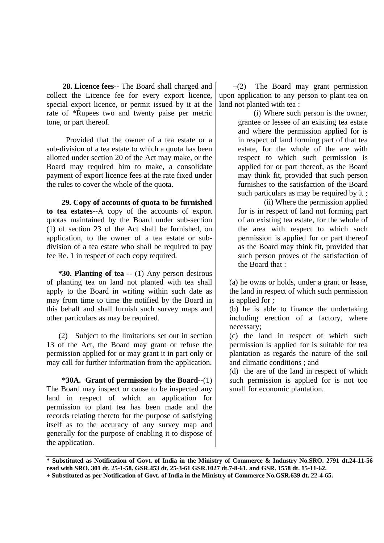**28. Licence fees--** The Board shall charged and collect the Licence fee for every export licence, special export licence, or permit issued by it at the rate of \*Rupees two and twenty paise per metric tone, or part thereof.

 Provided that the owner of a tea estate or a sub-division of a tea estate to which a quota has been allotted under section 20 of the Act may make, or the Board may required him to make, a consolidate payment of export licence fees at the rate fixed under the rules to cover the whole of the quota.

 **29. Copy of accounts of quota to be furnished to tea estates--**A copy of the accounts of export quotas maintained by the Board under sub-section (1) of section 23 of the Act shall be furnished, on application, to the owner of a tea estate or subdivision of a tea estate who shall be required to pay fee Re. 1 in respect of each copy required.

 **\*30. Planting of tea --** (1) Any person desirous of planting tea on land not planted with tea shall apply to the Board in writing within such date as may from time to time the notified by the Board in this behalf and shall furnish such survey maps and other particulars as may be required.

 (2) Subject to the limitations set out in section 13 of the Act, the Board may grant or refuse the permission applied for or may grant it in part only or may call for further information from the application.

 **\*30A. Grant of permission by the Board--**(1) The Board may inspect or cause to be inspected any land in respect of which an application for permission to plant tea has been made and the records relating thereto for the purpose of satisfying itself as to the accuracy of any survey map and generally for the purpose of enabling it to dispose of the application.

 $+(2)$  The Board may grant permission upon application to any person to plant tea on land not planted with tea :

> (i) Where such person is the owner, grantee or lessee of an existing tea estate and where the permission applied for is in respect of land forming part of that tea estate, for the whole of the are with respect to which such permission is applied for or part thereof, as the Board may think fit, provided that such person furnishes to the satisfaction of the Board such particulars as may be required by it ;

> (ii) Where the permission applied for is in respect of land not forming part of an existing tea estate, for the whole of the area with respect to which such permission is applied for or part thereof as the Board may think fit, provided that such person proves of the satisfaction of the Board that :

(a) he owns or holds, under a grant or lease, the land in respect of which such permission is applied for ;

(b) he is able to finance the undertaking including erection of a factory, where necessary;

(c) the land in respect of which such permission is applied for is suitable for tea plantation as regards the nature of the soil and climatic conditions ; and

(d) the are of the land in respect of which such permission is applied for is not too small for economic plantation.

**\* Substituted as Notification of Govt. of India in the Ministry of Commerce & Industry No.SRO. 2791 dt.24-11-56. read with SRO. 301 dt. 25-1-58. GSR.453 dt. 25-3-61 GSR.1027 dt.7-8-61. and GSR. 1558 dt. 15-11-62. + Substituted as per Notification of Govt. of India in the Ministry of Commerce No.GSR.639 dt. 22-4-65.**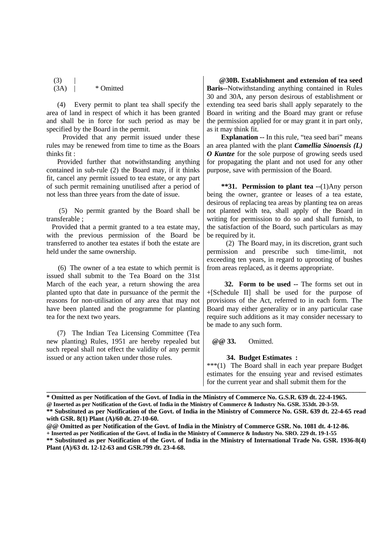$(3)$ (3A) | \* Omitted

 (4) Every permit to plant tea shall specify the area of land in respect of which it has been granted and shall be in force for such period as may be specified by the Board in the permit.

 Provided that any permit issued under these rules may be renewed from time to time as the Boars thinks fit :

 Provided further that notwithstanding anything contained in sub-rule (2) the Board may, if it thinks fit, cancel any permit issued to tea estate, or any part of such permit remaining unutilised after a period of not less than three years from the date of issue.

 (5) No permit granted by the Board shall be transferable ;

 Provided that a permit granted to a tea estate may, with the previous permission of the Board be transferred to another tea estates if both the estate are held under the same ownership.

 (6) The owner of a tea estate to which permit is issued shall submit to the Tea Board on the 31st March of the each year, a return showing the area planted upto that date in pursuance of the permit the reasons for non-utilisation of any area that may not have been planted and the programme for planting tea for the next two years.

 (7) The Indian Tea Licensing Committee (Tea new planting) Rules, 1951 are hereby repealed but such repeal shall not effect the validity of any permit issued or any action taken under those rules.

 **@30B. Establishment and extension of tea seed Baris--**Notwithstanding anything contained in Rules 30 and 30A, any person desirous of establishment or extending tea seed baris shall apply separately to the Board in writing and the Board may grant or refuse the permission applied for or may grant it in part only, as it may think fit.

 **Explanation --** In this rule, "tea seed bari" means an area planted with the plant *Camellia Sinoensis (L) O Kuntze* for the sole purpose of growing seeds used for propagating the plant and not used for any other purpose, save with permission of the Board.

 **\*\*31. Permission to plant tea --**(1)Any person being the owner, grantee or leases of a tea estate, desirous of replacing tea areas by planting tea on areas not planted with tea, shall apply of the Board in writing for permission to do so and shall furnish, to the satisfaction of the Board, such particulars as may be required by it.

 (2) The Board may, in its discretion, grant such permission and prescribe such time-limit, not exceeding ten years, in regard to uprooting of bushes from areas replaced, as it deems appropriate.

 **32. Form to be used --** The forms set out in +[Schedule II] shall be used for the purpose of provisions of the Act, referred to in each form. The Board may either generality or in any particular case require such additions as it may consider necessary to be made to any such form.

 **@@ 33.** Omitted.

#### **34. Budget Estimates :**

\*\*\*(1) The Board shall in each year prepare Budget estimates for the ensuing year and revised estimates for the current year and shall submit them for the

**\_\_\_\_\_\_\_\_\_\_\_\_\_\_\_\_\_\_\_\_\_\_\_\_\_\_\_\_\_\_\_\_\_\_\_\_\_\_\_\_\_\_\_\_\_\_\_\_\_\_\_\_\_\_\_\_\_\_\_\_\_\_\_\_\_\_\_\_\_\_\_\_\_\_\_\_\_\_\_\_\_\_\_\_\_\_\_\_\_\_\_\_\_\_\_\_\_\_\_**

**<sup>\*</sup> Omitted as per Notification of the Govt. of India in the Ministry of Commerce No. G.S.R. 639 dt. 22-4-1965. @ Inserted as per Notification of the Govt. of India in the Ministry of Commerce & Industry No. GSR. 353dt. 20-3-59. \*\* Substituted as per Notification of the Govt. of India in the Ministry of Commerce No. GSR. 639 dt. 22-4-65 read with GSR. 8(1) Plant (A)/60 dt. 27-10-60.**

**<sup>@@</sup> Omitted as per Notification of the Govt. of India in the Ministry of Commerce GSR. No. 1081 dt. 4-12-86.**

**<sup>+</sup> Inserted as per Notification of the Govt. of India in the Ministry of Commerce & Industry No. SRO. 229 dt. 19-1-55**

**<sup>\*\*</sup> Substituted as per Notification of the Govt. of India in the Ministry of International Trade No. GSR. 1936-8(4) Plant (A)/63 dt. 12-12-63 and GSR.799 dt. 23-4-68.**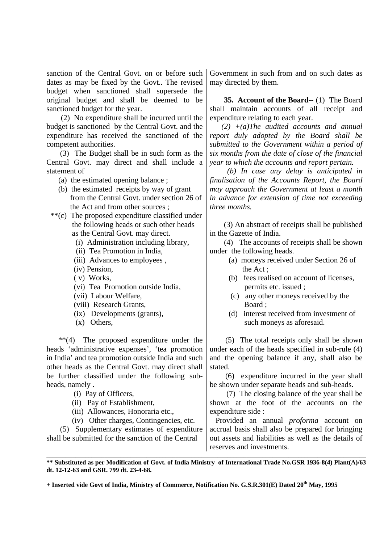sanction of the Central Govt. on or before such dates as may be fixed by the Govt.. The revised budget when sanctioned shall supersede the original budget and shall be deemed to be sanctioned budget for the year.

 (2) No expenditure shall be incurred until the budget is sanctioned by the Central Govt. and the expenditure has received the sanctioned of the competent authorities.

 (3) The Budget shall be in such form as the Central Govt. may direct and shall include a statement of

(a) the estimated opening balance ;

- (b) the estimated receipts by way of grant from the Central Govt. under section 26 of the Act and from other sources ;
- \*\*(c) The proposed expenditure classified under the following heads or such other heads as the Central Govt. may direct.
	- (i) Administration including library,
	- (ii) Tea Promotion in India,
	- (iii) Advances to employees ,
	- (iv) Pension,
	- ( v) Works,
	- (vi) Tea Promotion outside India,
	- (vii) Labour Welfare,
	- (viii) Research Grants,
	- (ix) Developments (grants),
	- (x) Others,

 \*\*(4) The proposed expenditure under the heads 'administrative expenses', 'tea promotion in India' and tea promotion outside India and such other heads as the Central Govt. may direct shall be further classified under the following subheads, namely .

- (i) Pay of Officers,
- (ii) Pay of Establishment,
- (iii) Allowances, Honoraria etc.,
- (iv) Other charges, Contingencies, etc.

 (5) Supplementary estimates of expenditure shall be submitted for the sanction of the Central

Government in such from and on such dates as may directed by them.

 **35. Account of the Board--** (1) The Board shall maintain accounts of all receipt and expenditure relating to each year.

 *(2) +(a)The audited accounts and annual report duly adopted by the Board shall be submitted to the Government within a period of six months from the date of close of the financial year to which the accounts and report pertain.*

 *(b) In case any delay is anticipated in finalisation of the Accounts Report, the Board may approach the Government at least a month in advance for extension of time not exceeding three months.*

 (3) An abstract of receipts shall be published in the Gazette of India.

 (4) The accounts of receipts shall be shown under the following heads.

- (a) moneys received under Section 26 of the Act ;
- (b) fees realised on account of licenses, permits etc. issued ;
- (c) any other moneys received by the Board ;
- (d) interest received from investment of such moneys as aforesaid.

 (5) The total receipts only shall be shown under each of the heads specified in sub-rule (4) and the opening balance if any, shall also be stated.

 (6) expenditure incurred in the year shall be shown under separate heads and sub-heads.

 (7) The closing balance of the year shall be shown at the foot of the accounts on the expenditure side :

 Provided an annual *proforma* account on accrual basis shall also be prepared for bringing out assets and liabilities as well as the details of reserves and investments.

**\_\_\_\_\_\_\_\_\_\_\_\_\_\_\_\_\_\_\_\_\_\_\_\_\_\_\_\_\_\_\_\_\_\_\_\_\_\_\_\_\_\_\_\_\_\_\_\_\_\_\_\_\_\_\_\_\_\_\_\_\_\_\_\_\_\_\_\_\_\_\_\_\_\_\_\_\_\_\_\_\_\_\_\_\_\_\_\_\_\_\_\_\_\_\_\_\_\_\_ \*\* Substituted as per Modification of Govt. of India Ministry of International Trade No.GSR 1936-8(4) Plant(A)/63 dt. 12-12-63 and GSR. 799 dt. 23-4-68.**

**+ Inserted vide Govt of India, Ministry of Commerce, Notification No. G.S.R.301(E) Dated 20th May, 1995**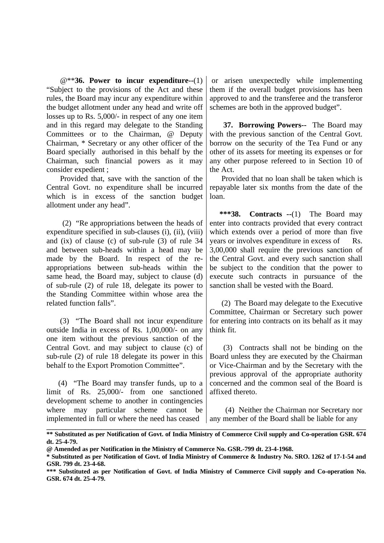@\*\***36. Power to incur expenditure--**(1) "Subject to the provisions of the Act and these rules, the Board may incur any expenditure within the budget allotment under any head and write off losses up to Rs. 5,000/- in respect of any one item and in this regard may delegate to the Standing Committees or to the Chairman, @ Deputy Chairman, \* Secretary or any other officer of the Board specially authorised in this behalf by the Chairman, such financial powers as it may consider expedient ;

 Provided that, save with the sanction of the Central Govt. no expenditure shall be incurred which is in excess of the sanction budget allotment under any head".

 (2) "Re appropriations between the heads of expenditure specified in sub-clauses (i), (ii), (viii) and (ix) of clause (c) of sub-rule (3) of rule 34 and between sub-heads within a head may be made by the Board. In respect of the reappropriations between sub-heads within the same head, the Board may, subject to clause (d) of sub-rule (2) of rule 18, delegate its power to the Standing Committee within whose area the related function falls".

 (3) "The Board shall not incur expenditure outside India in excess of Rs. 1,00,000/- on any one item without the previous sanction of the Central Govt. and may subject to clause (c) of sub-rule (2) of rule 18 delegate its power in this behalf to the Export Promotion Committee".

 (4) "The Board may transfer funds, up to a limit of Rs. 25,000/- from one sanctioned development scheme to another in contingencies where may particular scheme cannot be implemented in full or where the need has ceased

 or arisen unexpectedly while implementing them if the overall budget provisions has been approved to and the transferee and the transferor schemes are both in the approved budget".

 **37. Borrowing Powers--** The Board may with the previous sanction of the Central Govt. borrow on the security of the Tea Fund or any other of its assets for meeting its expenses or for any other purpose refereed to in Section 10 of the Act.

 Provided that no loan shall be taken which is repayable later six months from the date of the loan.

 **\*\*\*38. Contracts --**(1) The Board may enter into contracts provided that every contract which extends over a period of more than five years or involves expenditure in excess of 3,00,000 shall require the previous sanction of the Central Govt. and every such sanction shall be subject to the condition that the power to execute such contracts in pursuance of the sanction shall be vested with the Board.

 (2) The Board may delegate to the Executive Committee, Chairman or Secretary such power for entering into contracts on its behalf as it may think fit.

 (3) Contracts shall not be binding on the Board unless they are executed by the Chairman or Vice-Chairman and by the Secretary with the previous approval of the appropriate authority concerned and the common seal of the Board is affixed thereto.

 (4) Neither the Chairman nor Secretary nor any member of the Board shall be liable for any

**\_\_\_\_\_\_\_\_\_\_\_\_\_\_\_\_\_\_\_\_\_\_\_\_\_\_\_\_\_\_\_\_\_\_\_\_\_\_\_\_\_\_\_\_\_\_\_\_\_\_\_\_\_\_\_\_\_\_\_\_\_\_\_\_\_\_\_\_\_\_\_\_\_\_\_\_\_\_\_\_\_\_\_\_\_\_\_\_\_\_\_\_\_\_\_\_\_\_\_ \*\* Substituted as per Notification of Govt. of India Ministry of Commerce Civil supply and Co-operation GSR. 674 dt. 25-4-79.**

**<sup>@</sup> Amended as per Notification in the Ministry of Commerce No. GSR.-799 dt. 23-4-1968.**

**<sup>\*</sup> Substituted as per Notification of Govt. of India Ministry of Commerce & Industry No. SRO. 1262 of 17-1-54 and GSR. 799 dt. 23-4-68.**

**<sup>\*\*\*</sup> Substituted as per Notification of Govt. of India Ministry of Commerce Civil supply and Co-operation No. GSR. 674 dt. 25-4-79.**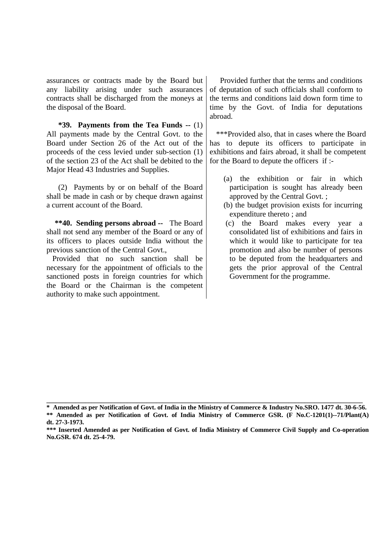assurances or contracts made by the Board but any liability arising under such assurances contracts shall be discharged from the moneys at the disposal of the Board.

 **\*39. Payments from the Tea Funds --** (1) All payments made by the Central Govt. to the Board under Section 26 of the Act out of the proceeds of the cess levied under sub-section (1) of the section 23 of the Act shall be debited to the Major Head 43 Industries and Supplies.

 (2) Payments by or on behalf of the Board shall be made in cash or by cheque drawn against a current account of the Board.

 **\*\*40. Sending persons abroad --** The Board shall not send any member of the Board or any of its officers to places outside India without the previous sanction of the Central Govt.,

 Provided that no such sanction shall be necessary for the appointment of officials to the sanctioned posts in foreign countries for which the Board or the Chairman is the competent authority to make such appointment.

 Provided further that the terms and conditions of deputation of such officials shall conform to the terms and conditions laid down form time to time by the Govt. of India for deputations abroad.

 \*\*\*Provided also, that in cases where the Board has to depute its officers to participate in exhibitions and fairs abroad, it shall be competent for the Board to depute the officers if :-

- (a) the exhibition or fair in which participation is sought has already been approved by the Central Govt. ;
- (b) the budget provision exists for incurring expenditure thereto ; and
- (c) the Board makes every year a consolidated list of exhibitions and fairs in which it would like to participate for tea promotion and also be number of persons to be deputed from the headquarters and gets the prior approval of the Central Government for the programme.

**\_\_\_\_\_\_\_\_\_\_\_\_\_\_\_\_\_\_\_\_\_\_\_\_\_\_\_\_\_\_\_\_\_\_\_\_\_\_\_\_\_\_\_\_\_\_\_\_\_\_\_\_\_\_\_\_\_\_\_\_\_\_\_\_\_\_\_\_\_\_\_\_\_\_\_\_\_\_\_\_\_\_\_\_\_\_\_\_\_\_\_\_\_\_\_\_\_\_**

**<sup>\*</sup> Amended as per Notification of Govt. of India in the Ministry of Commerce & Industry No.SRO. 1477 dt. 30-6-56. \*\* Amended as per Notification of Govt. of India Ministry of Commerce GSR. (F No.C-1201(1)--71/Plant(A) dt. 27-3-1973.**

**<sup>\*\*\*</sup> Inserted Amended as per Notification of Govt. of India Ministry of Commerce Civil Supply and Co-operation No.GSR. 674 dt. 25-4-79.**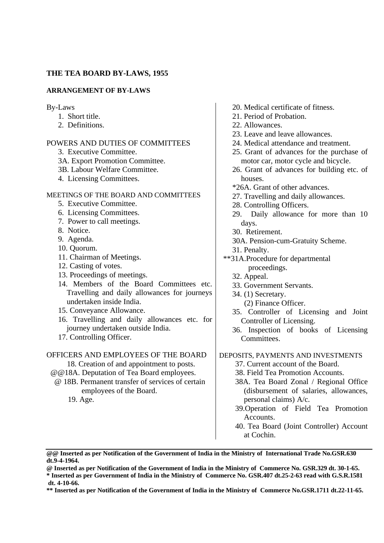### **THE TEA BOARD BY-LAWS, 1955**

### **ARRANGEMENT OF BY-LAWS**

By-Laws

- 1. Short title.
- 2. Definitions.

### POWERS AND DUTIES OF COMMITTEES

- 3. Executive Committee.
- 3A. Export Promotion Committee.
- 3B. Labour Welfare Committee.
- 4. Licensing Committees.

## MEETINGS OF THE BOARD AND COMMITTEES

- 5. Executive Committee.
- 6. Licensing Committees.
- 7. Power to call meetings.
- 8. Notice.
- 9. Agenda.
- 10. Quorum.
- 11. Chairman of Meetings.
- 12. Casting of votes.
- 13. Proceedings of meetings.
- 14. Members of the Board Committees etc. Travelling and daily allowances for journeys undertaken inside India.
- 15. Conveyance Allowance.
- 16. Travelling and daily allowances etc. for journey undertaken outside India.
- 17. Controlling Officer.

#### OFFICERS AND EMPLOYEES OF THE BOARD

- 18. Creation of and appointment to posts.
- @@18A. Deputation of Tea Board employees.
- @ 18B. Permanent transfer of services of certain employees of the Board.
	- 19. Age.
- 20. Medical certificate of fitness.
- 21. Period of Probation.
- 22. Allowances.
- 23. Leave and leave allowances.
- 24. Medical attendance and treatment.
- 25. Grant of advances for the purchase of motor car, motor cycle and bicycle.
- 26. Grant of advances for building etc. of houses.
- \*26A. Grant of other advances.
- 27. Travelling and daily allowances.
- 28. Controlling Officers.
- 29. Daily allowance for more than 10 days.
- 30. Retirement.
- 30A. Pension-cum-Gratuity Scheme.
- 31. Penalty.
- \*\*31A.Procedure for departmental proceedings.
	- 32. Appeal.
	- 33. Government Servants.
	- 34. (1) Secretary.
		- (2) Finance Officer.
	- 35. Controller of Licensing and Joint Controller of Licensing.
	- 36. Inspection of books of Licensing Committees.

### DEPOSITS, PAYMENTS AND INVESTMENTS

37. Current account of the Board.

- 38. Field Tea Promotion Accounts.
- 38A. Tea Board Zonal / Regional Office (disbursement of salaries, allowances, personal claims) A/c.
- 39.Operation of Field Tea Promotion Accounts.
- 40. Tea Board (Joint Controller) Account at Cochin.

**\* Inserted as per Government of India in the Ministry of Commerce No. GSR.407 dt.25-2-63 read with G.S.R.1581 dt. 4-10-66.**

**<sup>@@</sup> Inserted as per Notification of the Government of India in the Ministry of International Trade No.GSR.630 dt.9-4-1964.**

**<sup>@</sup> Inserted as per Notification of the Government of India in the Ministry of Commerce No. GSR.329 dt. 30-1-65.**

**<sup>\*\*</sup> Inserted as per Notification of the Government of India in the Ministry of Commerce No.GSR.1711 dt.22-11-65.**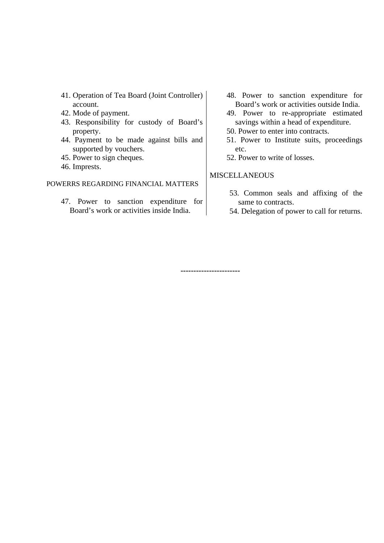- 41. Operation of Tea Board (Joint Controller) account.
- 42. Mode of payment.
- 43. Responsibility for custody of Board's property.
- 44. Payment to be made against bills and supported by vouchers.
- 45. Power to sign cheques.
- 46. Imprests.

## POWERRS REGARDING FINANCIAL MATTERS

47. Power to sanction expenditure for Board's work or activities inside India.

- 48. Power to sanction expenditure for Board's work or activities outside India.
- 49. Power to re-appropriate estimated savings within a head of expenditure.
- 50. Power to enter into contracts.
- 51. Power to Institute suits, proceedings etc.
- 52. Power to write of losses.

## **MISCELLANEOUS**

**-----------------------**

- 53. Common seals and affixing of the same to contracts.
- 54. Delegation of power to call for returns.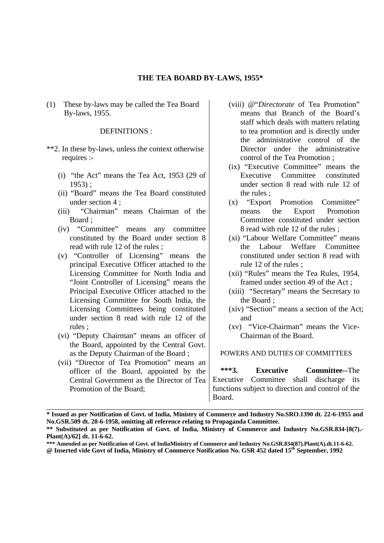### **THE TEA BOARD BY-LAWS, 1955\***

(1) These by-laws may be called the Tea Board By-laws, 1955.

## DEFINITIONS :

- \*\*2. In these by-laws, unless the context otherwise requires :-
	- (i) "the Act" means the Tea Act, 1953 (29 of 1953) ;
	- (ii) "Board" means the Tea Board constituted under section 4 ;
	- (iii) "Chairman" means Chairman of the Board ;
	- (iv) "Committee" means any committee constituted by the Board under section 8 read with rule 12 of the rules ;
	- (v) "Controller of Licensing" means the principal Executive Officer attached to the Licensing Committee for North India and "Joint Controller of Licensing" means the Principal Executive Officer attached to the Licensing Committee for South India, the Licensing Committees being constituted under section 8 read with rule 12 of the rules ;
	- (vi) "Deputy Chairman" means an officer of the Board, appointed by the Central Govt. as the Deputy Chairman of the Board ;
	- (vii) "Director of Tea Promotion" means an officer of the Board, appointed by the Central Government as the Director of Tea Promotion of the Board;
- (viii) @"*Directorate* of Tea Promotion" means that Branch of the Board's staff which deals with matters relating to tea promotion and is directly under the administrative control of the Director under the administrative control of the Tea Promotion ;
- (ix) "Executive Committee" means the Executive Committee constituted under section 8 read with rule 12 of the rules ;
- (x) "Export Promotion Committee" means the Export Promotion Committee constituted under section 8 read with rule 12 of the rules ;
- (xi) "Labour Welfare Committee" means the Labour Welfare Committee constituted under section 8 read with rule 12 of the rules ;
- (xii) "Rules" means the Tea Rules, 1954, framed under section 49 of the Act ;
- (xiii) "Secretary" means the Secretary to the Board ;
- (xiv) "Section" means a section of the Act; and
- (xv) "Vice-Chairman" means the Vice-Chairman of the Board.

#### POWERS AND DUTIES OF COMMITTEES

 **\*\*\*3. Executive Committee--**The Executive Committee shall discharge its functions subject to direction and control of the Board.

**@ Inserted vide Govt of India, Ministry of Commerce Notification No. GSR 452 dated 15th September, 1992**

\_\_\_\_\_\_\_\_\_\_\_\_\_\_\_\_\_\_\_\_\_\_\_\_\_\_\_\_\_\_\_\_\_\_\_\_\_\_\_\_\_\_\_\_\_\_\_\_\_\_\_\_\_\_\_\_\_\_\_\_\_\_\_\_\_\_\_\_\_\_\_\_\_\_\_\_\_\_\_\_\_\_ **\* Issued as per Notification of Govt. of India, Ministry of Commerce and Industry No.SRO.1390 dt. 22-6-1955 and No.GSR.509 dt. 28-6-1958, omitting all reference relating to Propaganda Committee.**

**<sup>\*\*</sup> Substituted as per Notification of Govt. of India, Ministry of Commerce and Industry No.GSR.834-[8(7).- Plant(A)/62] dt. 11-6-62.**

**<sup>\*\*\*</sup> Amended as per Notification of Govt. of IndiaMinistry of Commerce and Industry No.GSR.834(87).Plant(A).dt.11-6-62.**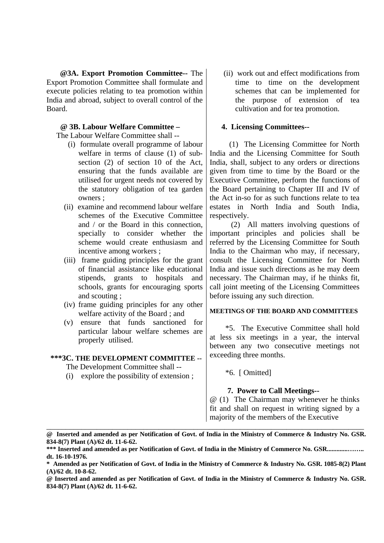**@3A. Export Promotion Committee--** The Export Promotion Committee shall formulate and execute policies relating to tea promotion within India and abroad, subject to overall control of the Board.

# **@ 3B. Labour Welfare Committee –**

The Labour Welfare Committee shall --

- (i) formulate overall programme of labour welfare in terms of clause (1) of subsection (2) of section 10 of the Act, ensuring that the funds available are utilised for urgent needs not covered by the statutory obligation of tea garden owners ;
- (ii) examine and recommend labour welfare schemes of the Executive Committee and / or the Board in this connection, specially to consider whether the scheme would create enthusiasm and incentive among workers ;
- (iii) frame guiding principles for the grant of financial assistance like educational stipends, grants to hospitals and schools, grants for encouraging sports and scouting ;
- (iv) frame guiding principles for any other welfare activity of the Board ; and
- (v) ensure that funds sanctioned for particular labour welfare schemes are properly utilised.

### **\*\*\*3C. THE DEVELOPMENT COMMITTEE --**

The Development Committee shall --

(i) explore the possibility of extension ;

(ii) work out and effect modifications from time to time on the development schemes that can be implemented for the purpose of extension of tea cultivation and for tea promotion.

### **4. Licensing Committees--**

 (1) The Licensing Committee for North India and the Licensing Committee for South India, shall, subject to any orders or directions given from time to time by the Board or the Executive Committee, perform the functions of the Board pertaining to Chapter III and IV of the Act in-so for as such functions relate to tea estates in North India and South India, respectively.

 (2) All matters involving questions of important principles and policies shall be referred by the Licensing Committee for South India to the Chairman who may, if necessary, consult the Licensing Committee for North India and issue such directions as he may deem necessary. The Chairman may, if he thinks fit, call joint meeting of the Licensing Committees before issuing any such direction.

### **MEETINGS OF THE BOARD AND COMMITTEES**

 \*5. The Executive Committee shall hold at less six meetings in a year, the interval between any two consecutive meetings not exceeding three months.

\*6. [ Omitted]

### **7. Power to Call Meetings--**

@ (1) The Chairman may whenever he thinks fit and shall on request in writing signed by a majority of the members of the Executive

\_\_\_\_\_\_\_\_\_\_\_\_\_\_\_\_\_\_\_\_\_\_\_\_\_\_\_\_\_\_\_\_\_\_\_\_\_\_\_\_\_\_\_\_\_\_\_\_\_\_\_\_\_\_\_\_\_\_\_\_\_\_\_\_\_\_\_\_\_\_\_\_\_\_\_\_\_\_\_\_\_\_ **@ Inserted and amended as per Notification of Govt. of India in the Ministry of Commerce & Industry No. GSR. 834-8(7) Plant (A)/62 dt. 11-6-62.**

**<sup>\*\*\*</sup> Inserted and amended as per Notification of Govt. of India in the Ministry of Commerce No. GSR.............…….. dt. 16-10-1976.**

**<sup>\*</sup> Amended as per Notification of Govt. of India in the Ministry of Commerce & Industry No. GSR. 1085-8(2) Plant (A)/62 dt. 10-8-62.**

**<sup>@</sup> Inserted and amended as per Notification of Govt. of India in the Ministry of Commerce & Industry No. GSR. 834-8(7) Plant (A)/62 dt. 11-6-62.**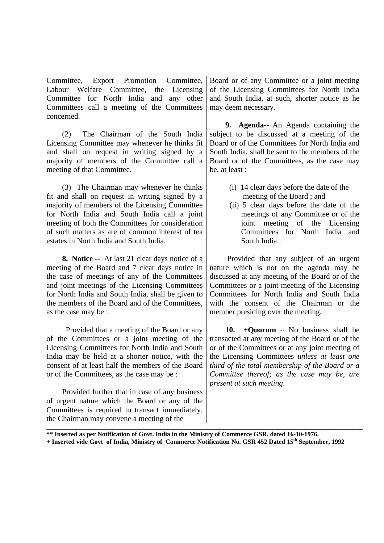Committee, Export Promotion Committee, Labour Welfare Committee, the Licensing Committee for North India and any other Committees call a meeting of the Committees concerned.

 (2) The Chairman of the South India Licensing Committee may whenever he thinks fit and shall on request in writing signed by a majority of members of the Committee call a meeting of that Committee.

 (3) The Chairman may whenever he thinks fit and shall on request in writing signed by a majority of members of the Licensing Committee for North India and South India call a joint meeting of both the Committees for consideration of such matters as are of common interest of tea estates in North India and South India.

 **8. Notice --** At last 21 clear days notice of a meeting of the Board and 7 clear days notice in the case of meetings of any of the Committees and joint meetings of the Licensing Committees for North India and South India, shall be given to the members of the Board and of the Committees, as the case may be :

 Provided that a meeting of the Board or any of the Committees or a joint meeting of the Licensing Committees for North India and South India may be held at a shorter notice, with the consent of at least half the members of the Board or of the Committees, as the case may be :

 Provided further that in case of any business of urgent nature which the Board or any of the Committees is required to transact immediately, the Chairman may convene a meeting of the

Board or of any Committee or a joint meeting of the Licensing Committees for North India and South India, at such, shorter notice as he may deem necessary.

 **9. Agenda--** An Agenda containing the subject to be discussed at a meeting of the Board or of the Committees for North India and South India, shall be sent to the members of the Board or of the Committees, as the case may be, at least :

- (i) 14 clear days before the date of the meeting of the Board ; and
- (ii) 5 clear days before the date of the meetings of any Committee or of the joint meeting of the Licensing Committees for North India and South India :

 Provided that any subject of an urgent nature which is not on the agenda may be discussed at any meeting of the Board or of the Committees or a joint meeting of the Licensing Committees for North India and South India with the consent of the Chairman or the member presiding over the meeting.

 **10. +Quorum --** No business shall be transacted at any meeting of the Board or of the or of the Committees or at any joint meeting of the Licensing Committees *unless at least one third of the total membership of the Board or a Committee thereof; as the case may be, are present at such meeting*.

**\*\* Inserted as per Notification of Govt. India in the Ministry of Commerce GSR. dated 16-10-1976. + Inserted vide Govt of India, Ministry of Commerce Notification No. GSR 452 Dated 15th September, 1992**

**\_\_\_\_\_\_\_\_\_\_\_\_\_\_\_\_\_\_\_\_\_\_\_\_\_\_\_\_\_\_\_\_\_\_\_\_\_\_\_\_\_\_\_\_\_\_\_\_\_\_\_\_\_\_\_\_\_\_\_\_\_\_\_\_\_\_\_\_\_\_\_\_\_\_\_\_\_\_\_\_\_\_\_\_\_\_\_\_\_\_\_\_\_\_\_\_\_\_**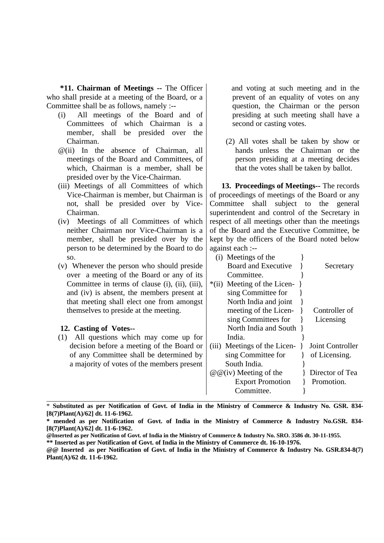**\*11. Chairman of Meetings --** The Officer who shall preside at a meeting of the Board, or a Committee shall be as follows, namely :--

- (i) All meetings of the Board and of Committees of which Chairman is a member, shall be presided over the Chairman.
- @(ii) In the absence of Chairman, all meetings of the Board and Committees, of which, Chairman is a member, shall be presided over by the Vice-Chairman.
- (iii) Meetings of all Committees of which Vice-Chairman is member, but Chairman is not, shall be presided over by Vice-Chairman.
- (iv) Meetings of all Committees of which neither Chairman nor Vice-Chairman is a member, shall be presided over by the person to be determined by the Board to do so.
- (v) Whenever the person who should preside over a meeting of the Board or any of its Committee in terms of clause (i), (ii), (iii), and (iv) is absent, the members present at that meeting shall elect one from amongst themselves to preside at the meeting.

## **12. Casting of Votes--**

 and voting at such meeting and in the prevent of an equality of votes on any question, the Chairman or the person presiding at such meeting shall have a second or casting votes.

 (2) All votes shall be taken by show or hands unless the Chairman or the person presiding at a meeting decides that the votes shall be taken by ballot.

 **13. Proceedings of Meetings--** The records of proceedings of meetings of the Board or any Committee shall subject to the general superintendent and control of the Secretary in respect of all meetings other than the meetings of the Board and the Executive Committee, be kept by the officers of the Board noted below against each :--

| SO.                                            | (i) Meetings of the                                |
|------------------------------------------------|----------------------------------------------------|
| (v) Whenever the person who should preside     | Board and Executive<br>Secretary                   |
| over a meeting of the Board or any of its      | Committee.                                         |
| Committee in terms of clause (i), (ii), (iii), | Meeting of the Licen-<br>$*(ii)$                   |
| and (iv) is absent, the members present at     | sing Committee for                                 |
| that meeting shall elect one from amongst      | North India and joint                              |
| themselves to preside at the meeting.          | meeting of the Licen-<br>Controller of             |
|                                                | sing Committees for<br>Licensing                   |
| 12. Casting of Votes--                         | North India and South                              |
| All questions which may come up for<br>(1)     | India.                                             |
| decision before a meeting of the Board or      | Joint Controller<br>(iii) Meetings of the Licen-   |
| of any Committee shall be determined by        | sing Committee for<br>of Licensing.                |
| a majority of votes of the members present     | South India.                                       |
|                                                | Director of Tea<br>$\omega(\omega)$ Meeting of the |
|                                                | <b>Export Promotion</b><br>Promotion.              |
|                                                | Committee.                                         |
|                                                |                                                    |

\* **Substituted as per Notification of Govt. of India in the Ministry of Commerce & Industry No. GSR. 834- [8(7)Plant(A)/62] dt. 11-6-1962.**

**<sup>\*</sup> mended as per Notification of Govt. of India in the Ministry of Commerce & Industry No.GSR. 834- [8(7)Plant(A)/62] dt. 11-6-1962.**

**<sup>@</sup>Inserted as per Notification of Govt. of India in the Ministry of Commerce & Industry No. SRO. 3586 dt. 30-11-1955.**

**<sup>\*\*</sup> Inserted as per Notification of Govt. of India in the Ministry of Commerce dt. 16-10-1976.**

**<sup>@@</sup> Inserted as per Notification of Govt. of India in the Ministry of Commerce & Industry No. GSR.834-8(7) Plant(A)/62 dt. 11-6-1962.**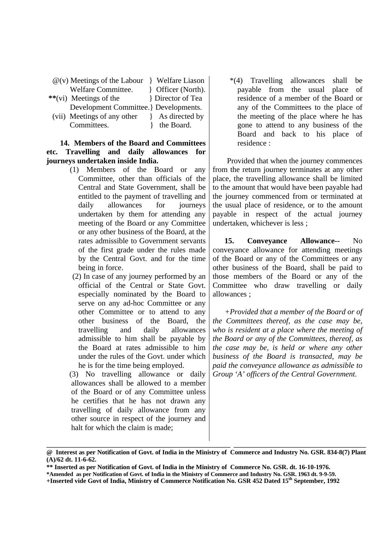| $\mathcal{Q}(v)$ Meetings of the Labour | Welfare Liason         |
|-----------------------------------------|------------------------|
| Welfare Committee.                      | Proficer (North).      |
| **(vi) Meetings of the                  | <b>Director of Tea</b> |
| Development Committee. Bevelopments.    |                        |
| (vii) Meetings of any other             | As directed by         |
| Committees.                             | the Board.             |

## **14. Members of the Board and Committees etc. Travelling and daily allowances for journeys undertaken inside India.**

- (1) Members of the Board or any Committee, other than officials of the Central and State Government, shall be entitled to the payment of travelling and daily allowances for journeys undertaken by them for attending any meeting of the Board or any Committee or any other business of the Board, at the rates admissible to Government servants of the first grade under the rules made by the Central Govt. and for the time being in force.
- (2) In case of any journey performed by an official of the Central or State Govt. especially nominated by the Board to serve on any ad-hoc Committee or any other Committee or to attend to any other business of the Board, the travelling and daily allowances admissible to him shall be payable by the Board at rates admissible to him under the rules of the Govt. under which he is for the time being employed.

 (3) No travelling allowance or daily allowances shall be allowed to a member of the Board or of any Committee unless he certifies that he has not drawn any travelling of daily allowance from any other source in respect of the journey and halt for which the claim is made;

 \*(4) Travelling allowances shall be payable from the usual place of residence of a member of the Board or any of the Committees to the place of the meeting of the place where he has gone to attend to any business of the Board and back to his place of residence :

 Provided that when the journey commences from the return journey terminates at any other place, the travelling allowance shall be limited to the amount that would have been payable had the journey commenced from or terminated at the usual place of residence, or to the amount payable in respect of the actual journey undertaken, whichever is less ;

 **15. Conveyance Allowance--** No conveyance allowance for attending meetings of the Board or any of the Committees or any other business of the Board, shall be paid to those members of the Board or any of the Committee who draw travelling or daily allowances ;

 *+Provided that a member of the Board or of the Committees thereof, as the case may be, who is resident at a place where the meeting of the Board or any of the Committees, thereof, as the case may be, is held or where any other business of the Board is transacted, may be paid the conveyance allowance as admissible to Group 'A' officers of the Central Government*.

**\_\_\_\_\_\_\_\_\_\_\_\_\_\_\_\_\_\_\_\_\_\_\_\_\_\_\_\_\_\_\_\_\_\_\_\_\_\_\_\_\_\_\_\_\_\_\_\_\_\_\_\_\_\_\_\_\_ \_\_\_\_\_\_\_\_\_\_\_\_\_\_\_\_\_\_\_\_\_\_\_\_\_\_\_\_\_\_\_\_\_\_\_\_\_\_\_\_\_ @ Interest as per Notification of Govt. of India in the Ministry of Commerce and Industry No. GSR. 834-8(7) Plant (A)/62 dt. 11-6-62.**

**<sup>\*\*</sup> Inserted as per Notification of Govt. of India in the Ministry of Commerce No. GSR. dt. 16-10-1976.**

**<sup>\*</sup>Amended as per Notification of Govt. of India in the Ministry of Commerce and Industry No. GSR. 1963 dt. 9-9-59.**

**<sup>+</sup>Inserted vide Govt of India, Ministry of Commerce Notification No. GSR 452 Dated 15th September, 1992**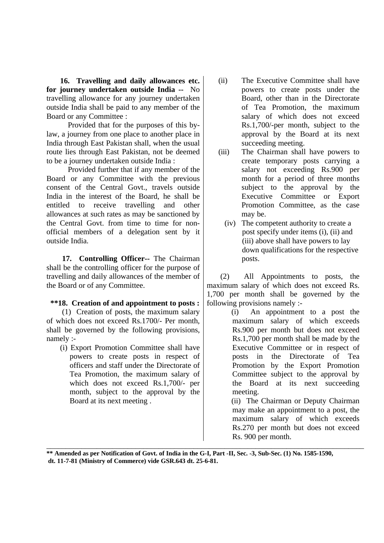**16. Travelling and daily allowances etc. for journey undertaken outside India --** No travelling allowance for any journey undertaken outside India shall be paid to any member of the Board or any Committee :

 Provided that for the purposes of this bylaw, a journey from one place to another place in India through East Pakistan shall, when the usual route lies through East Pakistan, not be deemed to be a journey undertaken outside India :

 Provided further that if any member of the Board or any Committee with the previous consent of the Central Govt., travels outside India in the interest of the Board, he shall be entitled to receive travelling and other allowances at such rates as may be sanctioned by the Central Govt. from time to time for nonofficial members of a delegation sent by it outside India.

 **17. Controlling Officer--** The Chairman shall be the controlling officer for the purpose of travelling and daily allowances of the member of the Board or of any Committee.

# **\*\*18. Creation of and appointment to posts :**

(1) Creation of posts, the maximum salary of which does not exceed Rs.1700/- Per month, shall be governed by the following provisions, namely :-

 (i) Export Promotion Committee shall have powers to create posts in respect of officers and staff under the Directorate of Tea Promotion, the maximum salary of which does not exceed Rs.1,700/- per month, subject to the approval by the Board at its next meeting .

- (ii) The Executive Committee shall have powers to create posts under the Board, other than in the Directorate of Tea Promotion, the maximum salary of which does not exceed Rs.1,700/-per month, subject to the approval by the Board at its next succeeding meeting.
- (iii) The Chairman shall have powers to create temporary posts carrying a salary not exceeding Rs.900 per month for a period of three months subject to the approval by the Executive Committee or Export Promotion Committee, as the case may be.
	- (iv) The competent authority to create a post specify under items (i), (ii) and (iii) above shall have powers to lay down qualifications for the respective posts.

 (2) All Appointments to posts, the maximum salary of which does not exceed Rs. 1,700 per month shall be governed by the following provisions namely :-

 (i) An appointment to a post the maximum salary of which exceeds Rs.900 per month but does not exceed Rs.1,700 per month shall be made by the Executive Committee or in respect of posts in the Directorate of Tea Promotion by the Export Promotion Committee subject to the approval by the Board at its next succeeding meeting.

 (ii) The Chairman or Deputy Chairman may make an appointment to a post, the maximum salary of which exceeds Rs.270 per month but does not exceed Rs. 900 per month.

\_\_\_\_\_\_\_\_\_\_\_\_\_\_\_\_\_\_\_\_\_\_\_\_\_\_\_\_\_\_\_\_\_\_\_\_\_\_\_\_\_\_\_\_\_\_\_\_\_\_\_\_\_\_\_\_\_\_\_\_\_\_\_\_\_\_\_\_\_\_\_\_\_\_\_\_\_\_\_\_\_\_ **\*\* Amended as per Notification of Govt. of India in the G-I, Part -II, Sec. -3, Sub-Sec. (1) No. 1585-1590, dt. 11-7-81 (Ministry of Commerce) vide GSR.643 dt. 25-6-81.**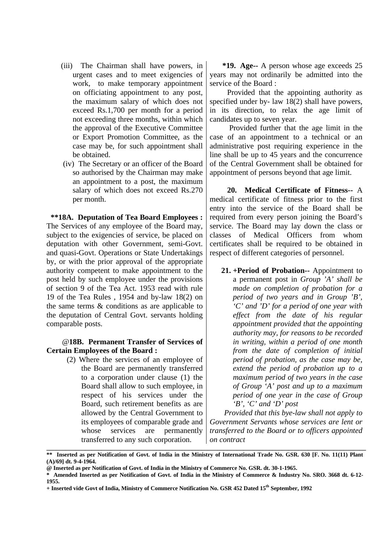- (iii) The Chairman shall have powers, in urgent cases and to meet exigencies of work, to make temporary appointment on officiating appointment to any post, the maximum salary of which does not exceed Rs.1,700 per month for a period not exceeding three months, within which the approval of the Executive Committee or Export Promotion Committee, as the case may be, for such appointment shall be obtained.
- (iv) The Secretary or an officer of the Board so authorised by the Chairman may make an appointment to a post, the maximum salary of which does not exceed Rs.270 per month.

 **\*\*18A. Deputation of Tea Board Employees :** The Services of any employee of the Board may, subject to the exigencies of service, be placed on deputation with other Government, semi-Govt. and quasi-Govt. Operations or State Undertakings by, or with the prior approval of the appropriate authority competent to make appointment to the post held by such employee under the provisions of section 9 of the Tea Act. 1953 read with rule 19 of the Tea Rules , 1954 and by-law 18(2) on the same terms & conditions as are applicable to the deputation of Central Govt. servants holding comparable posts.

## @**18B. Permanent Transfer of Services of Certain Employees of the Board :**

(2) Where the services of an employee of the Board are permanently transferred to a corporation under clause (1) the Board shall allow to such employee, in respect of his services under the Board, such retirement benefits as are allowed by the Central Government to its employees of comparable grade and whose services are permanently transferred to any such corporation.

 **\*19. Age--** A person whose age exceeds 25 years may not ordinarily be admitted into the service of the Board :

 Provided that the appointing authority as specified under by- law 18(2) shall have powers, in its direction, to relax the age limit of candidates up to seven year.

 Provided further that the age limit in the case of an appointment to a technical or an administrative post requiring experience in the line shall be up to 45 years and the concurrence of the Central Government shall be obtained for appointment of persons beyond that age limit.

 **20. Medical Certificate of Fitness--** A medical certificate of fitness prior to the first entry into the service of the Board shall be required from every person joining the Board's service. The Board may lay down the class or classes of Medical Officers from whom certificates shall be required to be obtained in respect of different categories of personnel.

**21. +Period of Probation--** Appointment to a permanent post in *Group 'A' shall be made on completion of probation for a period of two years and in Group 'B', 'C' and 'D' for a period of one year with effect from the date of his regular appointment provided that the appointing authority may, for reasons to be recorded in writing, within a period of one month from the date of completion of initial period of probation, as the case may be, extend the period of probation up to a maximum period of two years in the case of Group 'A' post and up to a maximum period of one year in the case of Group 'B', 'C' and 'D' post*

 *Provided that this bye-law shall not apply to Government Servants whose services are lent or transferred to the Board or to officers appointed on contract*

**\_\_\_\_\_\_\_\_\_\_\_\_\_\_\_\_\_\_\_\_\_\_\_\_\_\_\_\_\_\_\_\_\_\_\_\_\_\_\_\_\_\_\_\_\_\_\_\_\_\_\_\_\_\_\_\_\_\_\_\_\_\_\_\_\_\_\_\_\_\_\_\_\_\_\_\_\_\_\_\_\_\_\_\_\_\_\_\_\_\_\_\_\_\_\_\_\_\_\_ \*\* Inserted as per Notification of Govt. of India in the Ministry of International Trade No. GSR. 630 [F. No. 11(11) Plant (A)/69] dt. 9-4-1964.**

**<sup>@</sup> Inserted as per Notification of Govt. of India in the Ministry of Commerce No. GSR. dt. 30-1-1965.**

**<sup>\*</sup> Amended Inserted as per Notification of Govt. of India in the Ministry of Commerce & Industry No. SRO. 3668 dt. 6-12- 1955.**

**<sup>+</sup> Inserted vide Govt of India, Ministry of Commerce Notification No. GSR 452 Dated 15th September, 1992**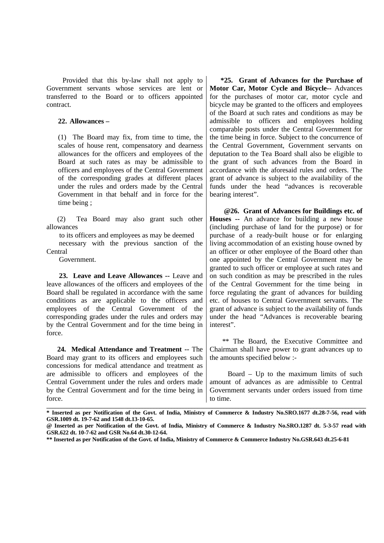Provided that this by-law shall not apply to Government servants whose services are lent or transferred to the Board or to officers appointed contract.

#### **22. Allowances –**

(1) The Board may fix, from time to time, the scales of house rent, compensatory and dearness allowances for the officers and employees of the Board at such rates as may be admissible to officers and employees of the Central Government of the corresponding grades at different places under the rules and orders made by the Central Government in that behalf and in force for the time being ;

 (2) Tea Board may also grant such other allowances

 to its officers and employees as may be deemed necessary with the previous sanction of the **Central** 

Government.

 **23. Leave and Leave Allowances --** Leave and leave allowances of the officers and employees of the Board shall be regulated in accordance with the same conditions as are applicable to the officers and employees of the Central Government of the corresponding grades under the rules and orders may by the Central Government and for the time being in force.

 **24. Medical Attendance and Treatment --** The Board may grant to its officers and employees such concessions for medical attendance and treatment as are admissible to officers and employees of the Central Government under the rules and orders made by the Central Government and for the time being in force.

 **\*25. Grant of Advances for the Purchase of Motor Car, Motor Cycle and Bicycle--** Advances for the purchases of motor car, motor cycle and bicycle may be granted to the officers and employees of the Board at such rates and conditions as may be admissible to officers and employees holding comparable posts under the Central Government for the time being in force. Subject to the concurrence of the Central Government, Government servants on deputation to the Tea Board shall also be eligible to the grant of such advances from the Board in accordance with the aforesaid rules and orders. The grant of advance is subject to the availability of the funds under the head "advances is recoverable bearing interest".

 **@26. Grant of Advances for Buildings etc. of Houses --** An advance for building a new house (including purchase of land for the purpose) or for purchase of a ready-built house or for enlarging living accommodation of an existing house owned by an officer or other employee of the Board other than one appointed by the Central Government may be granted to such officer or employee at such rates and on such condition as may be prescribed in the rules of the Central Government for the time being in force regulating the grant of advances for building etc. of houses to Central Government servants. The grant of advance is subject to the availability of funds under the head "Advances is recoverable bearing interest".

 \*\* The Board, the Executive Committee and Chairman shall have power to grant advances up to the amounts specified below :-

 Board – Up to the maximum limits of such amount of advances as are admissible to Central Government servants under orders issued from time to time.

**\_\_\_\_\_\_\_\_\_\_\_\_\_\_\_\_\_\_\_\_\_\_\_\_\_\_\_\_\_\_\_\_\_\_\_\_\_\_\_\_\_\_\_\_\_\_\_\_\_\_\_\_\_\_\_\_\_\_\_\_\_\_\_\_\_\_\_\_\_\_\_\_\_\_\_\_\_\_\_\_\_\_\_\_\_\_\_\_\_\_\_\_\_\_\_\_\_\_\_\_\_\_\_\_\_\_\_\_\_\_ \* Inserted as per Notification of the Govt. of India, Ministry of Commerce & Industry No.SRO.1677 dt.28-7-56, read with GSR.1009 dt. 19-7-62 and 1548 dt.13-10-65.**

**<sup>@</sup> Inserted as per Notification of the Govt. of India, Ministry of Commerce & Industry No.SRO.1287 dt. 5-3-57 read with GSR.622 dt. 10-7-62 and GSR No.64 dt.30-12-64.**

**<sup>\*\*</sup> Inserted as per Notification of the Govt. of India, Ministry of Commerce & Commerce Industry No.GSR.643 dt.25-6-81**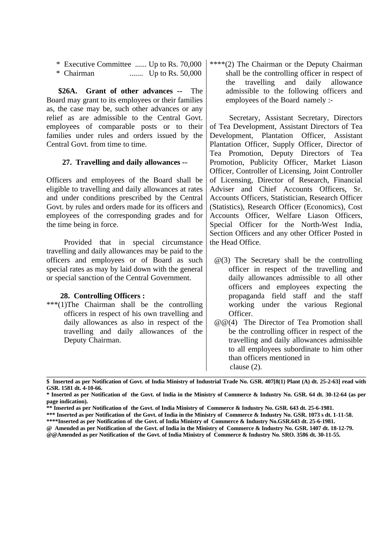- \* Executive Committee ...... Up to Rs. 70,000
- \* Chairman ....... Up to Rs. 50,000

 **\$26A. Grant of other advances --** The Board may grant to its employees or their families as, the case may be, such other advances or any relief as are admissible to the Central Govt. employees of comparable posts or to their families under rules and orders issued by the Central Govt. from time to time.

## **27. Travelling and daily allowances --**

Officers and employees of the Board shall be eligible to travelling and daily allowances at rates and under conditions prescribed by the Central Govt. by rules and orders made for its officers and employees of the corresponding grades and for the time being in force.

 Provided that in special circumstance travelling and daily allowances may be paid to the officers and employees or of Board as such special rates as may by laid down with the general or special sanction of the Central Government.

## **28. Controlling Officers :**

\*\*\*(1)The Chairman shall be the controlling officers in respect of his own travelling and daily allowances as also in respect of the travelling and daily allowances of the Deputy Chairman.

\*\*\*\*(2) The Chairman or the Deputy Chairman shall be the controlling officer in respect of the travelling and daily allowance admissible to the following officers and employees of the Board namely :-

 Secretary, Assistant Secretary, Directors of Tea Development, Assistant Directors of Tea Development, Plantation Officer, Assistant Plantation Officer, Supply Officer, Director of Tea Promotion, Deputy Directors of Tea Promotion, Publicity Officer, Market Liason Officer, Controller of Licensing, Joint Controller of Licensing, Director of Research, Financial Adviser and Chief Accounts Officers, Sr. Accounts Officers, Statistician, Research Officer (Statistics), Research Officer (Economics), Cost Accounts Officer, Welfare Liason Officers, Special Officer for the North-West India, Section Officers and any other Officer Posted in the Head Office.

- $\omega(3)$  The Secretary shall be the controlling officer in respect of the travelling and daily allowances admissible to all other officers and employees expecting the propaganda field staff and the staff working under the various Regional Officer.
- @@(4) The Director of Tea Promotion shall be the controlling officer in respect of the travelling and daily allowances admissible to all employees subordinate to him other than officers mentioned in clause (2).

**\_\_\_\_\_\_\_\_\_\_\_\_\_\_\_\_\_\_\_\_\_\_\_\_\_\_\_\_\_\_\_\_\_\_\_\_\_\_\_\_\_\_\_\_\_\_\_\_\_\_\_\_\_\_\_\_\_\_\_\_\_\_\_\_\_\_\_\_\_\_\_\_\_\_\_\_\_\_\_\_\_\_\_\_\_\_\_\_\_\_\_\_\_\_\_\_\_\_\_\_\_\_\_\_\_\_\_\_\_\_ \$ Inserted as per Notification of Govt. of India Ministry of Industrial Trade No. GSR. 407[8(1) Plant (A) dt. 25-2-63] read with GSR. 1581 dt. 4-10-66.**

**<sup>\*</sup> Inserted as per Notification of the Govt. of India in the Ministry of Commerce & Industry No. GSR. 64 dt. 30-12-64 (as per page indication).**

**<sup>\*\*</sup> Inserted as per Notification of the Govt. of India Ministry of Commerce & Industry No. GSR. 643 dt. 25-6-1981.**

**<sup>\*\*\*</sup> Inserted as per Notification of the Govt. of India in the Ministry of Commerce & Industry No. GSR. 1073 s dt. 1-11-58.**

**<sup>\*\*\*\*</sup>Inserted as per Notification of the Govt. of India Ministry of Commerce & Industry No.GSR.643 dt. 25-6-1981.**

**<sup>@</sup> Amended as per Notification of the Govt. of India in the Ministry of Commerce & Industry No. GSR. 1407 dt. 18-12-79. @@Amended as per Notification of the Govt. of India Ministry of Commerce & Industry No. SRO. 3586 dt. 30-11-55.**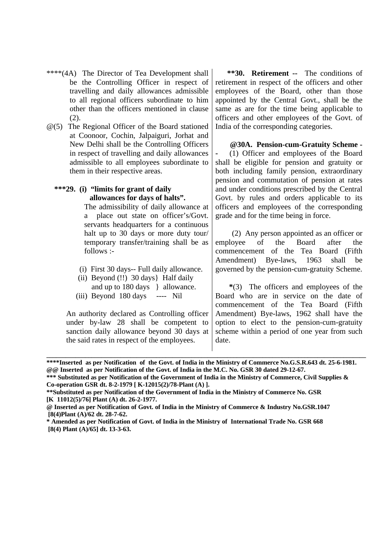- \*\*\*\*(4A) The Director of Tea Development shall be the Controlling Officer in respect of travelling and daily allowances admissible to all regional officers subordinate to him other than the officers mentioned in clause (2).
- @(5) The Regional Officer of the Board stationed at Coonoor, Cochin, Jalpaiguri, Jorhat and New Delhi shall be the Controlling Officers in respect of travelling and daily allowances admissible to all employees subordinate to them in their respective areas.
	- **\*\*\*29. (i) "limits for grant of daily allowances for days of halts".**

The admissibility of daily allowance at a place out state on officer's/Govt. servants headquarters for a continuous halt up to 30 days or more duty tour/ temporary transfer/training shall be as follows :-

- (i) First 30 days-- Full daily allowance.
- (ii) Beyond (!!) 30 days} Half daily and up to 180 days } allowance.
- (iii) Beyond 180 days ---- Nil

An authority declared as Controlling officer under by-law 28 shall be competent to sanction daily allowance beyond 30 days at the said rates in respect of the employees.

 **\*\*30. Retirement --** The conditions of retirement in respect of the officers and other employees of the Board, other than those appointed by the Central Govt., shall be the same as are for the time being applicable to officers and other employees of the Govt. of India of the corresponding categories.

 **@30A. Pension-cum-Gratuity Scheme - -** (1) Officer and employees of the Board shall be eligible for pension and gratuity or both including family pension, extraordinary pension and commutation of pension at rates and under conditions prescribed by the Central Govt. by rules and orders applicable to its officers and employees of the corresponding grade and for the time being in force.

 (2) Any person appointed as an officer or employee of the Board after the commencement of the Tea Board (Fifth Amendment) Bye-laws, 1963 shall be governed by the pension-cum-gratuity Scheme.

 **\***(3) The officers and employees of the Board who are in service on the date of commencement of the Tea Board (Fifth Amendment) Bye-laws, 1962 shall have the option to elect to the pension-cum-gratuity scheme within a period of one year from such date.

**\*\*\*\*Inserted as per Notification of the Govt. of India in the Ministry of Commerce No.G.S.R.643 dt. 25-6-1981. @@ Inserted as per Notification of the Govt. of India in the M.C. No. GSR 30 dated 29-12-67.**

**\_\_\_\_\_\_\_\_\_\_\_\_\_\_\_\_\_\_\_\_\_\_\_\_\_\_\_\_\_\_\_\_\_\_\_\_\_\_\_\_\_\_\_\_\_\_\_\_\_\_\_\_\_\_\_\_\_\_\_\_\_\_\_\_\_\_\_\_\_\_\_\_\_\_\_\_\_\_\_\_\_\_\_\_\_\_\_\_\_\_\_\_\_\_\_\_\_\_\_**

**\*\*\* Substituted as per Notification of the Government of India in the Ministry of Commerce, Civil Supplies & Co-operation GSR dt. 8-2-1979 [ K-12015(2)/78-Plant (A) ].**

**<sup>\*\*</sup>Substituted as per Notification of the Government of India in the Ministry of Commerce No. GSR [K 11012(5)/76] Plant (A) dt. 26-2-1977.**

**<sup>@</sup> Inserted as per Notification of Govt. of India in the Ministry of Commerce & Industry No.GSR.1047 [8(4)Plant (A)/62 dt. 28-7-62.**

**<sup>\*</sup> Amended as per Notification of Govt. of India in the Ministry of International Trade No. GSR 668 [8(4) Plant (A)/65] dt. 13-3-63.**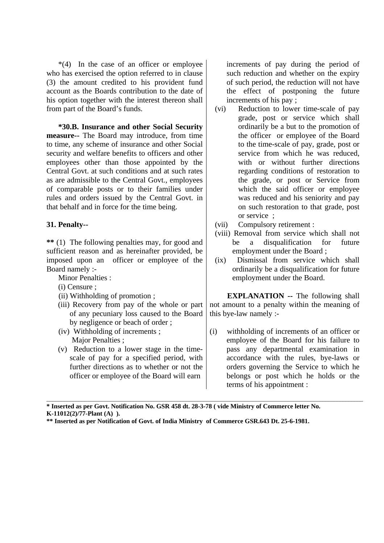$*(4)$  In the case of an officer or employee who has exercised the option referred to in clause (3) the amount credited to his provident fund account as the Boards contribution to the date of his option together with the interest thereon shall from part of the Board's funds.

 **\*30.B. Insurance and other Social Security measure--** The Board may introduce, from time to time, any scheme of insurance and other Social security and welfare benefits to officers and other employees other than those appointed by the Central Govt. at such conditions and at such rates as are admissible to the Central Govt., employees of comparable posts or to their families under rules and orders issued by the Central Govt. in that behalf and in force for the time being.

## **31. Penalty--**

**\*\*** (1) The following penalties may, for good and sufficient reason and as hereinafter provided, be imposed upon an officer or employee of the Board namely :-

Minor Penalties :

- (i) Censure ;
- (ii) Withholding of promotion ;
- (iii) Recovery from pay of the whole or part of any pecuniary loss caused to the Board by negligence or beach of order ;
- (iv) Withholding of increments ; Major Penalties ;
- (v) Reduction to a lower stage in the timescale of pay for a specified period, with further directions as to whether or not the officer or employee of the Board will earn

increments of pay during the period of such reduction and whether on the expiry of such period, the reduction will not have the effect of postponing the future increments of his pay ;

- (vi) Reduction to lower time-scale of pay grade, post or service which shall ordinarily be a but to the promotion of the officer or employee of the Board to the time-scale of pay, grade, post or service from which he was reduced, with or without further directions regarding conditions of restoration to the grade, or post or Service from which the said officer or employee was reduced and his seniority and pay on such restoration to that grade, post or service ;
- (vii) Compulsory retirement :
- (viii) Removal from service which shall not be a disqualification for future employment under the Board ;
- (ix) Dismissal from service which shall ordinarily be a disqualification for future employment under the Board.

**EXPLANATION** -- The following shall not amount to a penalty within the meaning of this bye-law namely :-

(i) withholding of increments of an officer or employee of the Board for his failure to pass any departmental examination in accordance with the rules, bye-laws or orders governing the Service to which he belongs or post which he holds or the terms of his appointment :

**\* Inserted as per Govt. Notification No. GSR 458 dt. 28-3-78 ( vide Ministry of Commerce letter No. K-11012(2)/77-Plant (A) ).**

\_\_\_\_\_\_\_\_\_\_\_\_\_\_\_\_\_\_\_\_\_\_\_\_\_\_\_\_\_\_\_\_\_\_\_\_\_\_\_\_\_\_\_\_\_\_\_\_\_\_\_\_\_\_\_\_\_\_\_\_\_\_\_\_\_\_\_\_\_\_\_\_\_\_\_\_\_\_\_\_\_\_\_\_\_\_\_\_\_\_\_\_\_\_\_\_\_\_\_\_\_\_\_\_\_\_\_\_\_

**<sup>\*\*</sup> Inserted as per Notification of Govt. of India Ministry of Commerce GSR.643 Dt. 25-6-1981.**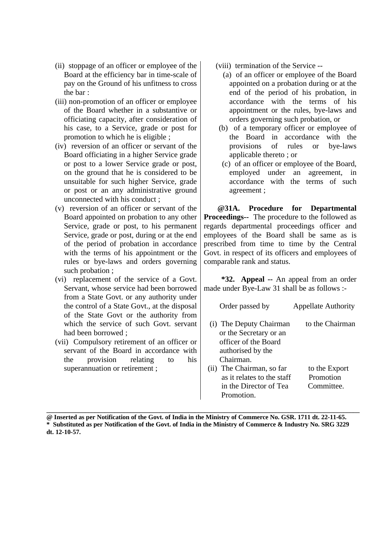- (ii) stoppage of an officer or employee of the Board at the efficiency bar in time-scale of pay on the Ground of his unfitness to cross the bar :
- (iii) non-promotion of an officer or employee of the Board whether in a substantive or officiating capacity, after consideration of his case, to a Service, grade or post for promotion to which he is eligible ;
- (iv) reversion of an officer or servant of the Board officiating in a higher Service grade or post to a lower Service grade or post, on the ground that he is considered to be unsuitable for such higher Service, grade or post or an any administrative ground unconnected with his conduct ;
- (v) reversion of an officer or servant of the Board appointed on probation to any other Service, grade or post, to his permanent Service, grade or post, during or at the end of the period of probation in accordance with the terms of his appointment or the rules or bye-laws and orders governing such probation ;
- (vi) replacement of the service of a Govt. Servant, whose service had been borrowed from a State Govt. or any authority under the control of a State Govt., at the disposal of the State Govt or the authority from which the service of such Govt. servant had been borrowed ;
- (vii) Compulsory retirement of an officer or servant of the Board in accordance with the provision relating to his superannuation or retirement ;
- (viii) termination of the Service --
	- (a) of an officer or employee of the Board appointed on a probation during or at the end of the period of his probation, in accordance with the terms of his appointment or the rules, bye-laws and orders governing such probation, or
- (b) of a temporary officer or employee of the Board in accordance with the provisions of rules or bye-laws applicable thereto ; or
- (c) of an officer or employee of the Board, employed under an agreement, in accordance with the terms of such agreement ;

 **@31A. Procedure for Departmental Proceedings--** The procedure to the followed as regards departmental proceedings officer and employees of the Board shall be same as is prescribed from time to time by the Central Govt. in respect of its officers and employees of comparable rank and status.

 **\*32. Appeal --** An appeal from an order made under Bye-Law 31 shall be as follows :-

| Order passed by                                                                                            | <b>Appellate Authority</b> |
|------------------------------------------------------------------------------------------------------------|----------------------------|
| (i) The Deputy Chairman<br>or the Secretary or an<br>officer of the Board<br>authorised by the<br>Chairman | to the Chairman            |
|                                                                                                            |                            |
| The Chairman, so far<br>(i)                                                                                | to the Export              |
| as it relates to the staff                                                                                 | Promotion                  |
| in the Director of Tea                                                                                     | Committee                  |

**@ Inserted as per Notification of the Govt. of India in the Ministry of Commerce No. GSR. 1711 dt. 22-11-65. \* Substituted as per Notification of the Govt. of India in the Ministry of Commerce & Industry No. SRG 3229 dt. 12-10-57.**

**\_\_\_\_\_\_\_\_\_\_\_\_\_\_\_\_\_\_\_\_\_\_\_\_\_\_\_\_\_\_\_\_\_\_\_\_\_\_\_\_\_\_\_\_\_\_\_\_\_\_\_\_\_\_\_\_\_\_\_\_\_\_\_\_\_\_\_\_\_\_\_\_\_\_\_\_\_\_\_\_\_\_\_\_\_\_\_\_\_\_\_\_\_\_\_\_\_**

Promotion.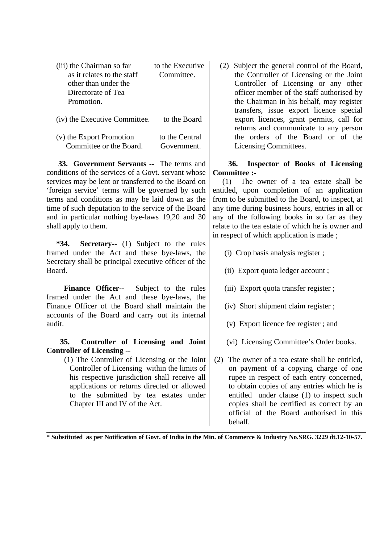| (iii) the Chairman so far<br>as it relates to the staff<br>other than under the<br>Directorate of Tea<br>Promotion. | to the Executive<br>Committee |
|---------------------------------------------------------------------------------------------------------------------|-------------------------------|
| (iv) the Executive Committee.                                                                                       | to the Board                  |
| (v) the Export Promotion<br>Committee or the Board.                                                                 | to the Central<br>Government  |

 **33. Government Servants --** The terms and conditions of the services of a Govt. servant whose services may be lent or transferred to the Board on 'foreign service' terms will be governed by such terms and conditions as may be laid down as the time of such deputation to the service of the Board and in particular nothing bye-laws 19,20 and 30 shall apply to them.

 **\*34. Secretary--** (1) Subject to the rules framed under the Act and these bye-laws, the Secretary shall be principal executive officer of the Board.

 **Finance Officer--** Subject to the rules framed under the Act and these bye-laws, the Finance Officer of the Board shall maintain the accounts of the Board and carry out its internal audit.

 **35. Controller of Licensing and Joint Controller of Licensing --**

> (1) The Controller of Licensing or the Joint Controller of Licensing within the limits of his respective jurisdiction shall receive all applications or returns directed or allowed to the submitted by tea estates under Chapter III and IV of the Act.

(2) Subject the general control of the Board, the Controller of Licensing or the Joint Controller of Licensing or any other officer member of the staff authorised by the Chairman in his behalf, may register transfers, issue export licence special export licences, grant permits, call for returns and communicate to any person the orders of the Board or of the Licensing Committees.

# **36. Inspector of Books of Licensing Committee :-**

 (1) The owner of a tea estate shall be entitled, upon completion of an application from to be submitted to the Board, to inspect, at any time during business hours, entries in all or any of the following books in so far as they relate to the tea estate of which he is owner and in respect of which application is made ;

- (i) Crop basis analysis register ;
- (ii) Export quota ledger account ;
- (iii) Export quota transfer register ;
- (iv) Short shipment claim register ;
- (v) Export licence fee register ; and
- (vi) Licensing Committee's Order books.
- (2) The owner of a tea estate shall be entitled, on payment of a copying charge of one rupee in respect of each entry concerned, to obtain copies of any entries which he is entitled under clause (1) to inspect such copies shall be certified as correct by an official of the Board authorised in this behalf.

**\_\_\_\_\_\_\_\_\_\_\_\_\_\_\_\_\_\_\_\_\_\_\_\_\_\_\_\_\_\_\_\_\_\_\_\_\_\_\_\_\_\_\_\_\_\_\_\_\_\_\_\_\_\_\_\_\_\_\_\_\_\_\_\_\_\_\_\_\_\_\_\_\_\_\_\_\_\_\_\_\_\_\_\_\_\_\_\_\_\_\_\_\_\_\_\_\_\_\_ \* Substituted as per Notification of Govt. of India in the Min. of Commerce & Industry No.SRG. 3229 dt.12-10-57.**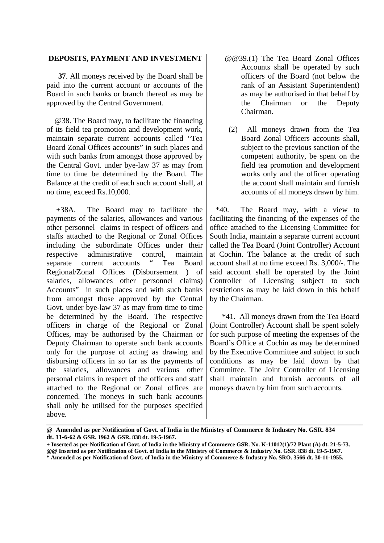### **DEPOSITS, PAYMENT AND INVESTMENT**

 **37**. All moneys received by the Board shall be paid into the current account or accounts of the Board in such banks or branch thereof as may be approved by the Central Government.

 @38. The Board may, to facilitate the financing of its field tea promotion and development work, maintain separate current accounts called "Tea Board Zonal Offices accounts" in such places and with such banks from amongst those approved by the Central Govt. under bye-law 37 as may from time to time be determined by the Board. The Balance at the credit of each such account shall, at no time, exceed Rs.10,000.

 +38A. The Board may to facilitate the payments of the salaries, allowances and various other personnel claims in respect of officers and staffs attached to the Regional or Zonal Offices including the subordinate Offices under their respective administrative control, maintain separate current accounts " Tea Board Regional/Zonal Offices (Disbursement ) of salaries, allowances other personnel claims) Accounts" in such places and with such banks from amongst those approved by the Central Govt. under bye-law 37 as may from time to time be determined by the Board. The respective officers in charge of the Regional or Zonal Offices, may be authorised by the Chairman or Deputy Chairman to operate such bank accounts only for the purpose of acting as drawing and disbursing officers in so far as the payments of the salaries, allowances and various other personal claims in respect of the officers and staff attached to the Regional or Zonal offices are concerned. The moneys in such bank accounts shall only be utilised for the purposes specified above.

- @@39.(1) The Tea Board Zonal Offices Accounts shall be operated by such officers of the Board (not below the rank of an Assistant Superintendent) as may be authorised in that behalf by the Chairman or the Deputy Chairman.
- (2) All moneys drawn from the Tea Board Zonal Officers accounts shall, subject to the previous sanction of the competent authority, be spent on the field tea promotion and development works only and the officer operating the account shall maintain and furnish accounts of all moneys drawn by him.

 \*40. The Board may, with a view to facilitating the financing of the expenses of the office attached to the Licensing Committee for South India, maintain a separate current account called the Tea Board (Joint Controller) Account at Cochin. The balance at the credit of such account shall at no time exceed Rs. 3,000/-. The said account shall be operated by the Joint Controller of Licensing subject to such restrictions as may be laid down in this behalf by the Chairman.

 \*41. All moneys drawn from the Tea Board (Joint Controller) Account shall be spent solely for such purpose of meeting the expenses of the Board's Office at Cochin as may be determined by the Executive Committee and subject to such conditions as may be laid down by that Committee. The Joint Controller of Licensing shall maintain and furnish accounts of all moneys drawn by him from such accounts.

**\_\_\_\_\_\_\_\_\_\_\_\_\_\_\_\_\_\_\_\_\_\_\_\_\_\_\_\_\_\_\_\_\_\_\_\_\_\_\_\_\_\_\_\_\_\_\_\_\_\_\_\_\_\_\_\_\_\_\_\_\_\_\_\_\_\_\_\_\_\_\_\_\_\_\_\_\_\_\_\_\_\_\_\_\_\_\_\_\_\_\_\_\_\_\_\_\_\_**

**@@ Inserted as per Notification of Govt. of India in the Ministry of Commerce & Industry No. GSR. 838 dt. 19-5-1967.**

**<sup>@</sup> Amended as per Notification of Govt. of India in the Ministry of Commerce & Industry No. GSR. 834 dt. 11-6-62 & GSR. 1962 & GSR. 838 dt. 19-5-1967.**

**<sup>+</sup> Inserted as per Notification of Govt. of India in the Ministry of Commerce GSR. No. K-11012(1)/72 Plant (A) dt. 21-5-73.**

**<sup>\*</sup> Amended as per Notification of Govt. of India in the Ministry of Commerce & Industry No. SRO. 3566 dt. 30-11-1955.**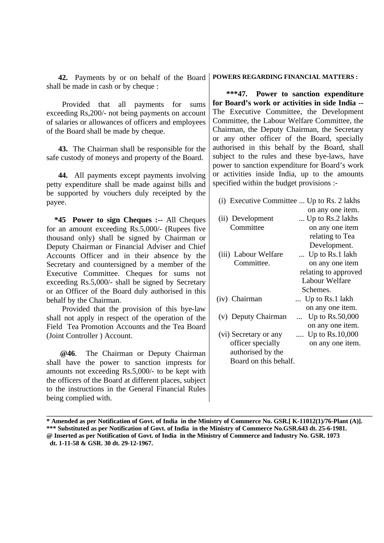**42.** Payments by or on behalf of the Board shall be made in cash or by cheque :

 Provided that all payments for sums exceeding Rs,200/- not being payments on account of salaries or allowances of officers and employees of the Board shall be made by cheque.

 **43.** The Chairman shall be responsible for the safe custody of moneys and property of the Board.

 **44.** All payments except payments involving petty expenditure shall be made against bills and be supported by vouchers duly receipted by the payee.

 **\*45 Power to sign Cheques :--** All Cheques for an amount exceeding Rs.5,000/- (Rupees five thousand only) shall be signed by Chairman or Deputy Chairman or Financial Adviser and Chief Accounts Officer and in their absence by the Secretary and countersigned by a member of the Executive Committee. Cheques for sums not exceeding Rs.5,000/- shall be signed by Secretary or an Officer of the Board duly authorised in this behalf by the Chairman.

 Provided that the provision of this bye-law shall not apply in respect of the operation of the Field Tea Promotion Accounts and the Tea Board (Joint Controller ) Account.

 **@46**. The Chairman or Deputy Chairman shall have the power to sanction imprests for amounts not exceeding Rs.5,000/- to be kept with the officers of the Board at different places, subject to the instructions in the General Financial Rules being complied with.

**POWERS REGARDING FINANCIAL MATTERS :**

 **\*\*\*47. Power to sanction expenditure for Board's work or activities in side India --** The Executive Committee, the Development Committee, the Labour Welfare Committee, the Chairman, the Deputy Chairman, the Secretary or any other officer of the Board, specially authorised in this behalf by the Board, shall subject to the rules and these bye-laws, have power to sanction expenditure for Board's work or activities inside India, up to the amounts specified within the budget provisions :-

(i) Executive Committee ... Up to Rs. 2 lakhs

|                       | on any one item.            |
|-----------------------|-----------------------------|
| (ii) Development      | Up to Rs.2 lakhs            |
| Committee             | on any one item             |
|                       | relating to Tea             |
|                       | Development.                |
| (iii) Labour Welfare  | Up to Rs.1 lakh             |
| Committee.            | on any one item             |
|                       | relating to approved        |
|                       | Labour Welfare              |
|                       | Schemes.                    |
| (iv) Chairman         | Up to Rs.1 lakh             |
|                       | on any one item.            |
| (v) Deputy Chairman   | Up to Rs.50,000<br>$\cdots$ |
|                       | on any one item.            |
| (vi) Secretary or any | Up to $Rs.10,000$           |
| officer specially     | on any one item.            |
| authorised by the     |                             |
| Board on this behalf. |                             |

**\_\_\_\_\_\_\_\_\_\_\_\_\_\_\_\_\_\_\_\_\_\_\_\_\_\_\_\_\_\_\_\_\_\_\_\_\_\_\_\_\_\_\_\_\_\_\_\_\_\_\_\_\_\_\_\_\_\_\_\_\_\_\_\_\_\_\_\_\_\_\_\_\_\_\_\_\_\_\_\_\_\_\_\_\_\_\_\_\_\_\_\_\_\_\_\_\_\_\_\_\_**

**<sup>\*</sup> Amended as per Notification of Govt. of India in the Ministry of Commerce No. GSR.[ K-11012(1)/76-Plant (A)]. \*\*\* Substituted as per Notification of Govt. of India in the Ministry of Commerce No.GSR.643 dt. 25-6-1981. @ Inserted as per Notification of Govt. of India in the Ministry of Commerce and Industry No. GSR. 1073 dt. 1-11-58 & GSR. 30 dt. 29-12-1967.**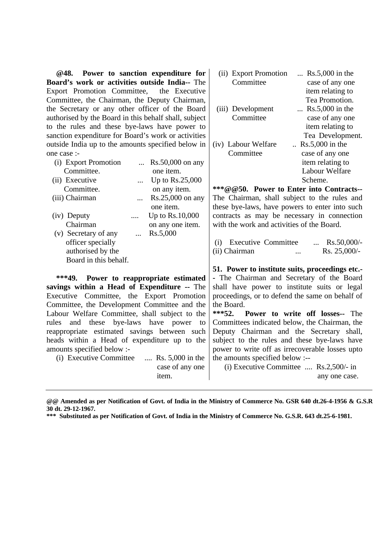| Power to sanction expenditure for<br>@48.             | $Rs.5,000$ in the<br>(ii) Export Promotion                |
|-------------------------------------------------------|-----------------------------------------------------------|
| Board's work or activities outside India-- The        | Committee<br>case of any one                              |
| Export Promotion Committee, the Executive             | item relating to                                          |
| Committee, the Chairman, the Deputy Chairman,         | Tea Promotion.                                            |
| the Secretary or any other officer of the Board       | $Rs.5,000$ in the<br>(iii) Development                    |
| authorised by the Board in this behalf shall, subject | Committee<br>case of any one                              |
| to the rules and these bye-laws have power to         | item relating to                                          |
| sanction expenditure for Board's work or activities   | Tea Development.                                          |
| outside India up to the amounts specified below in    | (iv) Labour Welfare<br>$Rs.5,000$ in the                  |
| one case :-                                           | Committee<br>case of any one                              |
| (i) Export Promotion<br>$\text{Rs.}50,000$ on any     | item relating to                                          |
| Committee.<br>one item.                               | Labour Welfare                                            |
| (ii) Executive<br>Up to Rs.25,000<br>.                | Scheme.                                                   |
| Committee.<br>on any item.                            | ***@@50. Power to Enter into Contracts--                  |
| (iii) Chairman<br>Rs.25,000 on any<br>$\ddotsc$       | The Chairman, shall subject to the rules and              |
| one item.                                             | these bye-laws, have powers to enter into such            |
| Up to Rs.10,000<br>(iv) Deputy<br>                    | contracts as may be necessary in connection               |
| Chairman<br>on any one item.                          | with the work and activities of the Board.                |
| Rs.5,000<br>(v) Secretary of any<br>                  |                                                           |
| officer specially                                     | <b>Executive Committee</b><br>$\ldots$ Rs.50,000/-<br>(i) |
| authorised by the                                     | Rs. 25,000/-<br>(ii) Chairman<br>$\dddotsc$               |
| Board in this behalf.                                 |                                                           |
|                                                       | 51. Power to institute suits, proceedings etc.-           |
| $***49.$<br>Power to reappropriate estimated          | - The Chairman and Secretary of the Board                 |
| savings within a Head of Expenditure -- The           | shall have power to institute suits or legal              |
| Executive Committee, the Export Promotion             | proceedings, or to defend the same on behalf of           |
| Committee, the Development Committee and the          | the Board.                                                |
| Labour Welfare Committee, shall subject to the        | $***52.$<br>Power to write off losses-- The               |
| bye-laws have power<br>rules<br>and these<br>to       | Committees indicated below, the Chairman, the             |
| reappropriate estimated savings between such          | Deputy Chairman and the Secretary shall,                  |
| heads within a Head of expenditure up to the          | subject to the rules and these bye-laws have              |
| amounts specified below :-                            | power to write off as irrecoverable losses upto           |
| (i) Executive Committee<br>Rs. 5,000 in the           | the amounts specified below :--                           |
| case of any one                                       | $(i)$ Executive Committee  Rs.2,500/- in                  |
| item.                                                 | any one case.                                             |

**@@ Amended as per Notification of Govt. of India in the Ministry of Commerce No. GSR 640 dt.26-4-1956 & G.S.R. 30 dt. 29-12-1967.**

**\*\*\* Substituted as per Notification of Govt. of India in the Ministry of Commerce No. G.S.R. 643 dt.25-6-1981.**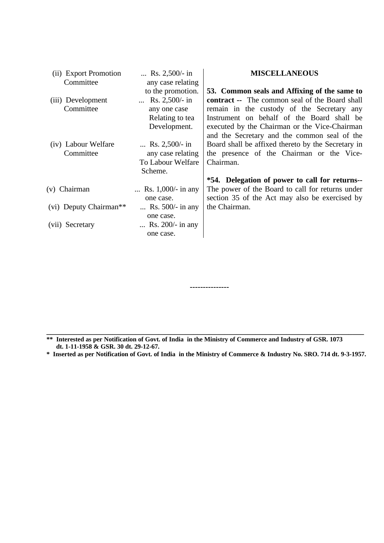| (ii) Export Promotion  | Rs. $2,500/$ - in    | <b>MISCELLANEOUS</b>                                  |
|------------------------|----------------------|-------------------------------------------------------|
| Committee              | any case relating    |                                                       |
|                        | to the promotion.    | 53. Common seals and Affixing of the same to          |
| (iii) Development      | Rs. $2,500/$ - in    | <b>contract</b> -- The common seal of the Board shall |
| Committee              | any one case         | remain in the custody of the Secretary any            |
|                        | Relating to tea      | Instrument on behalf of the Board shall be            |
|                        | Development.         | executed by the Chairman or the Vice-Chairman         |
|                        |                      | and the Secretary and the common seal of the          |
| (iv) Labour Welfare    | Rs. $2,500/$ - in    | Board shall be affixed thereto by the Secretary in    |
| Committee              | any case relating    | the presence of the Chairman or the Vice-             |
|                        | To Labour Welfare    | Chairman.                                             |
|                        | Scheme.              |                                                       |
|                        |                      | *54. Delegation of power to call for returns--        |
| (v) Chairman           | Rs. $1,000/-$ in any | The power of the Board to call for returns under      |
|                        | one case.            | section 35 of the Act may also be exercised by        |
| (vi) Deputy Chairman** | Rs. $500/-$ in any   | the Chairman.                                         |
|                        | one case.            |                                                       |
| (vii) Secretary        | Rs. $200/-$ in any   |                                                       |
|                        | one case.            |                                                       |
|                        |                      |                                                       |

**\*\* Interested as per Notification of Govt. of India in the Ministry of Commerce and Industry of GSR. 1073 dt. 1-11-1958 & GSR. 30 dt. 29-12-67.**

**\* Inserted as per Notification of Govt. of India in the Ministry of Commerce & Industry No. SRO. 714 dt. 9-3-1957.**

**\_\_\_\_\_\_\_\_\_\_\_\_\_\_\_\_\_\_\_\_\_\_\_\_\_\_\_\_\_\_\_\_\_\_\_\_\_\_\_\_\_\_\_\_\_\_\_\_\_\_\_\_\_\_\_\_\_\_\_\_\_\_\_\_\_\_\_\_\_\_\_\_\_\_\_\_\_\_\_\_\_\_**

**---------------**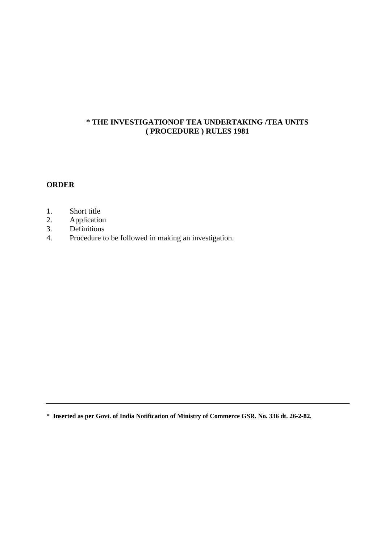## **\* THE INVESTIGATIONOF TEA UNDERTAKING /TEA UNITS ( PROCEDURE ) RULES 1981**

## **ORDER**

- 1. Short title<br>2. Applicatio
- Application
- 3. Definitions
- 4. Procedure to be followed in making an investigation.

**\* Inserted as per Govt. of India Notification of Ministry of Commerce GSR. No. 336 dt. 26-2-82.**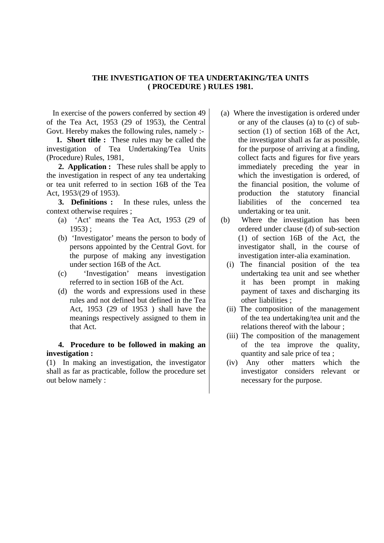## **THE INVESTIGATION OF TEA UNDERTAKING/TEA UNITS ( PROCEDURE ) RULES 1981.**

 In exercise of the powers conferred by section 49 of the Tea Act, 1953 (29 of 1953), the Central Govt. Hereby makes the following rules, namely :-

 **1. Short title :** These rules may be called the investigation of Tea Undertaking/Tea Units (Procedure) Rules, 1981,

 **2. Application :** These rules shall be apply to the investigation in respect of any tea undertaking or tea unit referred to in section 16B of the Tea Act, 1953/(29 of 1953).

 **3. Definitions :** In these rules, unless the context otherwise requires ;

- (a) 'Act' means the Tea Act, 1953 (29 of 1953) ;
- (b) 'Investigator' means the person to body of persons appointed by the Central Govt. for the purpose of making any investigation under section 16B of the Act.
- (c) 'Investigation' means investigation referred to in section 16B of the Act.
- (d) the words and expressions used in these rules and not defined but defined in the Tea Act, 1953 (29 of 1953 ) shall have the meanings respectively assigned to them in that Act.

## **4. Procedure to be followed in making an investigation :**

(1) In making an investigation, the investigator shall as far as practicable, follow the procedure set out below namely :

- (a) Where the investigation is ordered under or any of the clauses (a) to (c) of subsection (1) of section 16B of the Act, the investigator shall as far as possible, for the purpose of arriving at a finding, collect facts and figures for five years immediately preceding the year in which the investigation is ordered, of the financial position, the volume of production the statutory financial liabilities of the concerned tea undertaking or tea unit.
- (b) Where the investigation has been ordered under clause (d) of sub-section (1) of section 16B of the Act, the investigator shall, in the course of investigation inter-alia examination.
	- (i) The financial position of the tea undertaking tea unit and see whether it has been prompt in making payment of taxes and discharging its other liabilities ;
	- (ii) The composition of the management of the tea undertaking/tea unit and the relations thereof with the labour ;
	- (iii) The composition of the management of the tea improve the quality, quantity and sale price of tea ;
	- (iv) Any other matters which the investigator considers relevant or necessary for the purpose.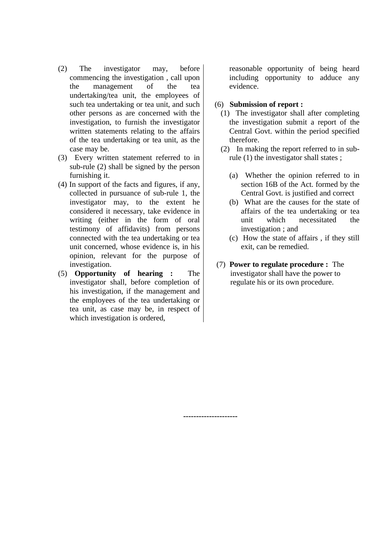- (2) The investigator may, before commencing the investigation , call upon the management of the tea undertaking/tea unit, the employees of such tea undertaking or tea unit, and such other persons as are concerned with the investigation, to furnish the investigator written statements relating to the affairs of the tea undertaking or tea unit, as the case may be.
- (3) Every written statement referred to in sub-rule (2) shall be signed by the person furnishing it.
- (4) In support of the facts and figures, if any, collected in pursuance of sub-rule 1, the investigator may, to the extent he considered it necessary, take evidence in writing (either in the form of oral testimony of affidavits) from persons connected with the tea undertaking or tea unit concerned, whose evidence is, in his opinion, relevant for the purpose of investigation.
- (5) **Opportunity of hearing :** The investigator shall, before completion of his investigation, if the management and the employees of the tea undertaking or tea unit, as case may be, in respect of which investigation is ordered,

reasonable opportunity of being heard including opportunity to adduce any evidence.

### (6) **Submission of report :**

- (1) The investigator shall after completing the investigation submit a report of the Central Govt. within the period specified therefore.
- (2) In making the report referred to in subrule (1) the investigator shall states ;
	- (a) Whether the opinion referred to in section 16B of the Act. formed by the Central Govt. is justified and correct
	- (b) What are the causes for the state of affairs of the tea undertaking or tea unit which necessitated the investigation ; and
	- (c) How the state of affairs , if they still exit, can be remedied.
- (7) **Power to regulate procedure :** The investigator shall have the power to regulate his or its own procedure.

**---------------------**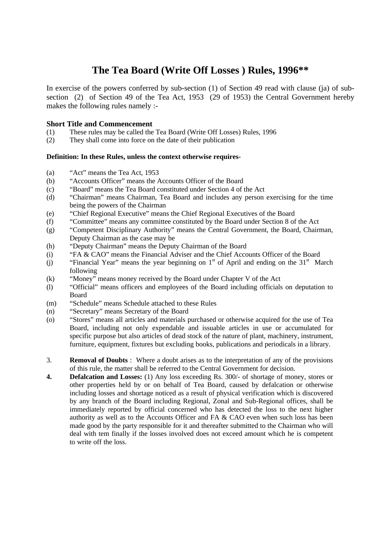# **The Tea Board (Write Off Losses ) Rules, 1996\*\***

In exercise of the powers conferred by sub-section (1) of Section 49 read with clause (ja) of subsection (2) of Section 49 of the Tea Act, 1953 (29 of 1953) the Central Government hereby makes the following rules namely :-

## **Short Title and Commencement**

- (1) These rules may be called the Tea Board (Write Off Losses) Rules, 1996
- (2) They shall come into force on the date of their publication

#### **Definition: In these Rules, unless the context otherwise requires-**

- (a) "Act" means the Tea Act, 1953
- (b) "Accounts Officer" means the Accounts Officer of the Board
- (c) "Board" means the Tea Board constituted under Section 4 of the Act
- (d) "Chairman" means Chairman, Tea Board and includes any person exercising for the time being the powers of the Chairman
- (e) "Chief Regional Executive" means the Chief Regional Executives of the Board
- (f) "Committee" means any committee constituted by the Board under Section 8 of the Act
- (g) "Competent Disciplinary Authority" means the Central Government, the Board, Chairman, Deputy Chairman as the case may be
- (h) "Deputy Chairman" means the Deputy Chairman of the Board
- (i) "FA & CAO" means the Financial Adviser and the Chief Accounts Officer of the Board
- (j) "Financial Year" means the year beginning on  $1<sup>st</sup>$  of April and ending on the  $31<sup>st</sup>$  March following
- (k) "Money" means money received by the Board under Chapter V of the Act
- (l) "Official" means officers and employees of the Board including officials on deputation to Board
- (m) "Schedule" means Schedule attached to these Rules
- (n) "Secretary" means Secretary of the Board
- (o) "Stores" means all articles and materials purchased or otherwise acquired for the use of Tea Board, including not only expendable and issuable articles in use or accumulated for specific purpose but also articles of dead stock of the nature of plant, machinery, instrument, furniture, equipment, fixtures but excluding books, publications and periodicals in a library.
- 3. **Removal of Doubts** : Where a doubt arises as to the interpretation of any of the provisions of this rule, the matter shall be referred to the Central Government for decision.
- **4. Defalcation and Losses:** (1) Any loss exceeding Rs. 300/- of shortage of money, stores or other properties held by or on behalf of Tea Board, caused by defalcation or otherwise including losses and shortage noticed as a result of physical verification which is discovered by any branch of the Board including Regional, Zonal and Sub-Regional offices, shall be immediately reported by official concerned who has detected the loss to the next higher authority as well as to the Accounts Officer and FA & CAO even when such loss has been made good by the party responsible for it and thereafter submitted to the Chairman who will deal with tem finally if the losses involved does not exceed amount which he is competent to write off the loss.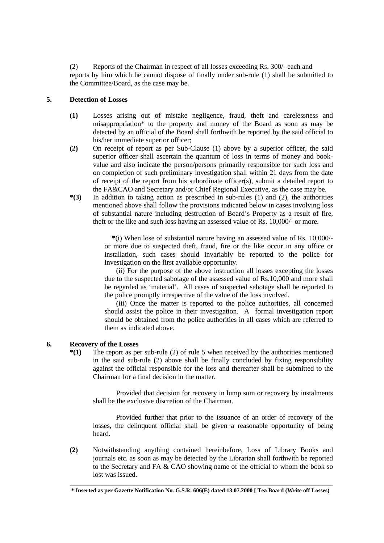(2) Reports of the Chairman in respect of all losses exceeding Rs. 300/- each and reports by him which he cannot dispose of finally under sub-rule (1) shall be submitted to the Committee/Board, as the case may be.

#### **5. Detection of Losses**

- **(1)** Losses arising out of mistake negligence, fraud, theft and carelessness and misappropriation\* to the property and money of the Board as soon as may be detected by an official of the Board shall forthwith be reported by the said official to his/her immediate superior officer;
- **(2)** On receipt of report as per Sub-Clause (1) above by a superior officer, the said superior officer shall ascertain the quantum of loss in terms of money and bookvalue and also indicate the person/persons primarily responsible for such loss and on completion of such preliminary investigation shall within 21 days from the date of receipt of the report from his subordinate officer(s), submit a detailed report to the FA&CAO and Secretary and/or Chief Regional Executive, as the case may be.
- **\*(3)** In addition to taking action as prescribed in sub-rules (1) and (2), the authorities mentioned above shall follow the provisions indicated below in cases involving loss of substantial nature including destruction of Board's Property as a result of fire, theft or the like and such loss having an assessed value of Rs. 10,000/- or more.

 **\***(i) When lose of substantial nature having an assessed value of Rs. 10,000/ or more due to suspected theft, fraud, fire or the like occur in any office or installation, such cases should invariably be reported to the police for investigation on the first available opportunity.

(ii) For the purpose of the above instruction all losses excepting the losses due to the suspected sabotage of the assessed value of Rs.10,000 and more shall be regarded as 'material'. All cases of suspected sabotage shall be reported to the police promptly irrespective of the value of the loss involved.

(iii) Once the matter is reported to the police authorities, all concerned should assist the police in their investigation. A formal investigation report should be obtained from the police authorities in all cases which are referred to them as indicated above.

#### **6. Recovery of the Losses**

**\*(1)** The report as per sub-rule (2) of rule 5 when received by the authorities mentioned in the said sub-rule (2) above shall be finally concluded by fixing responsibility against the official responsible for the loss and thereafter shall be submitted to the Chairman for a final decision in the matter.

Provided that decision for recovery in lump sum or recovery by instalments shall be the exclusive discretion of the Chairman.

Provided further that prior to the issuance of an order of recovery of the losses, the delinquent official shall be given a reasonable opportunity of being heard.

**(2)** Notwithstanding anything contained hereinbefore, Loss of Library Books and journals etc. as soon as may be detected by the Librarian shall forthwith be reported to the Secretary and FA & CAO showing name of the official to whom the book so lost was issued.

\_\_\_\_\_\_\_\_\_\_\_\_\_\_\_\_\_\_\_\_\_\_\_\_\_\_\_\_\_\_\_\_\_\_\_\_\_\_\_\_\_\_\_\_\_\_\_\_\_\_\_\_\_\_\_\_\_\_\_\_\_\_\_\_\_\_\_\_\_\_\_\_\_\_ **\* Inserted as per Gazette Notification No. G.S.R. 606(E) dated 13.07.2000 [ Tea Board (Write off Losses)**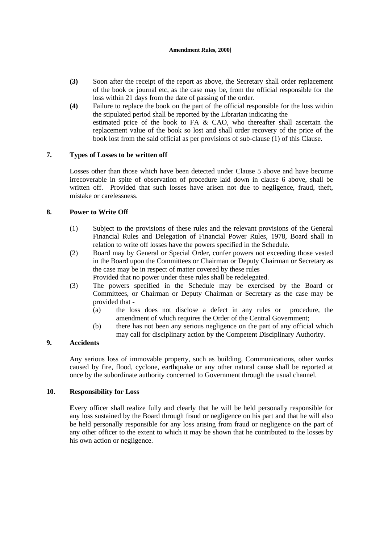#### **Amendment Rules, 2000]**

- **(3)** Soon after the receipt of the report as above, the Secretary shall order replacement of the book or journal etc, as the case may be, from the official responsible for the loss within 21 days from the date of passing of the order.
- **(4)** Failure to replace the book on the part of the official responsible for the loss within the stipulated period shall be reported by the Librarian indicating the estimated price of the book to FA & CAO, who thereafter shall ascertain the replacement value of the book so lost and shall order recovery of the price of the book lost from the said official as per provisions of sub-clause (1) of this Clause.

## **7. Types of Losses to be written off**

Losses other than those which have been detected under Clause 5 above and have become irrecoverable in spite of observation of procedure laid down in clause 6 above, shall be written off. Provided that such losses have arisen not due to negligence, fraud, theft, mistake or carelessness.

#### **8. Power to Write Off**

- (1) Subject to the provisions of these rules and the relevant provisions of the General Financial Rules and Delegation of Financial Power Rules, 1978, Board shall in relation to write off losses have the powers specified in the Schedule.
- (2) Board may by General or Special Order, confer powers not exceeding those vested in the Board upon the Committees or Chairman or Deputy Chairman or Secretary as the case may be in respect of matter covered by these rules

Provided that no power under these rules shall be redelegated.

- (3) The powers specified in the Schedule may be exercised by the Board or Committees, or Chairman or Deputy Chairman or Secretary as the case may be provided that -
	- (a) the loss does not disclose a defect in any rules or procedure, the amendment of which requires the Order of the Central Government;
	- (b) there has not been any serious negligence on the part of any official which may call for disciplinary action by the Competent Disciplinary Authority.

## **9. Accidents**

Any serious loss of immovable property, such as building, Communications, other works caused by fire, flood, cyclone, earthquake or any other natural cause shall be reported at once by the subordinate authority concerned to Government through the usual channel.

#### **10. Responsibility for Loss**

**E**very officer shall realize fully and clearly that he will be held personally responsible for any loss sustained by the Board through fraud or negligence on his part and that he will also be held personally responsible for any loss arising from fraud or negligence on the part of any other officer to the extent to which it may be shown that he contributed to the losses by his own action or negligence.